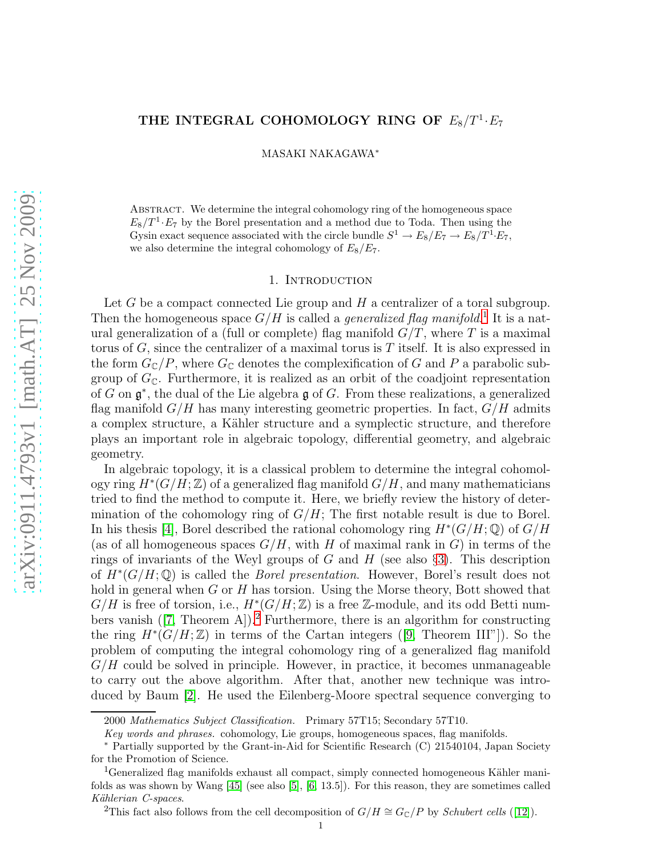# THE INTEGRAL COHOMOLOGY RING OF  $E_8/T^1 \cdot E_7$

MASAKI NAKAGAWA<sup>∗</sup>

Abstract. We determine the integral cohomology ring of the homogeneous space  $E_8/T^1 \cdot E_7$  by the Borel presentation and a method due to Toda. Then using the Gysin exact sequence associated with the circle bundle  $S^1 \to E_8/E_7 \to E_8/T^1 E_7$ , we also determine the integral cohomology of  $E_8/E_7$ .

### 1. Introduction

Let  $G$  be a compact connected Lie group and  $H$  a centralizer of a toral subgroup. Then the homogeneous space  $G/H$  is called a *generalized flag manifold*.<sup>[1](#page-0-0)</sup> It is a natural generalization of a (full or complete) flag manifold  $G/T$ , where T is a maximal torus of  $G$ , since the centralizer of a maximal torus is  $T$  itself. It is also expressed in the form  $G_{\mathbb{C}}/P$ , where  $G_{\mathbb{C}}$  denotes the complexification of G and P a parabolic subgroup of  $G_{\mathbb{C}}$ . Furthermore, it is realized as an orbit of the coadjoint representation of G on  $\mathfrak{g}^*$ , the dual of the Lie algebra  $\mathfrak{g}$  of G. From these realizations, a generalized flag manifold  $G/H$  has many interesting geometric properties. In fact,  $G/H$  admits a complex structure, a Kähler structure and a symplectic structure, and therefore plays an important role in algebraic topology, differential geometry, and algebraic geometry.

In algebraic topology, it is a classical problem to determine the integral cohomology ring  $H^*(G/H;\mathbb{Z})$  of a generalized flag manifold  $G/H$ , and many mathematicians tried to find the method to compute it. Here, we briefly review the history of determination of the cohomology ring of  $G/H$ ; The first notable result is due to Borel. In his thesis [\[4\]](#page-33-0), Borel described the rational cohomology ring  $H^*(G/H;\mathbb{Q})$  of  $G/H$ (as of all homogeneous spaces  $G/H$ , with H of maximal rank in G) in terms of the rings of invariants of the Weyl groups of G and H (see also  $\S$ [3\)](#page-16-0). This description of  $H^*(G/H;\mathbb{Q})$  is called the *Borel presentation*. However, Borel's result does not hold in general when G or H has torsion. Using the Morse theory, Bott showed that  $G/H$  is free of torsion, i.e.,  $H^*(G/H;\mathbb{Z})$  is a free Z-module, and its odd Betti numbers vanish  $([7, \text{Theorem A}])$  $([7, \text{Theorem A}])$  $([7, \text{Theorem A}])$ .<sup>[2](#page-0-1)</sup> Furthermore, there is an algorithm for constructing the ring  $H^*(G/H;\mathbb{Z})$  in terms of the Cartan integers ([\[9,](#page-33-2) Theorem III"]). So the problem of computing the integral cohomology ring of a generalized flag manifold  $G/H$  could be solved in principle. However, in practice, it becomes unmanageable to carry out the above algorithm. After that, another new technique was introduced by Baum [\[2\]](#page-33-3). He used the Eilenberg-Moore spectral sequence converging to

<sup>2000</sup> Mathematics Subject Classification. Primary 57T15; Secondary 57T10.

Key words and phrases. cohomology, Lie groups, homogeneous spaces, flag manifolds.

<sup>∗</sup> Partially supported by the Grant-in-Aid for Scientific Research (C) 21540104, Japan Society for the Promotion of Science.

<span id="page-0-0"></span><sup>&</sup>lt;sup>1</sup>Generalized flag manifolds exhaust all compact, simply connected homogeneous Kähler manifolds as was shown by Wang [\[45\]](#page-35-0) (see also [\[5\]](#page-33-4), [\[6,](#page-33-5) 13.5]). For this reason, they are sometimes called Kählerian C-spaces.

<span id="page-0-1"></span><sup>&</sup>lt;sup>2</sup>This fact also follows from the cell decomposition of  $G/H \cong G_{\mathbb{C}}/P$  by *Schubert cells* ([\[12\]](#page-33-6)).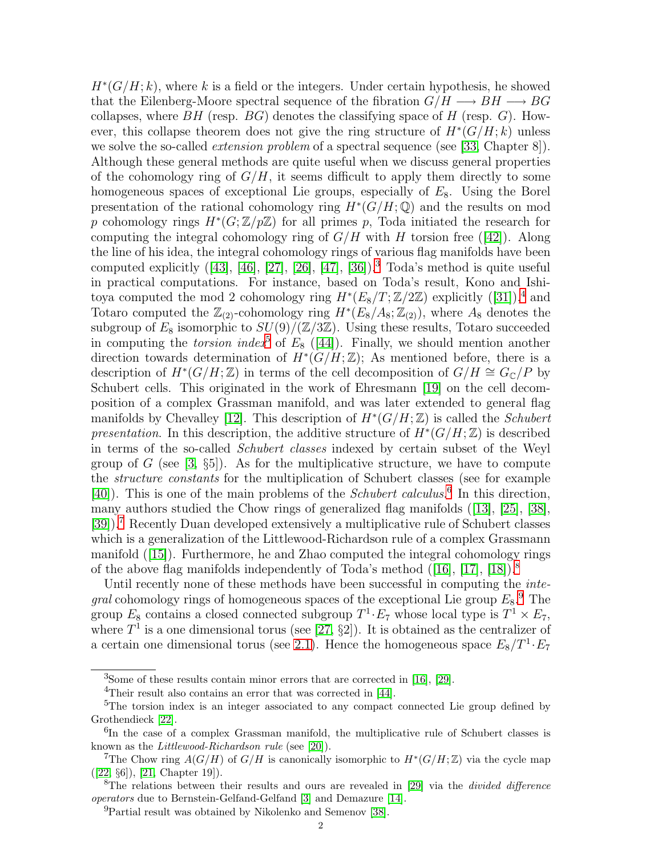$H^*(G/H; k)$ , where k is a field or the integers. Under certain hypothesis, he showed that the Eilenberg-Moore spectral sequence of the fibration  $G/H \longrightarrow BH \longrightarrow BG$ collapses, where  $BH$  (resp.  $BG$ ) denotes the classifying space of H (resp. G). However, this collapse theorem does not give the ring structure of  $H^*(G/H; k)$  unless we solve the so-called *extension problem* of a spectral sequence (see [\[33,](#page-34-0) Chapter 8]). Although these general methods are quite useful when we discuss general properties of the cohomology ring of  $G/H$ , it seems difficult to apply them directly to some homogeneous spaces of exceptional Lie groups, especially of  $E_8$ . Using the Borel presentation of the rational cohomology ring  $H^*(G/H;\mathbb{Q})$  and the results on mod p cohomology rings  $H^*(G;\mathbb{Z}/p\mathbb{Z})$  for all primes p, Toda initiated the research for computing the integral cohomology ring of  $G/H$  with H torsion free ([\[42\]](#page-34-1)). Along the line of his idea, the integral cohomology rings of various flag manifolds have been computed explicitly  $([43], [46], [27], [26], [47], [36])$  $([43], [46], [27], [26], [47], [36])$  $([43], [46], [27], [26], [47], [36])$  $([43], [46], [27], [26], [47], [36])$  $([43], [46], [27], [26], [47], [36])$  $([43], [46], [27], [26], [47], [36])$  $([43], [46], [27], [26], [47], [36])$  $([43], [46], [27], [26], [47], [36])$  $([43], [46], [27], [26], [47], [36])$  $([43], [46], [27], [26], [47], [36])$  $([43], [46], [27], [26], [47], [36])$  $([43], [46], [27], [26], [47], [36])$  $([43], [46], [27], [26], [47], [36])$ .<sup>[3](#page-1-0)</sup> Toda's method is quite useful in practical computations. For instance, based on Toda's result, Kono and Ishitoya computed the mod 2 cohomology ring  $H^*(E_8/T; \mathbb{Z}/2\mathbb{Z})$  explicitly  $([31])$  $([31])$  $([31])$ <sup>[4](#page-1-1)</sup>, and Totaro computed the  $\mathbb{Z}_{(2)}$ -cohomology ring  $H^*(E_8/A_8; \mathbb{Z}_{(2)})$ , where  $A_8$  denotes the subgroup of  $E_8$  isomorphic to  $SU(9)/(\mathbb{Z}/3\mathbb{Z})$ . Using these results, Totaro succeeded in computing the *torsion index*<sup>[5](#page-1-2)</sup> of  $E_8$  ([\[44\]](#page-35-3)). Finally, we should mention another direction towards determination of  $H^*(G/H;\mathbb{Z})$ ; As mentioned before, there is a description of  $H^*(G/H;\mathbb{Z})$  in terms of the cell decomposition of  $G/H \cong G_{\mathbb{C}}/P$  by Schubert cells. This originated in the work of Ehresmann [\[19\]](#page-34-7) on the cell decomposition of a complex Grassman manifold, and was later extended to general flag manifolds by Chevalley [\[12\]](#page-33-6). This description of  $H^*(G/H;\mathbb{Z})$  is called the *Schubert* presentation. In this description, the additive structure of  $H^*(G/H;\mathbb{Z})$  is described in terms of the so-called Schubert classes indexed by certain subset of the Weyl group of G (see  $[3, \S_5]$ ). As for the multiplicative structure, we have to compute the structure constants for the multiplication of Schubert classes (see for example [\[40\]](#page-34-8)). This is one of the main problems of the *Schubert calculus*.<sup>[6](#page-1-3)</sup> In this direction, many authors studied the Chow rings of generalized flag manifolds ([\[13\]](#page-33-8), [\[25\]](#page-34-9), [\[38\]](#page-34-10), [\[39\]](#page-34-11)).<sup>[7](#page-1-4)</sup> Recently Duan developed extensively a multiplicative rule of Schubert classes which is a generalization of the Littlewood-Richardson rule of a complex Grassmann manifold ([\[15\]](#page-34-12)). Furthermore, he and Zhao computed the integral cohomology rings of the above flag manifolds independently of Toda's method  $([16], [17], [18])$  $([16], [17], [18])$  $([16], [17], [18])$  $([16], [17], [18])$  $([16], [17], [18])$  $([16], [17], [18])$  $([16], [17], [18])$ .<sup>[8](#page-1-5)</sup>

Until recently none of these methods have been successful in computing the *integral* cohomology rings of homogeneous spaces of the exceptional Lie group  $E_8$ .<sup>[9](#page-1-6)</sup> The group  $E_8$  contains a closed connected subgroup  $T^1 \tcdot E_7$  whose local type is  $T^1 \times E_7$ , where  $T^1$  is a one dimensional torus (see [\[27,](#page-34-3) §2]). It is obtained as the centralizer of a certain one dimensional torus (see [2.1\)](#page-2-0). Hence the homogeneous space  $E_8/T^1 \cdot E_7$ 

<sup>3</sup>Some of these results contain minor errors that are corrected in [\[16\]](#page-34-13), [\[29\]](#page-34-16).

<span id="page-1-1"></span><span id="page-1-0"></span><sup>&</sup>lt;sup>4</sup>Their result also contains an error that was corrected in [\[44\]](#page-35-3).

<span id="page-1-2"></span><sup>&</sup>lt;sup>5</sup>The torsion index is an integer associated to any compact connected Lie group defined by Grothendieck [\[22\]](#page-34-17).

<span id="page-1-3"></span><sup>&</sup>lt;sup>6</sup>In the case of a complex Grassman manifold, the multiplicative rule of Schubert classes is known as the Littlewood-Richardson rule (see [\[20\]](#page-34-18)).

<sup>&</sup>lt;sup>7</sup>The Chow ring  $A(G/H)$  of  $G/H$  is canonically isomorphic to  $H^*(G/H;\mathbb{Z})$  via the cycle map ([\[22,](#page-34-17) §6]), [\[21,](#page-34-19) Chapter 19]).

<span id="page-1-4"></span><sup>&</sup>lt;sup>8</sup>The relations between their results and ours are revealed in [\[29\]](#page-34-16) via the *divided difference* operators due to Bernstein-Gelfand-Gelfand [\[3\]](#page-33-7) and Demazure [\[14\]](#page-34-20).

<span id="page-1-6"></span><span id="page-1-5"></span><sup>&</sup>lt;sup>9</sup>Partial result was obtained by Nikolenko and Semenov [\[38\]](#page-34-10).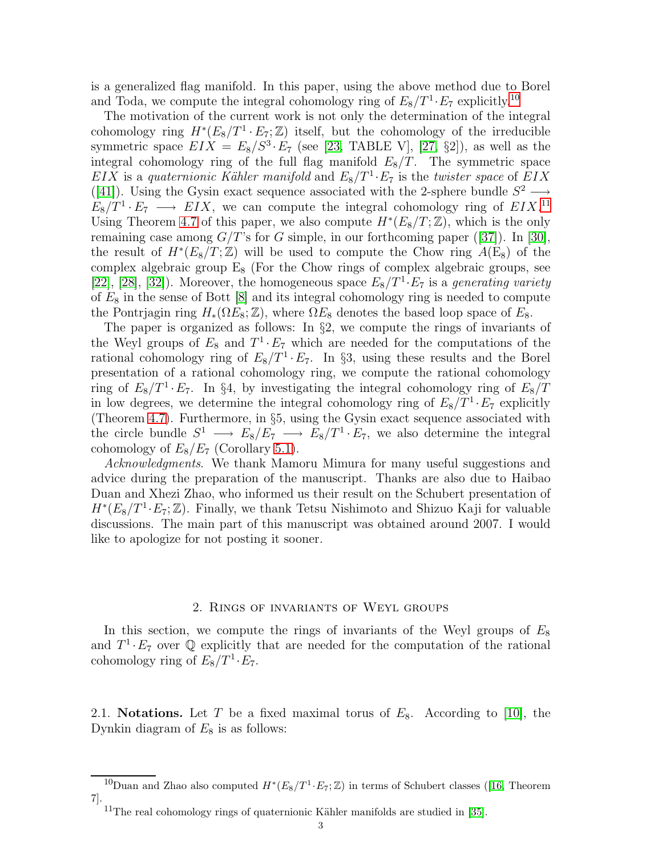is a generalized flag manifold. In this paper, using the above method due to Borel and Toda, we compute the integral cohomology ring of  $E_8/T^1 \cdot E_7$  explicitly.<sup>[10](#page-2-1)</sup>

The motivation of the current work is not only the determination of the integral cohomology ring  $H^*(E_8/T^1 \cdot E_7; \mathbb{Z})$  itself, but the cohomology of the irreducible symmetric space  $EIX = E_8/S^3 \cdot E_7$  (see [\[23,](#page-34-21) TABLE V], [\[27,](#page-34-3) §2]), as well as the integral cohomology ring of the full flag manifold  $E_8/T$ . The symmetric space  $EIX$  is a quaternionic Kähler manifold and  $E_8/T^1 \cdot E_7$  is the twister space of  $EIX$ ([\[41\]](#page-34-22)). Using the Gysin exact sequence associated with the 2-sphere bundle  $S^2 \longrightarrow$  $E_8/T^1 \t E_7 \longrightarrow EIX$ , we can compute the integral cohomology ring of  $EIX$ <sup>[11](#page-2-2)</sup> Using Theorem [4.7](#page-28-0) of this paper, we also compute  $H^*(E_8/T; \mathbb{Z})$ , which is the only remaining case among  $G/T$ 's for G simple, in our forthcoming paper ([\[37\]](#page-34-23)). In [\[30\]](#page-34-24), the result of  $H^*(E_8/T;\mathbb{Z})$  will be used to compute the Chow ring  $A(E_8)$  of the complex algebraic group  $E_8$  (For the Chow rings of complex algebraic groups, see [\[22\]](#page-34-17), [\[28\]](#page-34-25), [\[32\]](#page-34-26)). Moreover, the homogeneous space  $E_8/T^1 \cdot E_7$  is a generating variety of  $E_8$  in the sense of Bott  $[8]$  and its integral cohomology ring is needed to compute the Pontrjagin ring  $H_*(\Omega E_8; \mathbb{Z})$ , where  $\Omega E_8$  denotes the based loop space of  $E_8$ .

The paper is organized as follows: In §2, we compute the rings of invariants of the Weyl groups of  $E_8$  and  $T^1 \cdot E_7$  which are needed for the computations of the rational cohomology ring of  $E_8/T^1 \tcdot E_7$ . In §3, using these results and the Borel presentation of a rational cohomology ring, we compute the rational cohomology ring of  $E_8/T^1 \tcdot E_7$ . In §4, by investigating the integral cohomology ring of  $E_8/T$ in low degrees, we determine the integral cohomology ring of  $E_8/T^1 \cdot E_7$  explicitly (Theorem [4.7\)](#page-28-0). Furthermore, in §5, using the Gysin exact sequence associated with the circle bundle  $S^1 \longrightarrow E_8/E_7 \longrightarrow E_8/T^1 \cdot E_7$ , we also determine the integral cohomology of  $E_8/E_7$  (Corollary [5.1\)](#page-29-0).

Acknowledgments. We thank Mamoru Mimura for many useful suggestions and advice during the preparation of the manuscript. Thanks are also due to Haibao Duan and Xhezi Zhao, who informed us their result on the Schubert presentation of  $H^*(E_8/T^1 \cdot E_7; \mathbb{Z})$ . Finally, we thank Tetsu Nishimoto and Shizuo Kaji for valuable discussions. The main part of this manuscript was obtained around 2007. I would like to apologize for not posting it sooner.

### 2. Rings of invariants of Weyl groups

In this section, we compute the rings of invariants of the Weyl groups of  $E_8$ and  $T^1 \tcdot E_7$  over  $\mathbb Q$  explicitly that are needed for the computation of the rational cohomology ring of  $E_8/T^1 \cdot E_7$ .

<span id="page-2-0"></span>2.1. Notations. Let T be a fixed maximal torus of  $E_8$ . According to [\[10\]](#page-33-10), the Dynkin diagram of  $E_8$  is as follows:

<sup>&</sup>lt;sup>10</sup>Duanand Zhao also computed  $H^*(E_8/T^1 \cdot E_7; \mathbb{Z})$  in terms of Schubert classes ([\[16,](#page-34-13) Theorem 7].

<span id="page-2-2"></span><span id="page-2-1"></span> $11$ The real cohomology rings of quaternionic Kähler manifolds are studied in [\[35\]](#page-34-27).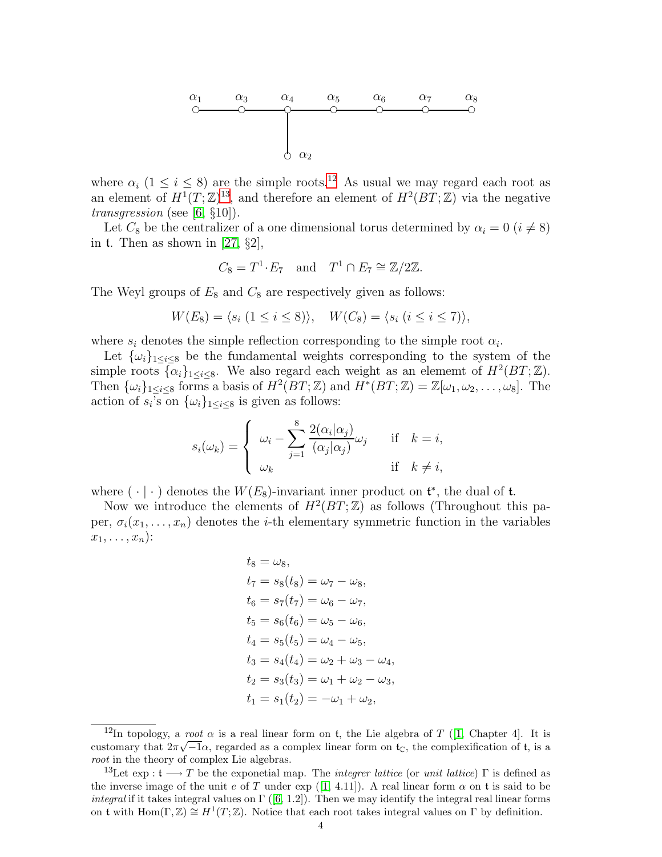

where  $\alpha_i$  (1  $\leq i \leq 8$ ) are the simple roots.<sup>[12](#page-3-0)</sup> As usual we may regard each root as an element of  $H^1(T;\mathbb{Z})^{13}$  $H^1(T;\mathbb{Z})^{13}$  $H^1(T;\mathbb{Z})^{13}$ , and therefore an element of  $H^2(BT;\mathbb{Z})$  via the negative transgression (see [\[6,](#page-33-5)  $\S 10$ ]).

Let  $C_8$  be the centralizer of a one dimensional torus determined by  $\alpha_i = 0$  ( $i \neq 8$ ) in t. Then as shown in [\[27,](#page-34-3)  $\S2$ ],

$$
C_8 = T^1 \cdot E_7
$$
 and  $T^1 \cap E_7 \cong \mathbb{Z}/2\mathbb{Z}$ .

The Weyl groups of  $E_8$  and  $C_8$  are respectively given as follows:

$$
W(E_8) = \langle s_i \ (1 \leq i \leq 8) \rangle, \quad W(C_8) = \langle s_i \ (i \leq i \leq 7) \rangle,
$$

where  $s_i$  denotes the simple reflection corresponding to the simple root  $\alpha_i$ .

Let  $\{\omega_i\}_{1 \leq i \leq 8}$  be the fundamental weights corresponding to the system of the simple roots  $\{\alpha_i\}_{1 \le i \le 8}$ . We also regard each weight as an element of  $H^2(BT;\mathbb{Z})$ . Then  $\{\omega_i\}_{1\leq i\leq 8}$  forms a basis of  $H^2(BT;\mathbb{Z})$  and  $H^*(BT;\mathbb{Z})=\mathbb{Z}[\omega_1,\omega_2,\ldots,\omega_8]$ . The action of  $s_i$ 's on  $\{\omega_i\}_{1 \leq i \leq 8}$  is given as follows:

$$
s_i(\omega_k) = \begin{cases} \omega_i - \sum_{j=1}^8 \frac{2(\alpha_i | \alpha_j)}{(\alpha_j | \alpha_j)} \omega_j & \text{if } k = i, \\ \omega_k & \text{if } k \neq i, \end{cases}
$$

where  $(\cdot | \cdot)$  denotes the  $W(E_8)$ -invariant inner product on  $\mathfrak{t}^*$ , the dual of  $\mathfrak{t}$ .

Now we introduce the elements of  $H^2(BT;\mathbb{Z})$  as follows (Throughout this paper,  $\sigma_i(x_1,\ldots,x_n)$  denotes the *i*-th elementary symmetric function in the variables  $x_1, \ldots, x_n$ :

$$
t_8 = \omega_8,
$$
  
\n
$$
t_7 = s_8(t_8) = \omega_7 - \omega_8,
$$
  
\n
$$
t_6 = s_7(t_7) = \omega_6 - \omega_7,
$$
  
\n
$$
t_5 = s_6(t_6) = \omega_5 - \omega_6,
$$
  
\n
$$
t_4 = s_5(t_5) = \omega_4 - \omega_5,
$$
  
\n
$$
t_3 = s_4(t_4) = \omega_2 + \omega_3 - \omega_4,
$$
  
\n
$$
t_2 = s_3(t_3) = \omega_1 + \omega_2 - \omega_3,
$$
  
\n
$$
t_1 = s_1(t_2) = -\omega_1 + \omega_2,
$$

<span id="page-3-0"></span><sup>&</sup>lt;sup>12</sup>In topology, a *root*  $\alpha$  is a real linear form on t, the Lie algebra of T ([\[1,](#page-33-11) Chapter 4]. It is customary that  $2\pi\sqrt{-1}\alpha$ , regarded as a complex linear form on  $t_c$ , the complexification of t, is a root in the theory of complex Lie algebras.

<span id="page-3-1"></span><sup>&</sup>lt;sup>13</sup>Let exp :  $\mathfrak{t} \longrightarrow T$  be the exponetial map. The *integrer lattice* (or unit lattice)  $\Gamma$  is defined as theinverse image of the unit e of T under exp ([\[1,](#page-33-11) 4.11]). A real linear form  $\alpha$  on t is said to be *integral*if it takes integral values on  $\Gamma$  ([\[6,](#page-33-5) 1.2]). Then we may identify the integral real linear forms on t with  $\text{Hom}(\Gamma,\mathbb{Z})\cong H^1(T;\mathbb{Z})$ . Notice that each root takes integral values on  $\Gamma$  by definition.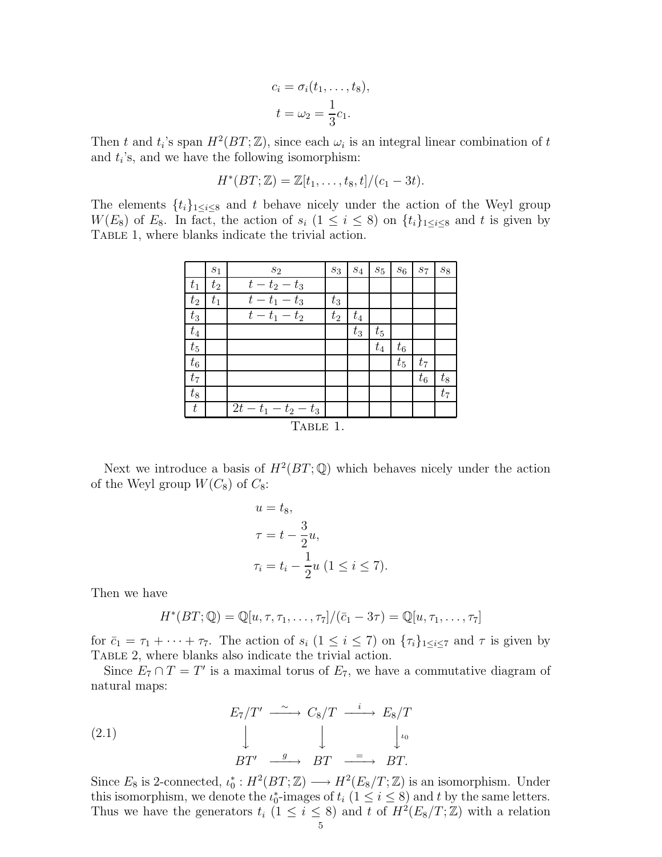$$
c_i = \sigma_i(t_1, \dots, t_8),
$$
  

$$
t = \omega_2 = \frac{1}{3}c_1.
$$

Then t and  $t_i$ 's span  $H^2(BT;\mathbb{Z})$ , since each  $\omega_i$  is an integral linear combination of t and  $t_i$ 's, and we have the following isomorphism:

$$
H^*(BT; \mathbb{Z}) = \mathbb{Z}[t_1, \ldots, t_8, t]/(c_1 - 3t).
$$

The elements  $\{t_i\}_{1\leq i\leq 8}$  and t behave nicely under the action of the Weyl group W(E<sub>8</sub>) of E<sub>8</sub>. In fact, the action of  $s_i$  ( $1 \leq i \leq 8$ ) on  $\{t_i\}_{1 \leq i \leq 8}$  and t is given by TABLE 1, where blanks indicate the trivial action.

|          | $S_1$   | $s_2$                             | $s_3$ | $s_4$ | $s_5$   | $\sqrt{s_6}$ | $S_7$ | $s_8$ |
|----------|---------|-----------------------------------|-------|-------|---------|--------------|-------|-------|
| $t_1$    | $t_2$   | $t-t_2-t_3$                       |       |       |         |              |       |       |
| $t_2$    | $t_{1}$ | $t-t_1-t_3$                       | $t_3$ |       |         |              |       |       |
| $t_3$    |         | $\overline{t}-t_1-t_2$            | $t_2$ | $t_4$ |         |              |       |       |
| $t_4$    |         |                                   |       | $t_3$ | $t_{5}$ |              |       |       |
| $t_5$    |         |                                   |       |       | $t_4$   | $t_6$        |       |       |
| $t_6$    |         |                                   |       |       |         | $t_{5}$      | $t_7$ |       |
| $t_7$    |         |                                   |       |       |         |              | $t_6$ | $t_8$ |
| $t_8$    |         |                                   |       |       |         |              |       | $t_7$ |
| t        |         | $\overline{2}t - t_1 - t_2 - t_3$ |       |       |         |              |       |       |
| TABLE 1. |         |                                   |       |       |         |              |       |       |

Next we introduce a basis of  $H^2(BT;\mathbb{Q})$  which behaves nicely under the action of the Weyl group  $W(C_8)$  of  $C_8$ :

$$
u = t_8,
$$
  
\n
$$
\tau = t - \frac{3}{2}u,
$$
  
\n
$$
\tau_i = t_i - \frac{1}{2}u \ (1 \leq i \leq 7).
$$

Then we have

$$
H^*(BT; \mathbb{Q}) = \mathbb{Q}[u, \tau, \tau_1, \ldots, \tau_7]/(\bar{c}_1 - 3\tau) = \mathbb{Q}[u, \tau_1, \ldots, \tau_7]
$$

for  $\bar{c}_1 = \tau_1 + \cdots + \tau_{7}$ . The action of  $s_i$   $(1 \leq i \leq 7)$  on  $\{\tau_i\}_{1 \leq i \leq 7}$  and  $\tau$  is given by TABLE 2, where blanks also indicate the trivial action.

Since  $E_7 \cap T = T'$  is a maximal torus of  $E_7$ , we have a commutative diagram of natural maps:

(2.1) 
$$
E_7/T' \xrightarrow{\sim} C_8/T \xrightarrow{i} E_8/T
$$

$$
\downarrow \qquad \qquad \downarrow \qquad \qquad \downarrow \qquad \qquad \downarrow \qquad \downarrow \qquad \downarrow \qquad \downarrow \qquad \downarrow \qquad \downarrow \qquad \downarrow \qquad \downarrow \qquad \downarrow \qquad \downarrow \qquad \downarrow \qquad \downarrow \qquad \downarrow \qquad \downarrow \qquad \downarrow \qquad \downarrow \qquad \downarrow \qquad \downarrow \qquad \downarrow \qquad \downarrow \qquad \downarrow \qquad \downarrow \qquad \downarrow \qquad \downarrow \qquad \downarrow \qquad \downarrow \qquad \downarrow \qquad \downarrow \qquad \downarrow \qquad \downarrow \qquad \downarrow \qquad \downarrow \qquad \downarrow \qquad \downarrow \qquad \downarrow \qquad \downarrow \qquad \downarrow \qquad \downarrow \qquad \downarrow \qquad \downarrow \qquad \downarrow \qquad \downarrow \qquad \downarrow \qquad \downarrow \qquad \downarrow \qquad \downarrow \qquad \downarrow \qquad \downarrow \qquad \downarrow \qquad \downarrow \qquad \downarrow \qquad \downarrow \qquad \downarrow \qquad \downarrow \qquad \downarrow \qquad \downarrow \qquad \downarrow \qquad \downarrow \qquad \downarrow \qquad \downarrow \qquad \downarrow \qquad \downarrow \qquad \downarrow \qquad \downarrow \qquad \downarrow \qquad \downarrow \qquad \downarrow \qquad \downarrow \qquad \downarrow \qquad \downarrow \qquad \downarrow \qquad \downarrow \qquad \downarrow \qquad \downarrow \qquad \downarrow \qquad \downarrow \qquad \downarrow \qquad \downarrow \qquad \downarrow \qquad \downarrow \qquad \downarrow \qquad \downarrow \qquad \downarrow \qquad \downarrow \qquad \downarrow \qquad \downarrow \qquad \downarrow \qquad \downarrow \qquad \downarrow \qquad \downarrow \qquad \downarrow \qquad \downarrow \qquad \downarrow \qquad \downarrow \qquad \downarrow \qquad \downarrow \qquad \downarrow \qquad \downarrow \qquad \downarrow \qquad \downarrow \qquad \downarrow \qquad \downarrow \qquad \downarrow \qquad \downarrow \qquad \downarrow \qquad \downarrow \qquad \downarrow \qquad \downarrow \qquad \downarrow \qquad \downarrow \qquad \downarrow \qquad \downarrow \qquad \downarrow \qquad \downarrow \qquad \downarrow \qquad \downarrow \qquad
$$

Since  $E_8$  is 2-connected,  $\iota_0^*: H^2(BT; \mathbb{Z}) \longrightarrow H^2(E_8/T; \mathbb{Z})$  is an isomorphism. Under this isomorphism, we denote the  $\iota_0^*$ -images of  $t_i$  ( $1 \le i \le 8$ ) and t by the same letters. Thus we have the generators  $t_i$  ( $1 \leq i \leq 8$ ) and t of  $H^2(E_8/T; \mathbb{Z})$  with a relation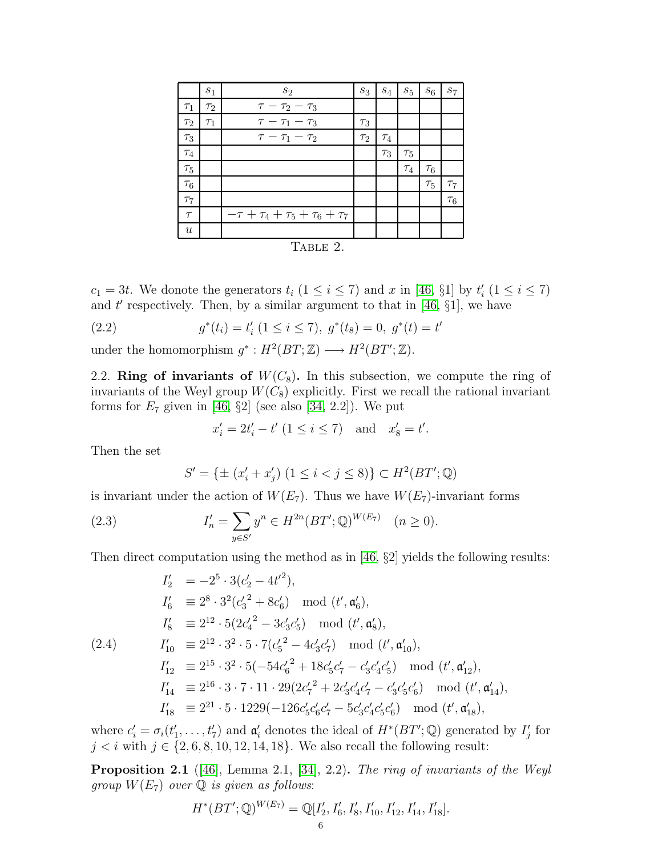|                  | $s_1$    | $s_2$                                       | $s_3$    | $\mathfrak{s}_4$ | $\mathfrak{s}_5$ | $\sqrt{s_6}$ | $s_7$    |
|------------------|----------|---------------------------------------------|----------|------------------|------------------|--------------|----------|
| $\tau_1$         | $\tau_2$ | $\tau-\tau_2-\tau_3$                        |          |                  |                  |              |          |
| $\tau_2$         | $\tau_1$ | $\tau-\tau_1-\tau_3$                        | $\tau_3$ |                  |                  |              |          |
| $\tau_3$         |          | $\tau - \tau_1 - \tau_2$                    | $\tau_2$ | $\tau_4$         |                  |              |          |
| $\tau_4$         |          |                                             |          | $\tau_3$         | $\tau_{5}$       |              |          |
| $\tau_5$         |          |                                             |          |                  | $\tau_4$         | $\tau_6$     |          |
| $\tau_6$         |          |                                             |          |                  |                  | $\tau_5$     | $\tau_7$ |
| $\tau_7$         |          |                                             |          |                  |                  |              | $\tau_6$ |
| $\tau$           |          | $-\tau + \tau_4 + \tau_5 + \tau_6 + \tau_7$ |          |                  |                  |              |          |
| $\boldsymbol{u}$ |          |                                             |          |                  |                  |              |          |
| $T_{\text{H}}$   |          |                                             |          |                  |                  |              |          |

Table 2.

 $c_1 = 3t$ . We donote the generators  $t_i$   $(1 \leq i \leq 7)$  and x in [\[46,](#page-35-1) §1] by  $t'_i$   $(1 \leq i \leq 7)$ and  $t'$  respectively. Then, by a similar argument to that in [\[46,](#page-35-1)  $\S1$ ], we have

′

(2.2) 
$$
g^*(t_i) = t'_i \ (1 \leq i \leq 7), \ g^*(t_8) = 0, \ g^*(t) = t
$$

<span id="page-5-1"></span>under the homomorphism  $g^*: H^2(BT; \mathbb{Z}) \longrightarrow H^2(BT'; \mathbb{Z}).$ 

2.2. Ring of invariants of  $W(C_8)$ . In this subsection, we compute the ring of invariants of the Weyl group  $W(C_8)$  explicitly. First we recall the rational invariant forms for  $E_7$  given in [\[46,](#page-35-1) §2] (see also [\[34,](#page-34-28) 2.2]). We put

<span id="page-5-3"></span>
$$
x'_i = 2t'_i - t' \ (1 \le i \le 7)
$$
 and  $x'_8 = t'.$ 

Then the set

$$
S' = \{ \pm (x'_i + x'_j) \ (1 \le i < j \le 8) \} \subset H^2(BT'; \mathbb{Q})
$$

is invariant under the action of  $W(E_7)$ . Thus we have  $W(E_7)$ -invariant forms

(2.3) 
$$
I'_n = \sum_{y \in S'} y^n \in H^{2n}(BT';\mathbb{Q})^{W(E_7)} \quad (n \ge 0).
$$

Then direct computation using the method as in [\[46,](#page-35-1) §2] yields the following results:

<span id="page-5-2"></span>
$$
I'_{2} = -2^{5} \cdot 3(c'_{2} - 4t'^{2}),
$$
  
\n
$$
I'_{6} \equiv 2^{8} \cdot 3^{2}(c'_{3}^{2} + 8c'_{6}) \mod (t', \mathfrak{a}'_{6}),
$$
  
\n
$$
I'_{8} \equiv 2^{12} \cdot 5(2c'_{4}^{2} - 3c'_{3}c'_{5}) \mod (t', \mathfrak{a}'_{8}),
$$
  
\n
$$
I'_{10} \equiv 2^{12} \cdot 3^{2} \cdot 5 \cdot 7(c'_{5}^{2} - 4c'_{3}c'_{7}) \mod (t', \mathfrak{a}'_{10}),
$$
  
\n
$$
I'_{12} \equiv 2^{15} \cdot 3^{2} \cdot 5(-54c'_{6}^{2} + 18c'_{5}c'_{7} - c'_{3}c'_{4}c'_{5}) \mod (t', \mathfrak{a}'_{12}),
$$
  
\n
$$
I'_{14} \equiv 2^{16} \cdot 3 \cdot 7 \cdot 11 \cdot 29(2c'_{7}^{2} + 2c'_{3}c'_{4}c'_{7} - c'_{3}c'_{5}c'_{6}) \mod (t', \mathfrak{a}'_{14}),
$$
  
\n
$$
I'_{18} \equiv 2^{21} \cdot 5 \cdot 1229(-126c'_{5}c'_{6}c'_{7} - 5c'_{3}c'_{4}c'_{5}c'_{6}) \mod (t', \mathfrak{a}'_{18}),
$$

where  $c_i' = \sigma_i(t'_1, \ldots, t'_7)$  and  $\mathfrak{a}'_i$  denotes the ideal of  $H^*(BT'; \mathbb{Q})$  generated by  $I'_j$  for  $j < i$  with  $j \in \{2, 6, 8, 10, 12, 14, 18\}$ . We also recall the following result:

<span id="page-5-0"></span>**Proposition 2.1** ([\[46\]](#page-35-1), Lemma 2.1, [\[34\]](#page-34-28), 2.2). The ring of invariants of the Weyl group  $W(E_7)$  over  $\mathbb Q$  is given as follows:

$$
H^*(BT';\mathbb{Q})^{W(E_7)} = \mathbb{Q}[I'_2, I'_6, I'_8, I'_{10}, I'_{12}, I'_{14}, I'_{18}].
$$
  
6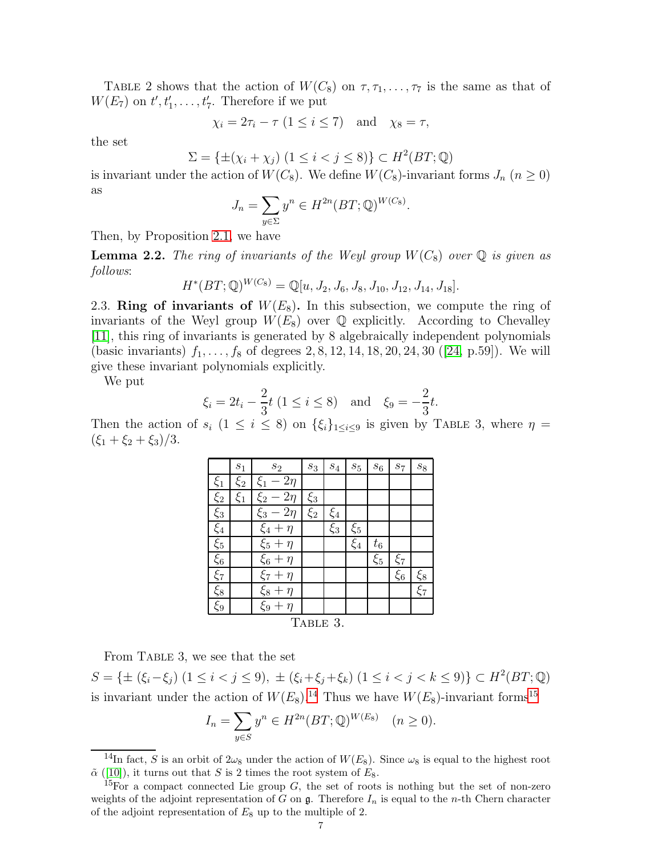TABLE 2 shows that the action of  $W(C_8)$  on  $\tau, \tau_1, \ldots, \tau_7$  is the same as that of  $W(E_7)$  on  $t', t'_1, \ldots, t'_7$ . Therefore if we put

$$
\chi_i = 2\tau_i - \tau \ (1 \le i \le 7) \quad \text{and} \quad \chi_8 = \tau,
$$

the set

$$
\Sigma = \{ \pm (\chi_i + \chi_j) \ (1 \leq i < j \leq 8) \} \subset H^2(BT; \mathbb{Q})
$$

is invariant under the action of  $W(C_8)$ . We define  $W(C_8)$ -invariant forms  $J_n$   $(n \geq 0)$ as

$$
J_n = \sum_{y \in \Sigma} y^n \in H^{2n}(BT; \mathbb{Q})^{W(C_8)}.
$$

Then, by Proposition [2.1,](#page-5-0) we have

<span id="page-6-2"></span>**Lemma 2.2.** The ring of invariants of the Weyl group  $W(C_8)$  over  $\mathbb Q$  is given as follows:

$$
H^*(BT; \mathbb{Q})^{W(C_8)} = \mathbb{Q}[u, J_2, J_6, J_8, J_{10}, J_{12}, J_{14}, J_{18}].
$$

2.3. Ring of invariants of  $W(E_8)$ . In this subsection, we compute the ring of invariants of the Weyl group  $W(E_8)$  over  $\mathbb Q$  explicitly. According to Chevalley [\[11\]](#page-33-12), this ring of invariants is generated by 8 algebraically independent polynomials (basic invariants)  $f_1, \ldots, f_8$  of degrees 2, 8, 12, 14, 18, 20, 24, 30 ([\[24,](#page-34-29) p.59]). We will give these invariant polynomials explicitly.

We put

$$
\xi_i = 2t_i - \frac{2}{3}t (1 \le i \le 8)
$$
 and  $\xi_9 = -\frac{2}{3}t$ .

Then the action of  $s_i$   $(1 \leq i \leq 8)$  on  $\{\xi_i\}_{1 \leq i \leq 9}$  is given by TABLE 3, where  $\eta =$  $(\xi_1 + \xi_2 + \xi_3)/3$ .

|          | $s_1$   | $\sqrt{s_{2}}$     | $\sqrt{s_3}$ | $\sqrt{s_4}$ | $\sqrt{s_{5}}$ | $\boldsymbol{s}_6$ | $\sqrt{S}7$ | $s_8$   |
|----------|---------|--------------------|--------------|--------------|----------------|--------------------|-------------|---------|
| $\xi_1$  | $\xi_2$ | $2\eta$<br>$\xi_1$ |              |              |                |                    |             |         |
| $\xi_2$  | $\xi_1$ | $\xi_2$<br>$2\eta$ | $\xi_3$      |              |                |                    |             |         |
| $\xi_3$  |         | $2\eta$<br>$\xi_3$ | $\xi_2$      | $\xi_4$      |                |                    |             |         |
| $\xi_4$  |         | $\xi_4+$<br>$\eta$ |              | $\xi_3$      | $\xi_5$        |                    |             |         |
| $\xi_5$  |         | $\xi_5 + \eta$     |              |              | $\xi_4$        | $t_{\rm 6}$        |             |         |
| $\xi_6$  |         | $\xi_6 + \eta$     |              |              |                | $\xi_5$            | $\xi_7$     |         |
| $\xi_7$  |         | $\xi_7 + \eta$     |              |              |                |                    | $\xi_6$     | $\xi_8$ |
| $\xi_8$  |         | $\xi_8 + \eta$     |              |              |                |                    |             | $\xi_7$ |
| $\xi_9$  |         | $\xi_9 + \eta$     |              |              |                |                    |             |         |
| TABLE 3. |         |                    |              |              |                |                    |             |         |

From TABLE 3, we see that the set

S = { $\pm$  ( $\xi_i - \xi_j$ ) (1 ≤ *i* < *j* ≤ 9),  $\pm$  ( $\xi_i + \xi_j + \xi_k$ ) (1 ≤ *i* < *j* < *k* ≤ 9)} ⊂  $H^2(BT; \mathbb{Q})$ is invariant under the action of  $W(E_8)$ .<sup>[14](#page-6-0)</sup> Thus we have  $W(E_8)$ -invariant forms<sup>[15](#page-6-1)</sup>

$$
I_n = \sum_{y \in S} y^n \in H^{2n}(BT; \mathbb{Q})^{W(E_8)}
$$
  $(n \ge 0).$ 

 $\frac{14}{14}$ In fact, S is an orbit of  $2\omega_8$  under the action of  $W(E_8)$ . Since  $\omega_8$  is equal to the highest root  $\tilde{\alpha}$  ([\[10\]](#page-33-10)), it turns out that S is 2 times the root system of  $E_8$ .

<span id="page-6-1"></span><span id="page-6-0"></span><sup>&</sup>lt;sup>15</sup>For a compact connected Lie group  $G$ , the set of roots is nothing but the set of non-zero weights of the adjoint representation of G on  $\mathfrak g$ . Therefore  $I_n$  is equal to the n-th Chern character of the adjoint representation of  $E_8$  up to the multiple of 2.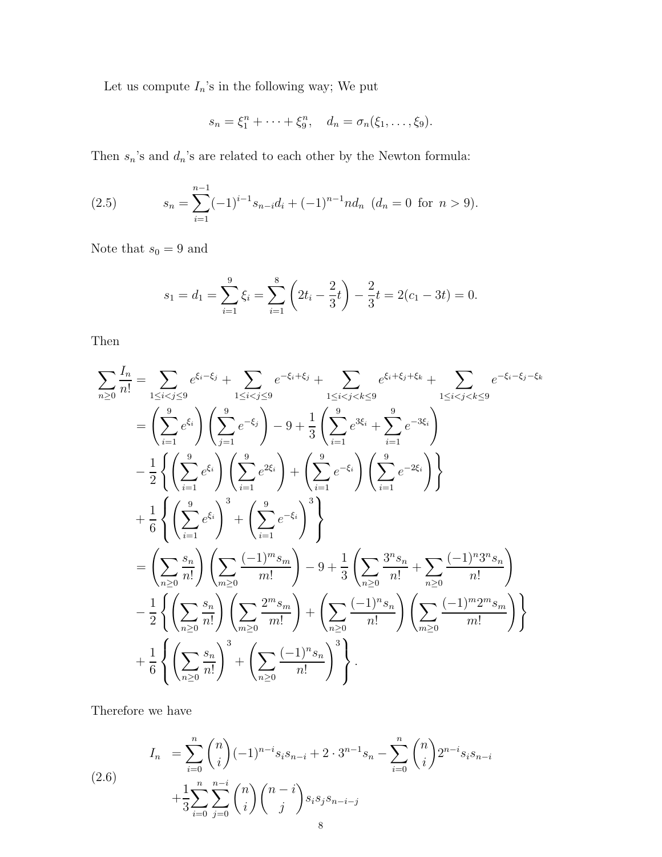Let us compute  $I_n$ 's in the following way; We put

$$
s_n = \xi_1^n + \cdots + \xi_9^n, \quad d_n = \sigma_n(\xi_1, \ldots, \xi_9).
$$

Then  $s_n\!\!$  's and  $d_n\!\!$  's are related to each other by the Newton formula:

<span id="page-7-1"></span>(2.5) 
$$
s_n = \sum_{i=1}^{n-1} (-1)^{i-1} s_{n-i} d_i + (-1)^{n-1} n d_n \ (d_n = 0 \text{ for } n > 9).
$$

Note that  $s_0=9$  and

$$
s_1 = d_1 = \sum_{i=1}^{9} \xi_i = \sum_{i=1}^{8} \left( 2t_i - \frac{2}{3}t \right) - \frac{2}{3}t = 2(c_1 - 3t) = 0.
$$

Then

$$
\sum_{n\geq 0} \frac{I_n}{n!} = \sum_{1 \leq i < j \leq 9} e^{\xi_i - \xi_j} + \sum_{1 \leq i < j \leq 9} e^{-\xi_i + \xi_j} + \sum_{1 \leq i < j < k \leq 9} e^{\xi_i + \xi_j + \xi_k} + \sum_{1 \leq i < j < k \leq 9} e^{-\xi_i - \xi_j - \xi_k}
$$
\n
$$
= \left(\sum_{i=1}^9 e^{\xi_i}\right) \left(\sum_{j=1}^9 e^{-\xi_j}\right) - 9 + \frac{1}{3} \left(\sum_{i=1}^9 e^{3\xi_i} + \sum_{i=1}^9 e^{-3\xi_i}\right)
$$
\n
$$
- \frac{1}{2} \left\{\left(\sum_{i=1}^9 e^{\xi_i}\right) \left(\sum_{i=1}^9 e^{2\xi_i}\right) + \left(\sum_{i=1}^9 e^{-\xi_i}\right) \left(\sum_{i=1}^9 e^{-2\xi_i}\right)\right\}
$$
\n
$$
+ \frac{1}{6} \left\{\left(\sum_{i=1}^9 e^{\xi_i}\right)^3 + \left(\sum_{i=1}^9 e^{-\xi_i}\right)^3\right\}
$$
\n
$$
- \frac{1}{2} \left\{\left(\sum_{n\geq 0} \frac{s_n}{n!}\right) \left(\sum_{m\geq 0} \frac{(-1)^m s_m}{m!}\right) - 9 + \frac{1}{3} \left(\sum_{n\geq 0} \frac{3^n s_n}{n!} + \sum_{n\geq 0} \frac{(-1)^n s_n}{n!}\right)
$$
\n
$$
- \frac{1}{2} \left\{\left(\sum_{n\geq 0} \frac{s_n}{n!}\right) \left(\sum_{m\geq 0} \frac{2^m s_m}{m!}\right) + \left(\sum_{n\geq 0} \frac{(-1)^n s_n}{n!}\right) \left(\sum_{m\geq 0} \frac{(-1)^m 2^m s_m}{m!}\right)\right\}
$$
\n
$$
+ \frac{1}{6} \left\{\left(\sum_{n\geq 0} \frac{s_n}{n!}\right)^3 + \left(\sum_{n\geq 0} \frac{(-1)^n s_n}{n!}\right)^3\right\}.
$$

Therefore we have

<span id="page-7-0"></span>(2.6) 
$$
I_n = \sum_{i=0}^n \binom{n}{i} (-1)^{n-i} s_i s_{n-i} + 2 \cdot 3^{n-1} s_n - \sum_{i=0}^n \binom{n}{i} 2^{n-i} s_i s_{n-i} + \frac{1}{3} \sum_{i=0}^n \sum_{j=0}^{n-i} \binom{n}{i} \binom{n-i}{j} s_i s_j s_{n-i-j}
$$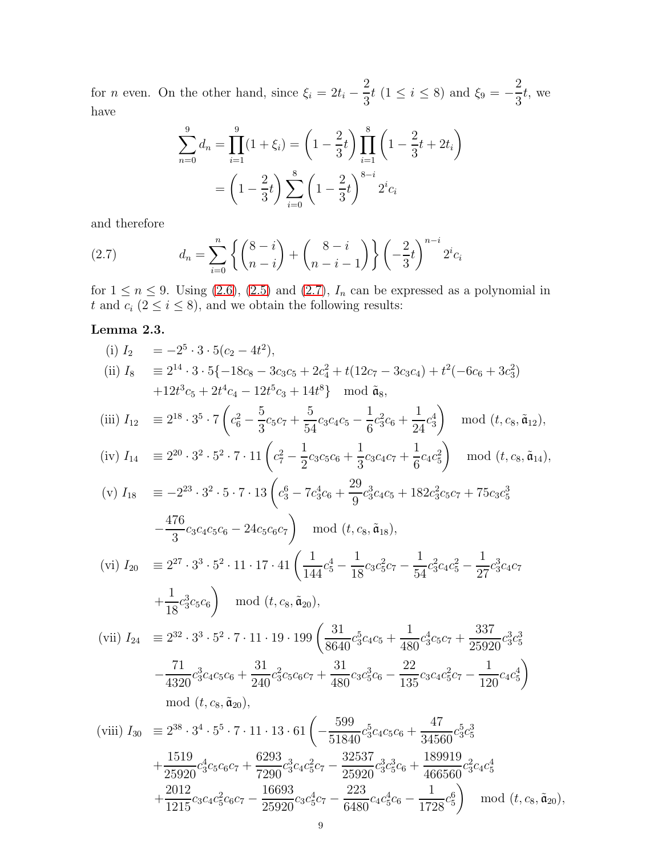for *n* even. On the other hand, since  $\xi_i = 2t_i$  – 2  $\frac{1}{3}t$  (1  $\leq i \leq 8$ ) and  $\xi_9 = -$ 2 3 t, we have

$$
\sum_{n=0}^{9} d_n = \prod_{i=1}^{9} (1 + \xi_i) = \left(1 - \frac{2}{3}t\right) \prod_{i=1}^{8} \left(1 - \frac{2}{3}t + 2t_i\right)
$$

$$
= \left(1 - \frac{2}{3}t\right) \sum_{i=0}^{8} \left(1 - \frac{2}{3}t\right)^{8-i} 2^i c_i
$$

and therefore

<span id="page-8-0"></span>(2.7) 
$$
d_n = \sum_{i=0}^n \left\{ \binom{8-i}{n-i} + \binom{8-i}{n-i-1} \right\} \left( -\frac{2}{3}t \right)^{n-i} 2^i c_i
$$

for  $1 \le n \le 9$ . Using [\(2.6\)](#page-7-0), [\(2.5\)](#page-7-1) and [\(2.7\)](#page-8-0),  $I_n$  can be expressed as a polynomial in t and  $c_i$  ( $2 \le i \le 8$ ), and we obtain the following results:

# <span id="page-8-1"></span>Lemma 2.3.

(i) 
$$
I_2 = -2^5 \cdot 3 \cdot 5(-2 - 4t^2)
$$
,  
\n(ii)  $I_8 = 2^{14} \cdot 3 \cdot 5\{-18c_8 - 3c_3c_5 + 2c_4^2 + t(12c_7 - 3c_3c_4) + t^2(-6c_6 + 3c_3^2)$   
\n $+12t^3c_5 + 2t^4c_4 - 12t^5c_3 + 14t^8$  mod  $\tilde{a}_8$ ,  
\n(iii)  $I_{12} = 2^{18} \cdot 3^5 \cdot 7 \left(c_6^2 - \frac{5}{3}c_5c_7 + \frac{5}{54}c_3c_4c_5 - \frac{1}{6}c_3^2c_6 + \frac{1}{24}c_3^4\right)$  mod  $(t, c_8, \tilde{a}_{12})$ ,  
\n(iv)  $I_{14} = 2^{20} \cdot 3^2 \cdot 5^2 \cdot 7 \cdot 11 \left(c_7^2 - \frac{1}{2}c_3c_5c_6 + \frac{1}{3}c_3c_4c_7 + \frac{1}{6}c_4c_5^2\right)$  mod  $(t, c_8, \tilde{a}_{14})$ ,  
\n(v)  $I_{18} = -2^{23} \cdot 3^2 \cdot 5 \cdot 7 \cdot 13 \left(c_3^6 - 7c_3^4c_6 + \frac{29}{9}c_3^3c_4c_5 + 182c_3^2c_5c_7 + 75c_3c_5^3\right)$   
\n $-\frac{476}{3}c_3c_4c_5c_6 - 24c_5c_6c_7\right)$  mod  $(t, c_8, \tilde{a}_{18})$ ,  
\n(vi)  $I_{20} = 2^{27} \cdot 3^3 \cdot 5^2 \cdot 11 \cdot 17 \cdot 41 \left(\frac{1}{144}c_5^4 - \frac{1}{18}c_3c_5^2c_7 - \frac{1}{54}c_3^2c_4c_5^2 - \frac{1}{27}c_3^3c_4c_7$   
\n $+\frac{1}{18}c_3^3c_5c_6\right)$  mod <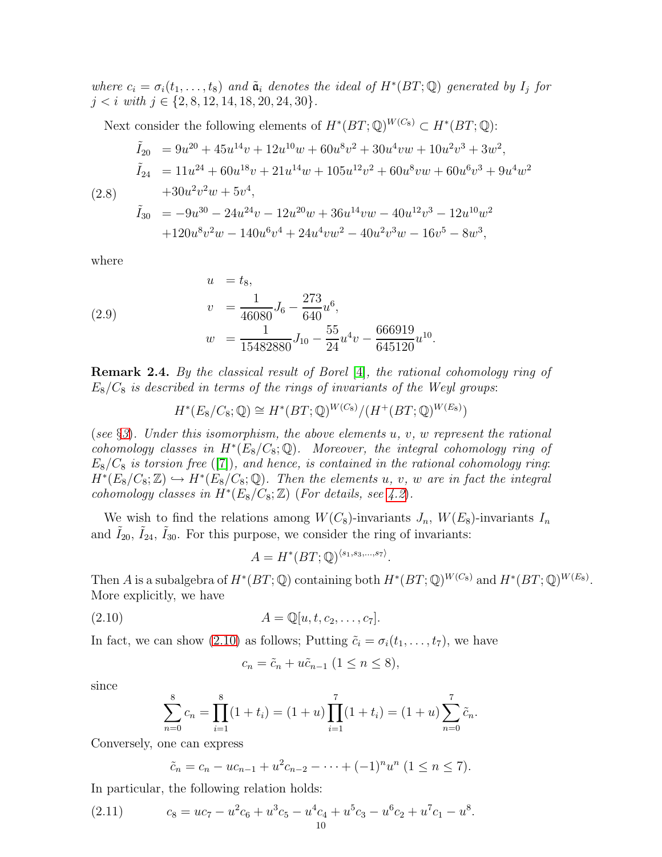where  $c_i = \sigma_i(t_1, \ldots, t_8)$  and  $\tilde{a}_i$  denotes the ideal of  $H^*(BT; \mathbb{Q})$  generated by  $I_j$  for  $j < i$  with  $j \in \{2, 8, 12, 14, 18, 20, 24, 30\}.$ 

Next consider the following elements of  $H^*(BT;\mathbb{Q})^{W(C_8)} \subset H^*(BT;\mathbb{Q})$ :

<span id="page-9-3"></span>
$$
\tilde{I}_{20} = 9u^{20} + 45u^{14}v + 12u^{10}w + 60u^{8}v^{2} + 30u^{4}vw + 10u^{2}v^{3} + 3w^{2},
$$
\n
$$
\tilde{I}_{24} = 11u^{24} + 60u^{18}v + 21u^{14}w + 105u^{12}v^{2} + 60u^{8}vw + 60u^{6}v^{3} + 9u^{4}w^{2}
$$
\n
$$
+ 30u^{2}v^{2}w + 5v^{4},
$$
\n
$$
\tilde{I}_{30} = -9u^{30} - 24u^{24}v - 12u^{20}w + 36u^{14}vw - 40u^{12}v^{3} - 12u^{10}w^{2}
$$
\n
$$
+ 120u^{8}v^{2}w - 140u^{6}v^{4} + 24u^{4}vw^{2} - 40u^{2}v^{3}w - 16v^{5} - 8w^{3},
$$

where

(2.9) 
$$
u = t_8,
$$

$$
v = \frac{1}{46080} J_6 - \frac{273}{640} u^6,
$$

$$
w = \frac{1}{15482880} J_{10} - \frac{55}{24} u^4 v - \frac{666919}{645120} u^{10}.
$$

Remark 2.4. By the classical result of Borel [\[4\]](#page-33-0), the rational cohomology ring of  $E_8/C_8$  is described in terms of the rings of invariants of the Weyl groups:

<span id="page-9-1"></span>
$$
H^*(E_8/C_8; \mathbb{Q}) \cong H^*(BT; \mathbb{Q})^{W(C_8)}/(H^+(BT; \mathbb{Q})^{W(E_8)})
$$

(see  $\S$ [3](#page-16-0)). Under this isomorphism, the above elements u, v, w represent the rational cohomology classes in  $H^*(E_8/C_8; \mathbb{Q})$ . Moreover, the integral cohomology ring of  $E_8/C_8$  is torsion free ([\[7\]](#page-33-1)), and hence, is contained in the rational cohomology ring:  $H^*(E_8/C_8; \mathbb{Z}) \hookrightarrow H^*(E_8/C_8; \mathbb{Q})$ . Then the elements u, v, w are in fact the integral cohomology classes in  $H^*(E_8/C_8; \mathbb{Z})$  (For details, see [4.2](#page-24-0)).

We wish to find the relations among  $W(C_8)$ -invariants  $J_n$ ,  $W(E_8)$ -invariants  $I_n$ and  $\tilde{I}_{20}$ ,  $\tilde{I}_{24}$ ,  $\tilde{I}_{30}$ . For this purpose, we consider the ring of invariants:

$$
A = H^*(BT; \mathbb{Q})^{\langle s_1, s_3, \dots, s_7 \rangle}.
$$

Then A is a subalgebra of  $H^*(BT;\mathbb{Q})$  containing both  $H^*(BT;\mathbb{Q})^{W(C_8)}$  and  $H^*(BT;\mathbb{Q})^{W(E_8)}$ . More explicitly, we have

$$
(2.10) \t\t A = \mathbb{Q}[u, t, c_2, \dots, c_7].
$$

In fact, we can show [\(2.10\)](#page-9-0) as follows; Putting  $\tilde{c}_i = \sigma_i(t_1, \ldots, t_7)$ , we have

<span id="page-9-0"></span>
$$
c_n = \tilde{c}_n + u\tilde{c}_{n-1} \ (1 \le n \le 8),
$$

since

$$
\sum_{n=0}^{8} c_n = \prod_{i=1}^{8} (1 + t_i) = (1 + u) \prod_{i=1}^{7} (1 + t_i) = (1 + u) \sum_{n=0}^{7} \tilde{c}_n.
$$

Conversely, one can express

<span id="page-9-2"></span>
$$
\tilde{c}_n = c_n - uc_{n-1} + u^2 c_{n-2} - \dots + (-1)^n u^n \ (1 \le n \le 7).
$$

In particular, the following relation holds:

(2.11) 
$$
c_8 = uc_7 - u^2 c_6 + u^3 c_5 - u^4 c_4 + u^5 c_3 - u^6 c_2 + u^7 c_1 - u^8.
$$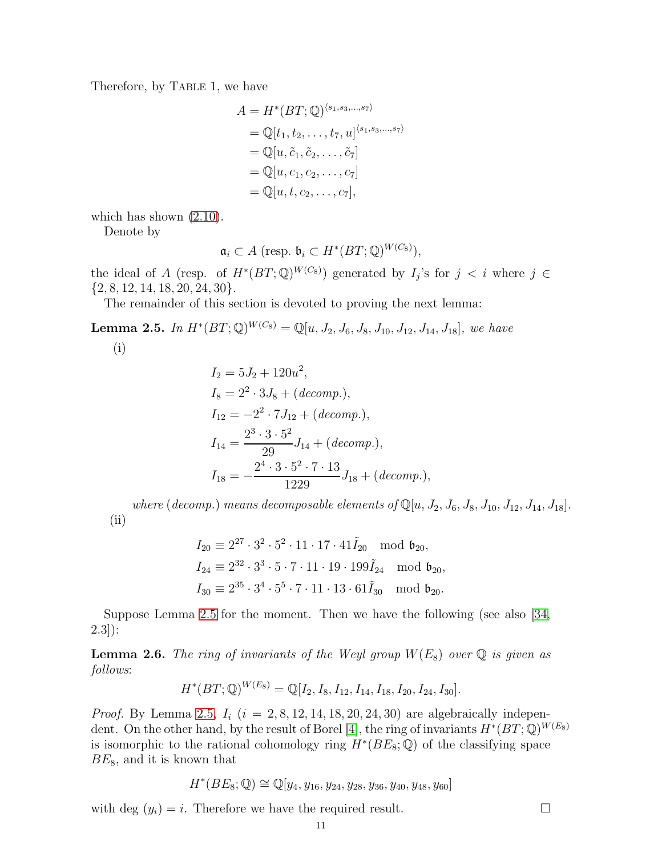Therefore, by TABLE 1, we have

$$
A = H^*(BT; \mathbb{Q})^{\langle s_1, s_3, \dots, s_7 \rangle}
$$
  
=  $\mathbb{Q}[t_1, t_2, \dots, t_7, u]^{\langle s_1, s_3, \dots, s_7 \rangle}$   
=  $\mathbb{Q}[u, \tilde{c}_1, \tilde{c}_2, \dots, \tilde{c}_7]$   
=  $\mathbb{Q}[u, c_1, c_2, \dots, c_7]$   
=  $\mathbb{Q}[u, t, c_2, \dots, c_7],$ 

which has shown  $(2.10)$ .

Denote by

$$
\mathfrak{a}_i \subset A \; (\text{resp. } \mathfrak{b}_i \subset H^*(BT;\mathbb{Q})^{W(C_8)}),
$$

the ideal of A (resp. of  $H^*(BT;\mathbb{Q})^{W(C_8)}$ ) generated by  $I_j$ 's for  $j < i$  where  $j \in$  $\{2, 8, 12, 14, 18, 20, 24, 30\}.$ 

The remainder of this section is devoted to proving the next lemma:

<span id="page-10-0"></span>**Lemma 2.5.** In  $H^*(BT;\mathbb{Q})^{W(C_8)} = \mathbb{Q}[u, J_2, J_6, J_8, J_{10}, J_{12}, J_{14}, J_{18}]$ , we have

$$
(i)
$$

$$
I_2 = 5J_2 + 120u^2,
$$
  
\n
$$
I_8 = 2^2 \cdot 3J_8 + (decomp.),
$$
  
\n
$$
I_{12} = -2^2 \cdot 7J_{12} + (decomp.),
$$
  
\n
$$
I_{14} = \frac{2^3 \cdot 3 \cdot 5^2}{29}J_{14} + (decomp.),
$$
  
\n
$$
I_{18} = -\frac{2^4 \cdot 3 \cdot 5^2 \cdot 7 \cdot 13}{1229}J_{18} + (decomp.),
$$

where (decomp.) means decomposable elements of  $\mathbb{Q}[u, J_2, J_6, J_8, J_{10}, J_{12}, J_{14}, J_{18}]$ . (ii)

$$
I_{20} \equiv 2^{27} \cdot 3^2 \cdot 5^2 \cdot 11 \cdot 17 \cdot 41 \tilde{I}_{20} \mod \mathfrak{b}_{20},
$$
  
\n
$$
I_{24} \equiv 2^{32} \cdot 3^3 \cdot 5 \cdot 7 \cdot 11 \cdot 19 \cdot 199 \tilde{I}_{24} \mod \mathfrak{b}_{20},
$$
  
\n
$$
I_{30} \equiv 2^{35} \cdot 3^4 \cdot 5^5 \cdot 7 \cdot 11 \cdot 13 \cdot 61 \tilde{I}_{30} \mod \mathfrak{b}_{20}.
$$

Suppose Lemma [2.5](#page-10-0) for the moment. Then we have the following (see also [\[34,](#page-34-28) 2.3]):

<span id="page-10-1"></span>**Lemma 2.6.** The ring of invariants of the Weyl group  $W(E_8)$  over  $\mathbb Q$  is given as follows:

$$
H^*(BT; \mathbb{Q})^{W(E_8)} = \mathbb{Q}[I_2, I_8, I_{12}, I_{14}, I_{18}, I_{20}, I_{24}, I_{30}].
$$

*Proof.* By Lemma [2.5,](#page-10-0)  $I_i$  ( $i = 2, 8, 12, 14, 18, 20, 24, 30$ ) are algebraically indepen-dent. On the other hand, by the result of Borel [\[4\]](#page-33-0), the ring of invariants  $H^*(BT;\mathbb{Q})^{W(E_8)}$ is isomorphic to the rational cohomology ring  $H^*(BE_8; \mathbb{Q})$  of the classifying space  $BE_8$ , and it is known that

$$
H^*(BE_8; \mathbb{Q}) \cong \mathbb{Q}[y_4, y_{16}, y_{24}, y_{28}, y_{36}, y_{40}, y_{48}, y_{60}]
$$

with deg  $(y_i) = i$ . Therefore we have the required result.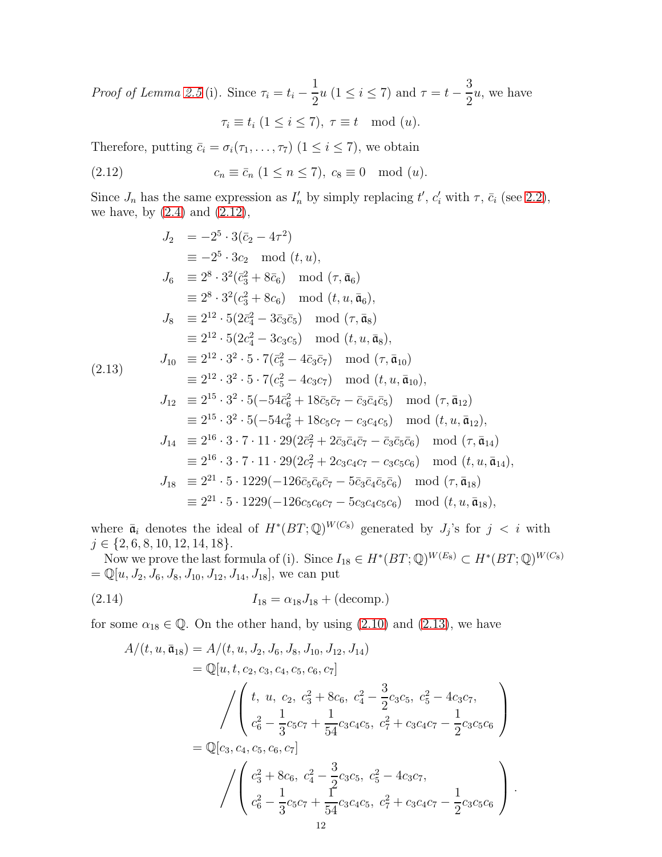*Proof of Lemma [2.5](#page-10-0)* (i). Since  $\tau_i = t_i - \frac{1}{2}$  $\frac{1}{2}u$  (1  $\leq i \leq 7$ ) and  $\tau = t -$ 3 2 u, we have  $\tau_i \equiv t_i \ (1 \leq i \leq 7), \ \tau \equiv t \mod(u).$ 

Therefore, putting  $\bar{c}_i = \sigma_i(\tau_1, \ldots, \tau_7)$   $(1 \leq i \leq 7)$ , we obtain

<span id="page-11-0"></span>
$$
(2.12) \t\t c_n \equiv \bar{c}_n \ (1 \le n \le 7), \ c_8 \equiv 0 \mod(u).
$$

Since  $J_n$  has the same expression as  $I'_n$  by simply replacing  $t'$ ,  $c'_i$  with  $\tau$ ,  $\bar{c}_i$  (see [2.2\)](#page-5-1), we have, by  $(2.4)$  and  $(2.12)$ ,

<span id="page-11-1"></span>
$$
J_2 = -2^5 \cdot 3(\bar{c}_2 - 4\tau^2)
$$
  
\n
$$
\equiv -2^5 \cdot 3c_2 \mod(t, u),
$$
  
\n
$$
J_6 \equiv 2^8 \cdot 3^2(\bar{c}_3^2 + 8\bar{c}_6) \mod(\tau, \bar{a}_6)
$$
  
\n
$$
\equiv 2^8 \cdot 3^2(c_3^2 + 8c_6) \mod(t, u, \bar{a}_6),
$$
  
\n
$$
J_8 \equiv 2^{12} \cdot 5(2\bar{c}_4^2 - 3\bar{c}_3\bar{c}_5) \mod(\tau, \bar{a}_8)
$$
  
\n
$$
\equiv 2^{12} \cdot 5(2c_4^2 - 3c_3c_5) \mod(t, u, \bar{a}_8),
$$
  
\n
$$
J_{10} \equiv 2^{12} \cdot 3^2 \cdot 5 \cdot 7(\bar{c}_5^2 - 4\bar{c}_3\bar{c}_7) \mod(\tau, \bar{a}_{10})
$$
  
\n
$$
\equiv 2^{12} \cdot 3^2 \cdot 5 \cdot 7(c_5^2 - 4c_3c_7) \mod(t, u, \bar{a}_{10}),
$$
  
\n
$$
J_{12} \equiv 2^{15} \cdot 3^2 \cdot 5(-54\bar{c}_6^2 + 18\bar{c}_5\bar{c}_7 - \bar{c}_3\bar{c}_4\bar{c}_5) \mod(\tau, \bar{a}_{12})
$$
  
\n
$$
\equiv 2^{15} \cdot 3^2 \cdot 5(-54\bar{c}_6^2 + 18\bar{c}_5\bar{c}_7 - c_3c_4c_5) \mod(t, u, \bar{a}_{12}),
$$
  
\n
$$
J_{14} \equiv 2^{16} \cdot 3 \cdot 7 \cdot 11 \cdot 29(2\bar{c}_7^2 + 2\bar{c}_3\bar{c}_4\bar{c}_7 - \bar{c}_3\bar{c}_5\bar{c}_6) \mod(\tau, \bar{a}_{14})
$$
  
\n
$$
\equiv 2^{16} \cdot 3 \cdot 7 \cdot 11 \cdot 29(2\bar{c}_7^2 + 2c_3c_4c_7 - c_
$$

where  $\bar{\mathfrak{a}}_i$  denotes the ideal of  $H^*(BT;\mathbb{Q})^{W(C_8)}$  generated by  $J_j$ 's for  $j < i$  with  $j \in \{2, 6, 8, 10, 12, 14, 18\}.$ 

Now we prove the last formula of (i). Since  $I_{18} \in H^*(BT; \mathbb{Q})^{W(E_8)} \subset H^*(BT; \mathbb{Q})^{W(C_8)}$  $=\mathbb{Q}[u, J_2, J_6, J_8, J_{10}, J_{12}, J_{14}, J_{18}]$ , we can put

(2.14) 
$$
I_{18} = \alpha_{18} J_{18} + (\text{decomp.})
$$

for some  $\alpha_{18} \in \mathbb{Q}$ . On the other hand, by using [\(2.10\)](#page-9-0) and [\(2.13\)](#page-11-1), we have

<span id="page-11-2"></span>
$$
A/(t, u, \bar{\mathfrak{a}}_{18}) = A/(t, u, J_2, J_6, J_8, J_{10}, J_{12}, J_{14})
$$
  
\n
$$
= \mathbb{Q}[u, t, c_2, c_3, c_4, c_5, c_6, c_7]
$$
  
\n
$$
\int \begin{pmatrix} t, u, c_2, c_3^2 + 8c_6, c_4^2 - \frac{3}{2}c_3c_5, c_5^2 - 4c_3c_7, \\ c_6^2 - \frac{1}{3}c_5c_7 + \frac{1}{54}c_3c_4c_5, c_7^2 + c_3c_4c_7 - \frac{1}{2}c_3c_5c_6 \end{pmatrix}
$$
  
\n
$$
= \mathbb{Q}[c_3, c_4, c_5, c_6, c_7]
$$
  
\n
$$
\int \begin{pmatrix} c_3^2 + 8c_6, c_4^2 - \frac{3}{2}c_3c_5, c_5^2 - 4c_3c_7, \\ c_6^2 - \frac{1}{3}c_5c_7 + \frac{1}{54}c_3c_4c_5, c_7^2 + c_3c_4c_7 - \frac{1}{2}c_3c_5c_6 \end{pmatrix}.
$$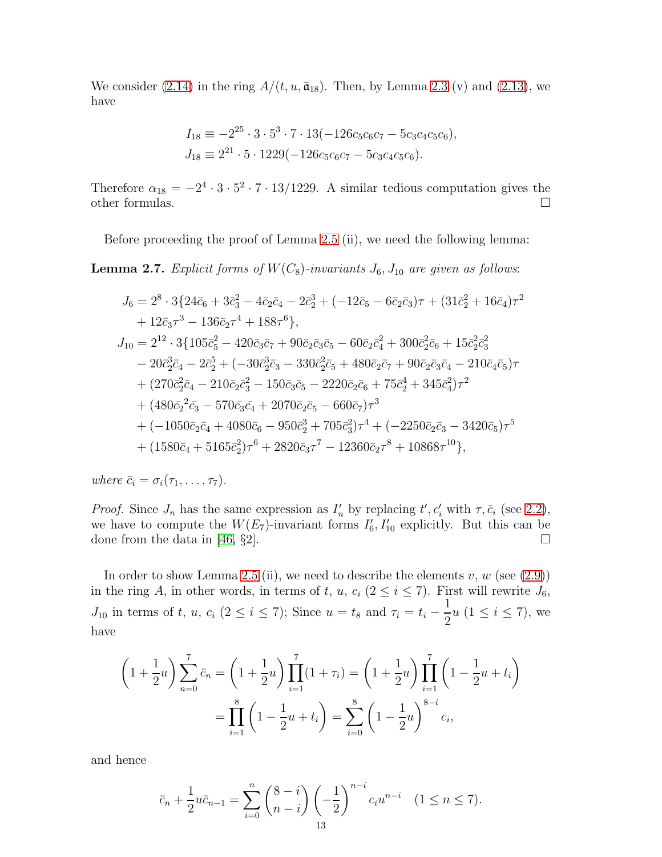We consider [\(2.14\)](#page-11-2) in the ring  $A/(t, u, \bar{\mathfrak{a}}_{18})$ . Then, by Lemma [2.3](#page-8-1) (v) and [\(2.13\)](#page-11-1), we have

$$
I_{18} \equiv -2^{25} \cdot 3 \cdot 5^3 \cdot 7 \cdot 13(-126c_5c_6c_7 - 5c_3c_4c_5c_6),
$$
  
\n
$$
J_{18} \equiv 2^{21} \cdot 5 \cdot 1229(-126c_5c_6c_7 - 5c_3c_4c_5c_6).
$$

Therefore  $\alpha_{18} = -2^4 \cdot 3 \cdot 5^2 \cdot 7 \cdot 13/1229$ . A similar tedious computation gives the other formulas.  $\Box$ 

Before proceeding the proof of Lemma [2.5](#page-10-0) (ii), we need the following lemma:

<span id="page-12-0"></span>**Lemma 2.7.** Explicit forms of  $W(C_8)$ -invariants  $J_6$ ,  $J_{10}$  are given as follows:

$$
J_6 = 2^8 \cdot 3\{24\bar{c}_6 + 3\bar{c}_3^2 - 4\bar{c}_2\bar{c}_4 - 2\bar{c}_2^3 + (-12\bar{c}_5 - 6\bar{c}_2\bar{c}_3)\tau + (31\bar{c}_2^2 + 16\bar{c}_4)\tau^2
$$
  
+  $12\bar{c}_3\tau^3 - 136\bar{c}_2\tau^4 + 188\tau^6\},$   

$$
J_{10} = 2^{12} \cdot 3\{105\bar{c}_5^2 - 420\bar{c}_3\bar{c}_7 + 90\bar{c}_2\bar{c}_3\bar{c}_5 - 60\bar{c}_2\bar{c}_4^2 + 300\bar{c}_2^2\bar{c}_6 + 15\bar{c}_2^2\bar{c}_3^2
$$
  
-  $20\bar{c}_2^3\bar{c}_4 - 2\bar{c}_2^5 + (-30\bar{c}_2^3\bar{c}_3 - 330\bar{c}_2^2\bar{c}_5 + 480\bar{c}_2\bar{c}_7 + 90\bar{c}_2\bar{c}_3\bar{c}_4 - 210\bar{c}_4\bar{c}_5)\tau$   
+  $(270\bar{c}_2^2\bar{c}_4 - 210\bar{c}_2\bar{c}_3^2 - 150\bar{c}_3\bar{c}_5 - 2220\bar{c}_2\bar{c}_6 + 75\bar{c}_2^4 + 345\bar{c}_4^2)\tau^2$   
+  $(480\bar{c}_2^2\bar{c}_3 - 570\bar{c}_3\bar{c}_4 + 2070\bar{c}_2\bar{c}_5 - 660\bar{c}_7)\tau^3$   
+  $(-1050\bar{c}_2\bar{c}_4 + 4080\bar{c}_6 - 950\bar{c}_2^3 + 705\bar{c}_3^2)\tau^4 + (-2250\bar{c}_2\bar{c}_3 - 3420\bar{c}_5)\tau^5$   
+  $(1580\bar{c}_4 + 5165\bar{c}_2^2)\tau^6 + 2820\bar{c}_3\tau^7$ 

where  $\bar{c}_i = \sigma_i(\tau_1, \ldots, \tau_7)$ .

*Proof.* Since  $J_n$  has the same expression as  $I'_n$  by replacing  $t', c'_i$  with  $\tau, \bar{c}_i$  (see [2.2\)](#page-5-1), we have to compute the  $W(E_7)$ -invariant forms  $I'_6$ ,  $I'_{10}$  explicitly. But this can be done from the data in [\[46,](#page-35-1) §2].

In order to show Lemma [2.5](#page-10-0) (ii), we need to describe the elements  $v, w$  (see [\(2.9\)](#page-9-1)) in the ring A, in other words, in terms of t, u,  $c_i$  ( $2 \le i \le 7$ ). First will rewrite  $J_6$ ,  $J_{10}$  in terms of t, u,  $c_i$  ( $2 \le i \le 7$ ); Since  $u = t_8$  and  $\tau_i = t_i$  – 1  $\frac{1}{2}u$   $(1 \leq i \leq 7)$ , we have

$$
\left(1+\frac{1}{2}u\right)\sum_{n=0}^{7}\bar{c}_n = \left(1+\frac{1}{2}u\right)\prod_{i=1}^{7}(1+\tau_i) = \left(1+\frac{1}{2}u\right)\prod_{i=1}^{7}\left(1-\frac{1}{2}u+t_i\right)
$$

$$
=\prod_{i=1}^{8}\left(1-\frac{1}{2}u+t_i\right) = \sum_{i=0}^{8}\left(1-\frac{1}{2}u\right)^{8-i}c_i,
$$

and hence

$$
\bar{c}_n + \frac{1}{2} u \bar{c}_{n-1} = \sum_{i=0}^n {8-i \choose n-i} \left(-\frac{1}{2}\right)^{n-i} c_i u^{n-i} \quad (1 \le n \le 7).
$$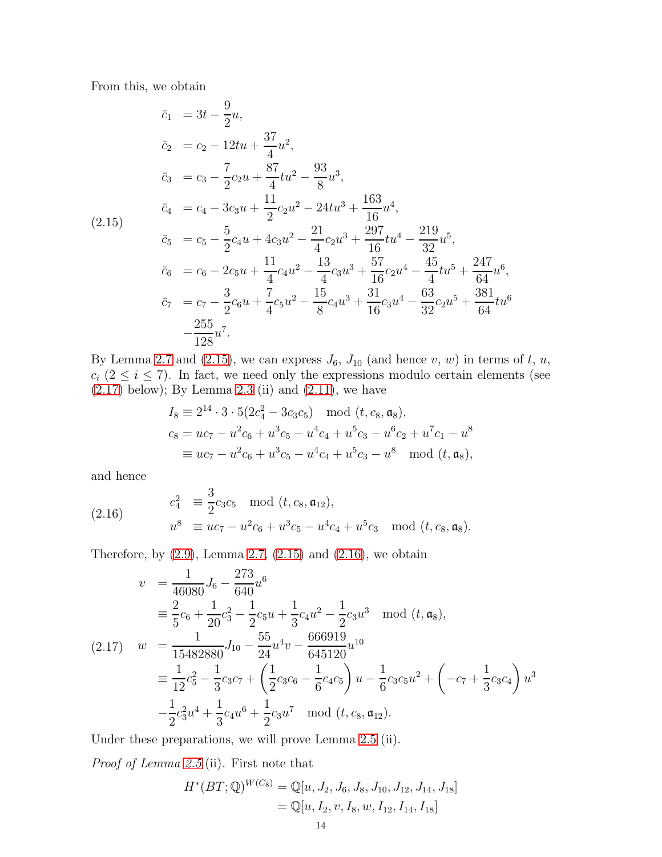From this, we obtain

<span id="page-13-0"></span>
$$
\begin{aligned}\n\bar{c}_1 &= 3t - \frac{9}{2}u, \\
\bar{c}_2 &= c_2 - 12tu + \frac{37}{4}u^2, \\
\bar{c}_3 &= c_3 - \frac{7}{2}c_2u + \frac{87}{4}tu^2 - \frac{93}{8}u^3, \\
\bar{c}_4 &= c_4 - 3c_3u + \frac{11}{2}c_2u^2 - 24tu^3 + \frac{163}{16}u^4, \\
\bar{c}_5 &= c_5 - \frac{5}{2}c_4u + 4c_3u^2 - \frac{21}{4}c_2u^3 + \frac{297}{16}tu^4 - \frac{219}{32}u^5, \\
\bar{c}_6 &= c_6 - 2c_5u + \frac{11}{4}c_4u^2 - \frac{13}{4}c_3u^3 + \frac{57}{16}c_2u^4 - \frac{45}{4}tu^5 + \frac{247}{64}u^6, \\
\bar{c}_7 &= c_7 - \frac{3}{2}c_6u + \frac{7}{4}c_5u^2 - \frac{15}{8}c_4u^3 + \frac{31}{16}c_3u^4 - \frac{63}{32}c_2u^5 + \frac{381}{64}tu^6 \\
-\frac{255}{128}u^7.\n\end{aligned}
$$

By Lemma [2.7](#page-12-0) and [\(2.15\)](#page-13-0), we can express  $J_6$ ,  $J_{10}$  (and hence v, w) in terms of t, u,  $c_i$  ( $2 \le i \le 7$ ). In fact, we need only the expressions modulo certain elements (see  $(2.17)$  below); By Lemma [2.3](#page-8-1) (ii) and  $(2.11)$ , we have

$$
I_8 \equiv 2^{14} \cdot 3 \cdot 5(2c_4^2 - 3c_3c_5) \mod (t, c_8, \mathfrak{a}_8),
$$
  
\n
$$
c_8 = uc_7 - u^2c_6 + u^3c_5 - u^4c_4 + u^5c_3 - u^6c_2 + u^7c_1 - u^8
$$
  
\n
$$
\equiv uc_7 - u^2c_6 + u^3c_5 - u^4c_4 + u^5c_3 - u^8 \mod (t, \mathfrak{a}_8),
$$

and hence

<span id="page-13-2"></span>(2.16) 
$$
c_4^2 \equiv \frac{3}{2} c_3 c_5 \mod (t, c_8, \mathfrak{a}_{12}),
$$

$$
u^8 \equiv uc_7 - u^2 c_6 + u^3 c_5 - u^4 c_4 + u^5 c_3 \mod (t, c_8, \mathfrak{a}_8).
$$

Therefore, by  $(2.9)$ , Lemma [2.7,](#page-12-0)  $(2.15)$  and  $(2.16)$ , we obtain

<span id="page-13-1"></span>
$$
v = \frac{1}{46080} J_6 - \frac{273}{640} u^6
$$
  
\n
$$
\equiv \frac{2}{5} c_6 + \frac{1}{20} c_3^2 - \frac{1}{2} c_5 u + \frac{1}{3} c_4 u^2 - \frac{1}{2} c_3 u^3 \mod (t, \mathfrak{a}_8),
$$
  
\n(2.17) 
$$
w = \frac{1}{15482880} J_{10} - \frac{55}{24} u^4 v - \frac{666919}{645120} u^{10}
$$
  
\n
$$
\equiv \frac{1}{12} c_5^2 - \frac{1}{3} c_3 c_7 + \left(\frac{1}{2} c_3 c_6 - \frac{1}{6} c_4 c_5\right) u - \frac{1}{6} c_3 c_5 u^2 + \left(-c_7 + \frac{1}{3} c_3 c_4\right) u^3
$$
  
\n
$$
-\frac{1}{2} c_3^2 u^4 + \frac{1}{3} c_4 u^6 + \frac{1}{2} c_3 u^7 \mod (t, c_8, \mathfrak{a}_{12}).
$$

Under these preparations, we will prove Lemma [2.5](#page-10-0) (ii).

Proof of Lemma [2.5](#page-10-0) (ii). First note that

$$
H^*(BT; \mathbb{Q})^{W(C_8)} = \mathbb{Q}[u, J_2, J_6, J_8, J_{10}, J_{12}, J_{14}, J_{18}]
$$
  
=  $\mathbb{Q}[u, I_2, v, I_8, w, I_{12}, I_{14}, I_{18}]$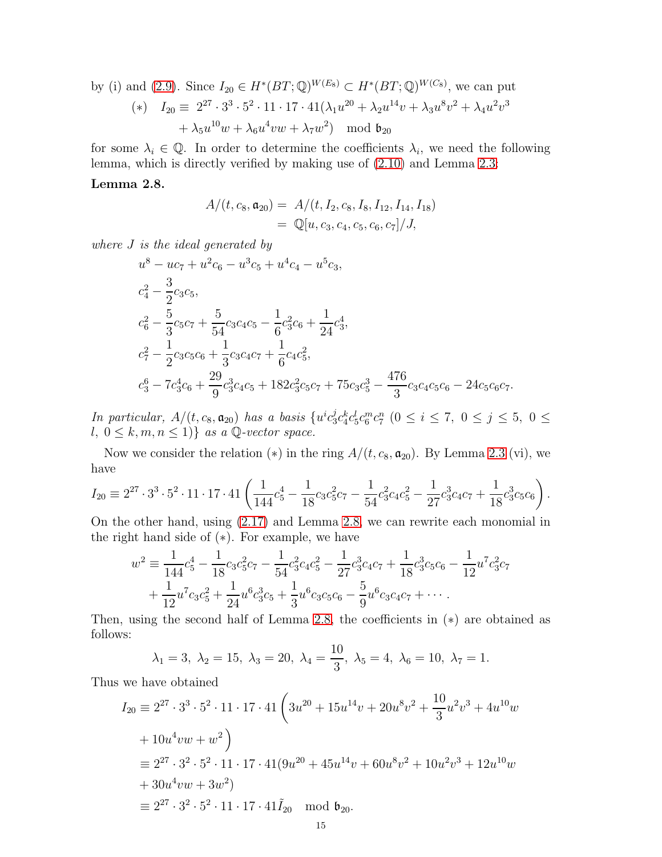by (i) and (2.9). Since 
$$
I_{20} \in H^*(BT; \mathbb{Q})^{W(E_8)} \subset H^*(BT; \mathbb{Q})^{W(C_8)}
$$
, we can put  
\n
$$
(*) \quad I_{20} \equiv 2^{27} \cdot 3^3 \cdot 5^2 \cdot 11 \cdot 17 \cdot 41(\lambda_1 u^{20} + \lambda_2 u^{14} v + \lambda_3 u^8 v^2 + \lambda_4 u^2 v^3 + \lambda_5 u^{10} w + \lambda_6 u^4 v w + \lambda_7 w^2) \mod \mathfrak{b}_{20}
$$

for some  $\lambda_i \in \mathbb{Q}$ . In order to determine the coefficients  $\lambda_i$ , we need the following lemma, which is directly verified by making use of [\(2.10\)](#page-9-0) and Lemma [2.3:](#page-8-1)

## <span id="page-14-0"></span>Lemma 2.8.

$$
A/(t, c_8, \mathfrak{a}_{20}) = A/(t, I_2, c_8, I_8, I_{12}, I_{14}, I_{18})
$$
  
=  $\mathbb{Q}[u, c_3, c_4, c_5, c_6, c_7]/J,$ 

where J is the ideal generated by

$$
u^{8} - uc_{7} + u^{2}c_{6} - u^{3}c_{5} + u^{4}c_{4} - u^{5}c_{3},
$$
  
\n
$$
c_{4}^{2} - \frac{3}{2}c_{3}c_{5},
$$
  
\n
$$
c_{6}^{2} - \frac{5}{3}c_{5}c_{7} + \frac{5}{54}c_{3}c_{4}c_{5} - \frac{1}{6}c_{3}^{2}c_{6} + \frac{1}{24}c_{3}^{4},
$$
  
\n
$$
c_{7}^{2} - \frac{1}{2}c_{3}c_{5}c_{6} + \frac{1}{3}c_{3}c_{4}c_{7} + \frac{1}{6}c_{4}c_{5}^{2},
$$
  
\n
$$
c_{3}^{6} - 7c_{3}^{4}c_{6} + \frac{29}{9}c_{3}^{3}c_{4}c_{5} + 182c_{3}^{2}c_{5}c_{7} + 75c_{3}c_{5}^{3} - \frac{476}{3}c_{3}c_{4}c_{5}c_{6} - 24c_{5}c_{6}c_{7}.
$$

In particular,  $A/(t, c_8, \mathfrak{a}_{20})$  has a basis  $\{u^i c_3^j\}$  $j_c^j c_4^k c_5^l c_6^m c_7^n$  ( $0 \le i \le 7$ ,  $0 \le j \le 5$ ,  $0 \le$ l,  $0 \leq k, m, n \leq 1$ } as a Q-vector space.

Now we consider the relation (\*) in the ring  $A/(t, c_8, \mathfrak{a}_{20})$ . By Lemma [2.3](#page-8-1) (vi), we have

$$
I_{20} \equiv 2^{27} \cdot 3^3 \cdot 5^2 \cdot 11 \cdot 17 \cdot 41 \left( \frac{1}{144} c_5^4 - \frac{1}{18} c_3 c_5^2 c_7 - \frac{1}{54} c_3^2 c_4 c_5^2 - \frac{1}{27} c_3^3 c_4 c_7 + \frac{1}{18} c_3^3 c_5 c_6 \right).
$$

On the other hand, using [\(2.17\)](#page-13-1) and Lemma [2.8,](#page-14-0) we can rewrite each monomial in the right hand side of (∗). For example, we have

$$
w^{2} \equiv \frac{1}{144}c_{5}^{4} - \frac{1}{18}c_{3}c_{5}^{2}c_{7} - \frac{1}{54}c_{3}^{2}c_{4}c_{5}^{2} - \frac{1}{27}c_{3}^{3}c_{4}c_{7} + \frac{1}{18}c_{3}^{3}c_{5}c_{6} - \frac{1}{12}u^{7}c_{3}^{2}c_{7} + \frac{1}{12}u^{7}c_{3}c_{5}^{2} + \frac{1}{24}u^{6}c_{3}^{3}c_{5} + \frac{1}{3}u^{6}c_{3}c_{5}c_{6} - \frac{5}{9}u^{6}c_{3}c_{4}c_{7} + \cdots
$$

Then, using the second half of Lemma [2.8,](#page-14-0) the coefficients in (∗) are obtained as follows:

$$
\lambda_1 = 3, \ \lambda_2 = 15, \ \lambda_3 = 20, \ \lambda_4 = \frac{10}{3}, \ \lambda_5 = 4, \ \lambda_6 = 10, \ \lambda_7 = 1.
$$

Thus we have obtained

$$
I_{20} \equiv 2^{27} \cdot 3^3 \cdot 5^2 \cdot 11 \cdot 17 \cdot 41 \left( 3u^{20} + 15u^{14}v + 20u^8v^2 + \frac{10}{3}u^2v^3 + 4u^{10}w
$$
  
+  $10u^4vw + w^2$   

$$
\equiv 2^{27} \cdot 3^2 \cdot 5^2 \cdot 11 \cdot 17 \cdot 41(9u^{20} + 45u^{14}v + 60u^8v^2 + 10u^2v^3 + 12u^{10}w
$$
  
+  $30u^4vw + 3w^2$   

$$
\equiv 2^{27} \cdot 3^2 \cdot 5^2 \cdot 11 \cdot 17 \cdot 41\tilde{I}_{20} \mod {b_{20}}.
$$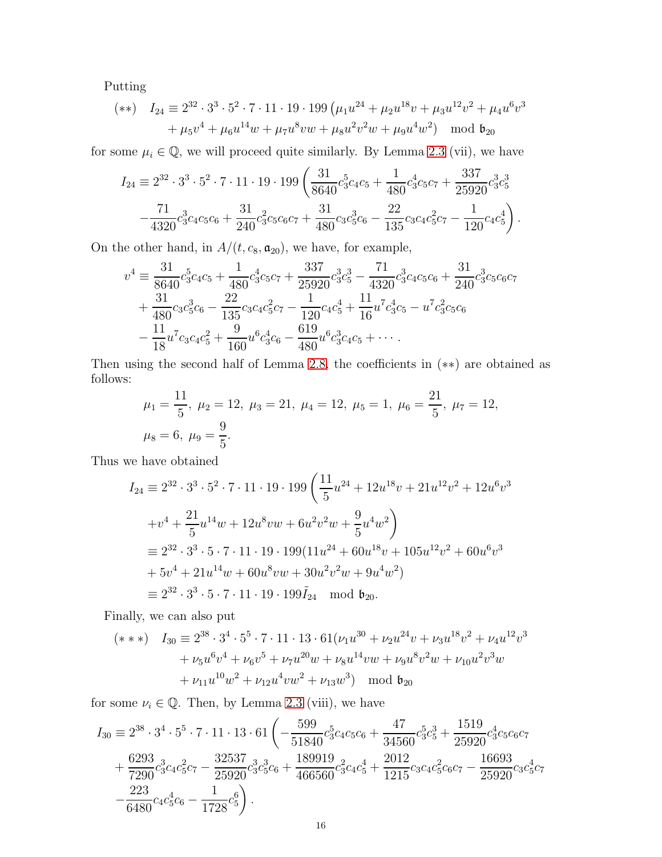Putting

$$
(*) \quad I_{24} \equiv 2^{32} \cdot 3^3 \cdot 5^2 \cdot 7 \cdot 11 \cdot 19 \cdot 199 \left( \mu_1 u^{24} + \mu_2 u^{18} v + \mu_3 u^{12} v^2 + \mu_4 u^6 v^3 + \mu_5 v^4 + \mu_6 u^{14} w + \mu_7 u^8 v w + \mu_8 u^2 v^2 w + \mu_9 u^4 w^2 \right) \mod \mathfrak{b}_{20}
$$

for some  $\mu_i \in \mathbb{Q}$ , we will proceed quite similarly. By Lemma [2.3](#page-8-1) (vii), we have

$$
I_{24} \equiv 2^{32} \cdot 3^3 \cdot 5^2 \cdot 7 \cdot 11 \cdot 19 \cdot 199 \left( \frac{31}{8640} c_3^5 c_4 c_5 + \frac{1}{480} c_3^4 c_5 c_7 + \frac{337}{25920} c_3^3 c_5^3 - \frac{71}{4320} c_3^3 c_4 c_5 c_6 + \frac{31}{240} c_3^2 c_5 c_6 c_7 + \frac{31}{480} c_3 c_5^3 c_6 - \frac{22}{135} c_3 c_4 c_5^2 c_7 - \frac{1}{120} c_4 c_5^4 \right).
$$

On the other hand, in  $A/(t, c_8, \mathfrak{a}_{20}),$  we have, for example,

$$
v^{4} = \frac{31}{8640}c_{3}^{5}c_{4}c_{5} + \frac{1}{480}c_{3}^{4}c_{5}c_{7} + \frac{337}{25920}c_{3}^{3}c_{5}^{3} - \frac{71}{4320}c_{3}^{3}c_{4}c_{5}c_{6} + \frac{31}{240}c_{3}^{3}c_{5}c_{6}c_{7} + \frac{31}{480}c_{3}c_{5}^{3}c_{6} - \frac{22}{135}c_{3}c_{4}c_{5}^{2}c_{7} - \frac{1}{120}c_{4}c_{5}^{4} + \frac{11}{16}u^{7}c_{3}^{4}c_{5} - u^{7}c_{3}^{2}c_{5}c_{6} -\frac{11}{18}u^{7}c_{3}c_{4}c_{5}^{2} + \frac{9}{160}u^{6}c_{3}^{4}c_{6} - \frac{619}{480}u^{6}c_{3}^{3}c_{4}c_{5} + \cdots
$$

Then using the second half of Lemma [2.8,](#page-14-0) the coefficients in (∗∗) are obtained as follows:

$$
\mu_1 = \frac{11}{5}, \ \mu_2 = 12, \ \mu_3 = 21, \ \mu_4 = 12, \ \mu_5 = 1, \ \mu_6 = \frac{21}{5}, \ \mu_7 = 12,
$$
  
\n $\mu_8 = 6, \ \mu_9 = \frac{9}{5}.$ 

Thus we have obtained

$$
I_{24} \equiv 2^{32} \cdot 3^3 \cdot 5^2 \cdot 7 \cdot 11 \cdot 19 \cdot 199 \left( \frac{11}{5} u^{24} + 12 u^{18} v + 21 u^{12} v^2 + 12 u^6 v^3 \right.
$$
  
\n
$$
+ v^4 + \frac{21}{5} u^{14} w + 12 u^8 v w + 6 u^2 v^2 w + \frac{9}{5} u^4 w^2 \right)
$$
  
\n
$$
\equiv 2^{32} \cdot 3^3 \cdot 5 \cdot 7 \cdot 11 \cdot 19 \cdot 199 (11 u^{24} + 60 u^{18} v + 105 u^{12} v^2 + 60 u^6 v^3
$$
  
\n
$$
+ 5 v^4 + 21 u^{14} w + 60 u^8 v w + 30 u^2 v^2 w + 9 u^4 w^2)
$$
  
\n
$$
\equiv 2^{32} \cdot 3^3 \cdot 5 \cdot 7 \cdot 11 \cdot 19 \cdot 199 \tilde{I}_{24} \mod b_{20}.
$$

Finally, we can also put

$$
(\ast \ast \ast) \quad I_{30} \equiv 2^{38} \cdot 3^4 \cdot 5^5 \cdot 7 \cdot 11 \cdot 13 \cdot 61(\nu_1 u^{30} + \nu_2 u^{24} v + \nu_3 u^{18} v^2 + \nu_4 u^{12} v^3
$$

$$
+ \nu_5 u^6 v^4 + \nu_6 v^5 + \nu_7 u^{20} w + \nu_8 u^{14} v w + \nu_9 u^8 v^2 w + \nu_{10} u^2 v^3 w
$$

$$
+ \nu_{11} u^{10} w^2 + \nu_{12} u^4 v w^2 + \nu_{13} w^3) \mod \mathfrak{b}_{20}
$$

for some  $\nu_i \in \mathbb{Q}$ . Then, by Lemma [2.3](#page-8-1) (viii), we have

$$
I_{30} \equiv 2^{38} \cdot 3^4 \cdot 5^5 \cdot 7 \cdot 11 \cdot 13 \cdot 61 \left( -\frac{599}{51840} c_3^5 c_4 c_5 c_6 + \frac{47}{34560} c_3^5 c_3^3 + \frac{1519}{25920} c_3^4 c_5 c_6 c_7 + \frac{6293}{7290} c_3^3 c_4 c_5^2 c_7 - \frac{32537}{25920} c_3^3 c_3^3 c_6 + \frac{189919}{466560} c_3^2 c_4 c_5^4 + \frac{2012}{1215} c_3 c_4 c_5^2 c_6 c_7 - \frac{16693}{25920} c_3 c_5^4 c_7 - \frac{223}{6480} c_4 c_5^4 c_6 - \frac{1}{1728} c_5^6 \right).
$$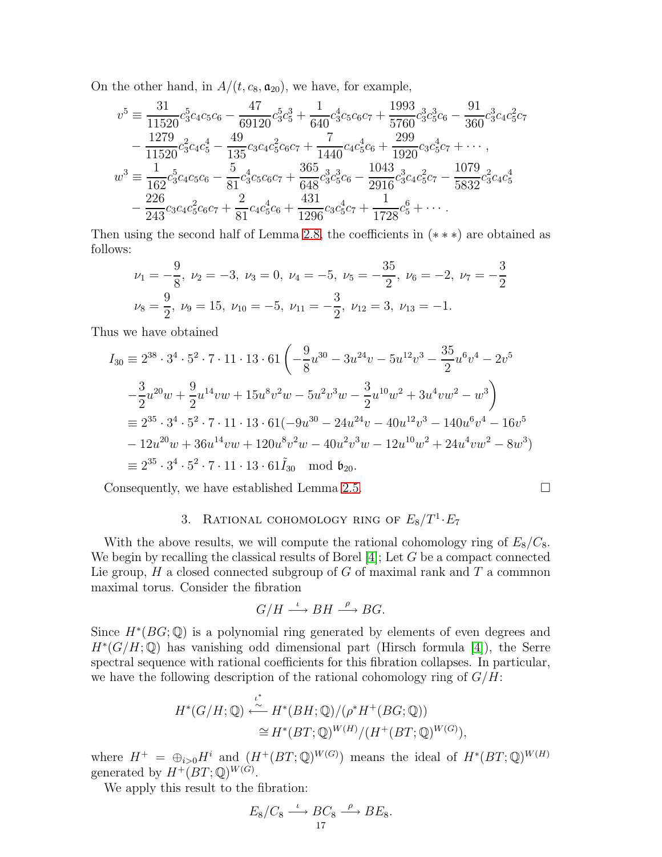On the other hand, in  $A/(t, c_8, \mathfrak{a}_{20})$ , we have, for example,

$$
v^5 = \frac{31}{11520}c_3^5c_4c_5c_6 - \frac{47}{69120}c_3^5c_5^3 + \frac{1}{640}c_3^4c_5c_6c_7 + \frac{1993}{5760}c_3^3c_5^3c_6 - \frac{91}{360}c_3^3c_4c_5^2c_7 -\frac{1279}{11520}c_3^2c_4c_5^4 - \frac{49}{135}c_3c_4c_5^2c_6c_7 + \frac{7}{1440}c_4c_5^4c_6 + \frac{299}{1920}c_3c_5^4c_7 + \cdots, w^3 = \frac{1}{162}c_3^5c_4c_5c_6 - \frac{5}{81}c_3^4c_5c_6c_7 + \frac{365}{648}c_3^3c_5^3c_6 - \frac{1043}{2916}c_3^3c_4c_5^2c_7 - \frac{1079}{5832}c_3^2c_4c_5^4 -\frac{226}{243}c_3c_4c_5^2c_6c_7 + \frac{2}{81}c_4c_5^4c_6 + \frac{431}{1296}c_3c_5^4c_7 + \frac{1}{1728}c_5^6 + \cdots.
$$

Then using the second half of Lemma [2.8,](#page-14-0) the coefficients in (∗ ∗ ∗) are obtained as follows:

$$
\nu_1 = -\frac{9}{8}, \quad \nu_2 = -3, \quad \nu_3 = 0, \quad \nu_4 = -5, \quad \nu_5 = -\frac{35}{2}, \quad \nu_6 = -2, \quad \nu_7 = -\frac{3}{2}
$$
\n
$$
\nu_8 = \frac{9}{2}, \quad \nu_9 = 15, \quad \nu_{10} = -5, \quad \nu_{11} = -\frac{3}{2}, \quad \nu_{12} = 3, \quad \nu_{13} = -1.
$$

Thus we have obtained

$$
I_{30} \equiv 2^{38} \cdot 3^4 \cdot 5^2 \cdot 7 \cdot 11 \cdot 13 \cdot 61 \left( -\frac{9}{8} u^{30} - 3u^{24} v - 5u^{12} v^3 - \frac{35}{2} u^6 v^4 - 2v^5 \right)
$$
  

$$
-\frac{3}{2} u^{20} w + \frac{9}{2} u^{14} v w + 15u^8 v^2 w - 5u^2 v^3 w - \frac{3}{2} u^{10} w^2 + 3u^4 v w^2 - w^3 \right)
$$
  

$$
\equiv 2^{35} \cdot 3^4 \cdot 5^2 \cdot 7 \cdot 11 \cdot 13 \cdot 61(-9u^{30} - 24u^{24} v - 40u^{12} v^3 - 140u^6 v^4 - 16v^5 \right)
$$
  

$$
- 12u^{20} w + 36u^{14} v w + 120u^8 v^2 w - 40u^2 v^3 w - 12u^{10} w^2 + 24u^4 v w^2 - 8w^3)
$$
  

$$
\equiv 2^{35} \cdot 3^4 \cdot 5^2 \cdot 7 \cdot 11 \cdot 13 \cdot 61 \tilde{I}_{30} \mod b_{20}.
$$

<span id="page-16-0"></span>Consequently, we have established Lemma [2.5.](#page-10-0)

3. RATIONAL COMOMOLOGY RING OF 
$$
E_8/T^1 \cdot E_7
$$

With the above results, we will compute the rational cohomology ring of  $E_8/C_8$ . We begin by recalling the classical results of Borel  $[4]$ ; Let G be a compact connected Lie group,  $H$  a closed connected subgroup of  $G$  of maximal rank and  $T$  a commnon maximal torus. Consider the fibration

$$
G/H\stackrel{\iota}{\longrightarrow} BH\stackrel{\rho}{\longrightarrow} BG.
$$

Since  $H^*(BG; \mathbb{Q})$  is a polynomial ring generated by elements of even degrees and  $H^*(G/H;\mathbb{Q})$  has vanishing odd dimensional part (Hirsch formula [\[4\]](#page-33-0)), the Serre spectral sequence with rational coefficients for this fibration collapses. In particular, we have the following description of the rational cohomology ring of  $G/H$ :

$$
H^*(G/H; \mathbb{Q}) \stackrel{\iota^*}{\leftarrow} H^*(BH; \mathbb{Q})/(\rho^* H^+(BG; \mathbb{Q}))
$$
  
\n
$$
\cong H^*(BT; \mathbb{Q})^{W(H)}/(H^+(BT; \mathbb{Q})^{W(G)}),
$$

∗

where  $H^+ = \bigoplus_{i>0} H^i$  and  $(H^+(BT;\mathbb{Q})^{W(G)})$  means the ideal of  $H^*(BT;\mathbb{Q})^{W(H)}$ generated by  $H^+(BT;\mathbb{Q})^{W(G)}$ .

We apply this result to the fibration:

$$
E_8/C_8 \xrightarrow{\iota} BC_8 \xrightarrow{\rho} BE_8.
$$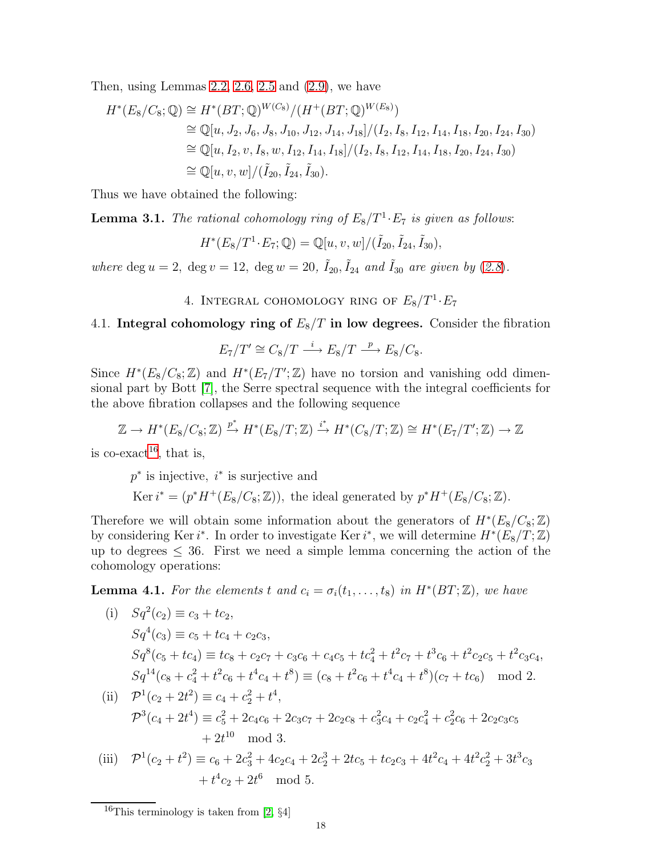Then, using Lemmas [2.2,](#page-6-2) [2.6,](#page-10-1) [2.5](#page-10-0) and [\(2.9\)](#page-9-1), we have

$$
H^*(E_8/C_8; \mathbb{Q}) \cong H^*(BT; \mathbb{Q})^{W(C_8)}/(H^+(BT; \mathbb{Q})^{W(E_8)})
$$
  
\n
$$
\cong \mathbb{Q}[u, J_2, J_6, J_8, J_{10}, J_{12}, J_{14}, J_{18}]/(I_2, I_8, I_{12}, I_{14}, I_{18}, I_{20}, I_{24}, I_{30})
$$
  
\n
$$
\cong \mathbb{Q}[u, I_2, v, I_8, w, I_{12}, I_{14}, I_{18}]/(I_2, I_8, I_{12}, I_{14}, I_{18}, I_{20}, I_{24}, I_{30})
$$
  
\n
$$
\cong \mathbb{Q}[u, v, w]/(\tilde{I}_{20}, \tilde{I}_{24}, \tilde{I}_{30}).
$$

Thus we have obtained the following:

<span id="page-17-2"></span>**Lemma 3.1.** The rational cohomology ring of  $E_8/T^1 \tcdot E_7$  is given as follows:

$$
H^*(E_8/T^1 \cdot E_7; \mathbb{Q}) = \mathbb{Q}[u, v, w]/(\tilde{I}_{20}, \tilde{I}_{24}, \tilde{I}_{30}),
$$

where deg  $u = 2$ , deg  $v = 12$ , deg  $w = 20$ ,  $\tilde{I}_{20}$ ,  $\tilde{I}_{24}$  and  $\tilde{I}_{30}$  are given by ([2.8](#page-9-3)).

4. INTEGRAL COHOMOLOGY RING OF  $E_8/T^1 \cdot E_7$ 

# 4.1. Integral cohomology ring of  $E_8/T$  in low degrees. Consider the fibration

$$
E_7/T' \cong C_8/T \xrightarrow{i} E_8/T \xrightarrow{p} E_8/C_8.
$$

Since  $H^*(E_8/C_8; \mathbb{Z})$  and  $H^*(E_7/T'; \mathbb{Z})$  have no torsion and vanishing odd dimensional part by Bott [\[7\]](#page-33-1), the Serre spectral sequence with the integral coefficients for the above fibration collapses and the following sequence

$$
\mathbb{Z} \to H^*(E_8/C_8; \mathbb{Z}) \xrightarrow{p^*} H^*(E_8/T; \mathbb{Z}) \xrightarrow{i^*} H^*(C_8/T; \mathbb{Z}) \cong H^*(E_7/T'; \mathbb{Z}) \to \mathbb{Z}
$$

is co-exact<sup>[16](#page-17-0)</sup>, that is,

 $p^*$  is injective,  $i^*$  is surjective and

Ker  $i^* = (p^*H^+(E_8/C_8; \mathbb{Z}))$ , the ideal generated by  $p^*H^+(E_8/C_8; \mathbb{Z})$ .

Therefore we will obtain some information about the generators of  $H^*(E_8/C_8;\mathbb{Z})$ by considering Ker i<sup>\*</sup>. In order to investigate Ker i<sup>\*</sup>, we will determine  $H^*(E_8/T; \mathbb{Z})$ up to degrees  $\leq 36$ . First we need a simple lemma concerning the action of the cohomology operations:

<span id="page-17-1"></span>**Lemma 4.1.** For the elements t and  $c_i = \sigma_i(t_1, \ldots, t_8)$  in  $H^*(BT; \mathbb{Z})$ , we have

(i) 
$$
Sq^2(c_2) \equiv c_3 + tc_2
$$
,  
\n $Sq^4(c_3) \equiv c_5 + tc_4 + c_2c_3$ ,  
\n $Sq^8(c_5 + tc_4) \equiv tc_8 + c_2c_7 + c_3c_6 + c_4c_5 + tc_4^2 + t^2c_7 + t^3c_6 + t^2c_2c_5 + t^2c_3c_4$ ,  
\n $Sq^{14}(c_8 + c_4^2 + t^2c_6 + t^4c_4 + t^8) \equiv (c_8 + t^2c_6 + t^4c_4 + t^8)(c_7 + tc_6) \mod 2$ .

(ii) 
$$
\mathcal{P}^1(c_2 + 2t^2) \equiv c_4 + c_2^2 + t^4
$$
,  
\n $\mathcal{P}^3(c_4 + 2t^4) \equiv c_5^2 + 2c_4c_6 + 2c_3c_7 + 2c_2c_8 + c_3^2c_4 + c_2c_4^2 + c_2^2c_6 + 2c_2c_3c_5$   
\n $+ 2t^{10} \mod 3$ .

(iii) 
$$
\mathcal{P}^1(c_2 + t^2) \equiv c_6 + 2c_3^2 + 4c_2c_4 + 2c_2^3 + 2tc_5 + tc_2c_3 + 4t^2c_4 + 4t^2c_2^2 + 3t^3c_3
$$

$$
+ t^4c_2 + 2t^6 \mod 5.
$$

<span id="page-17-0"></span><sup>&</sup>lt;sup>16</sup>This terminology is taken from [\[2,](#page-33-3)  $\S4$ ]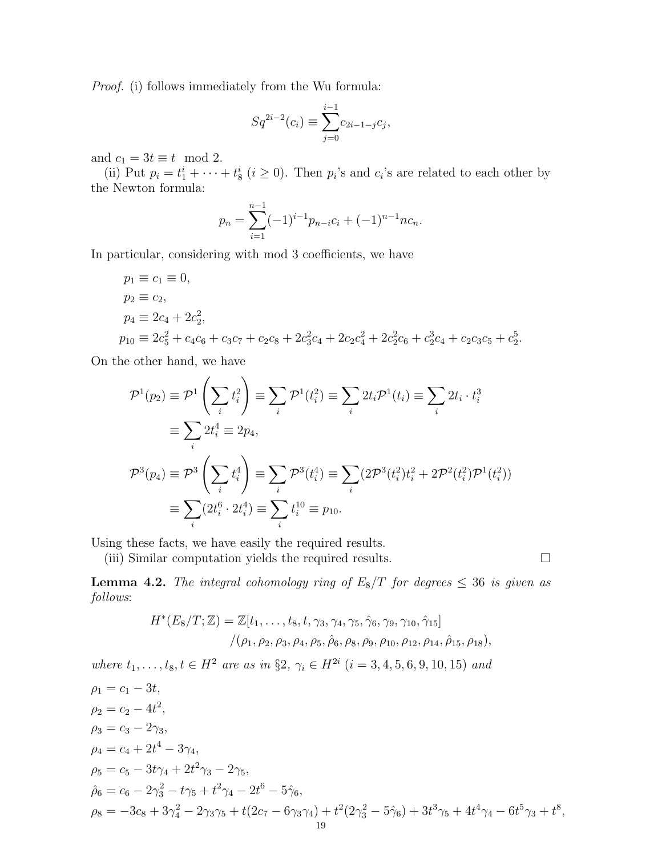Proof. (i) follows immediately from the Wu formula:

$$
Sq^{2i-2}(c_i) \equiv \sum_{j=0}^{i-1} c_{2i-1-j} c_j,
$$

and  $c_1 = 3t \equiv t \mod 2$ .

(ii) Put  $p_i = t_1^i + \cdots + t_8^i$   $(i \geq 0)$ . Then  $p_i$ 's and  $c_i$ 's are related to each other by the Newton formula:

$$
p_n = \sum_{i=1}^{n-1} (-1)^{i-1} p_{n-i} c_i + (-1)^{n-1} n c_n.
$$

In particular, considering with mod 3 coefficients, we have

$$
p_1 \equiv c_1 \equiv 0,
$$
  
\n
$$
p_2 \equiv c_2,
$$
  
\n
$$
p_4 \equiv 2c_4 + 2c_2^2,
$$
  
\n
$$
p_{10} \equiv 2c_5^2 + c_4c_6 + c_3c_7 + c_2c_8 + 2c_3^2c_4 + 2c_2c_4^2 + 2c_2^2c_6 + c_2^3c_4 + c_2c_3c_5 + c_2^5.
$$

On the other hand, we have

$$
\mathcal{P}^1(p_2) \equiv \mathcal{P}^1 \left( \sum_i t_i^2 \right) \equiv \sum_i \mathcal{P}^1(t_i^2) \equiv \sum_i 2t_i \mathcal{P}^1(t_i) \equiv \sum_i 2t_i \cdot t_i^3
$$
  
\n
$$
\equiv \sum_i 2t_i^4 \equiv 2p_4,
$$
  
\n
$$
\mathcal{P}^3(p_4) \equiv \mathcal{P}^3 \left( \sum_i t_i^4 \right) \equiv \sum_i \mathcal{P}^3(t_i^4) \equiv \sum_i (2\mathcal{P}^3(t_i^2)t_i^2 + 2\mathcal{P}^2(t_i^2)\mathcal{P}^1(t_i^2))
$$
  
\n
$$
\equiv \sum_i (2t_i^6 \cdot 2t_i^4) \equiv \sum_i t_i^{10} \equiv p_{10}.
$$

Using these facts, we have easily the required results.

(iii) Similar computation yields the required results.  $\Box$ 

<span id="page-18-0"></span>**Lemma 4.2.** The integral cohomology ring of  $E_8/T$  for degrees  $\leq 36$  is given as follows:

$$
H^*(E_8/T; \mathbb{Z}) = \mathbb{Z}[t_1, \ldots, t_8, t, \gamma_3, \gamma_4, \gamma_5, \hat{\gamma}_6, \gamma_9, \gamma_{10}, \hat{\gamma}_{15}]
$$
  

$$
/(\rho_1, \rho_2, \rho_3, \rho_4, \rho_5, \hat{\rho}_6, \rho_8, \rho_9, \rho_{10}, \rho_{12}, \rho_{14}, \hat{\rho}_{15}, \rho_{18}),
$$

where  $t_1, \ldots, t_8, t \in H^2$  are as in §2,  $\gamma_i \in H^{2i}$   $(i = 3, 4, 5, 6, 9, 10, 15)$  and

$$
\rho_1 = c_1 - 3t,
$$
  
\n
$$
\rho_2 = c_2 - 4t^2,
$$
  
\n
$$
\rho_3 = c_3 - 2\gamma_3,
$$
  
\n
$$
\rho_4 = c_4 + 2t^4 - 3\gamma_4,
$$
  
\n
$$
\rho_5 = c_5 - 3t\gamma_4 + 2t^2\gamma_3 - 2\gamma_5,
$$
  
\n
$$
\hat{\rho}_6 = c_6 - 2\gamma_3^2 - t\gamma_5 + t^2\gamma_4 - 2t^6 - 5\hat{\gamma}_6,
$$
  
\n
$$
\rho_8 = -3c_8 + 3\gamma_4^2 - 2\gamma_3\gamma_5 + t(2c_7 - 6\gamma_3\gamma_4) + t^2(2\gamma_3^2 - 5\hat{\gamma}_6) + 3t^3\gamma_5 + 4t^4\gamma_4 - 6t^5\gamma_3 + t^8,
$$
  
\n
$$
\frac{19}{19}
$$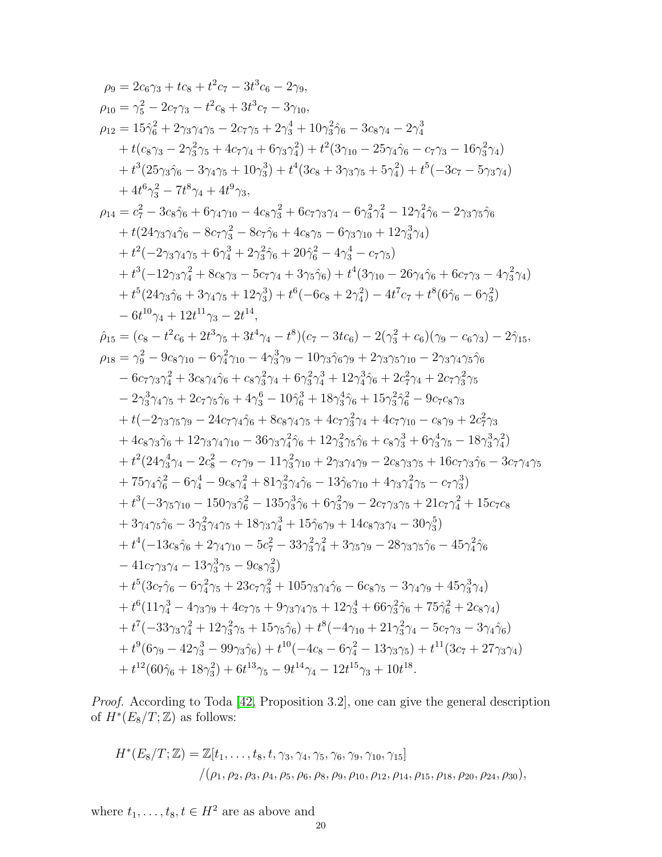$$
\begin{split} \rho_{9}&=2c_{6}\gamma_{3}+tc_{8}+t^{2}c_{7}-3t^{3}c_{6}-2\gamma_{9},\\ \rho_{10}&=\gamma_{5}^{2}-2c_{7}\gamma_{3}-t^{2}c_{8}+3t^{3}c_{7}-3\gamma_{10},\\ \rho_{12}&=15\hat{\gamma}_{6}^{2}+2\gamma_{3}\gamma_{4}\gamma_{5}-2c_{7}\gamma_{5}+2\gamma_{3}^{4}+10\gamma_{3}^{2}\hat{\gamma}_{6}-3c_{8}\gamma_{4}-2\gamma_{4}^{3}\\ &+t(c_{8}\gamma_{3}-2\gamma_{3}^{2}\gamma_{5}+4c_{7}\gamma_{4}+6\gamma_{3}\gamma_{4}^{2})+t^{2}(3\gamma_{10}-25\gamma_{4}\hat{\gamma}_{6}-c_{7}\gamma_{3}-16\gamma_{3}^{2}\gamma_{4})\\ &+t^{3}(25\gamma_{3}\hat{\gamma}_{6}-3\gamma_{4}\gamma_{5}+10\gamma_{3}^{3})+t^{4}(3c_{8}+3\gamma_{3}\gamma_{5}+5\gamma_{4}^{2})+t^{5}(-3c_{7}-5\gamma_{3}\gamma_{4})\\ &+4t^{6}\gamma_{3}^{2}-7t^{8}\gamma_{4}+4t^{9}\gamma_{3},\\ \rho_{14}&=c_{7}^{2}-3c_{8}\hat{\gamma}_{6}+6\gamma_{4}\gamma_{10}-4c_{8}\gamma_{3}^{2}+6c_{7}\gamma_{3}\gamma_{4}-6\gamma_{3}^{2}\gamma_{4}^{2}-12\gamma_{4}^{2}\hat{\gamma}_{6}-2\gamma_{3}\gamma_{5}\hat{\gamma}_{6}\\ &+t(24\gamma_{3}\gamma_{4}\hat{\gamma}_{6}-8c_{7}\gamma_{3}^{2}-8c_{7}\hat{\gamma}_{6}+4c_{8}\gamma_{5}-6\gamma_{3}\gamma_{10}+12\gamma_{3}^{3}\gamma_{4})\\ &+t^{2}(-2\gamma_{3}\gamma_{4}\gamma_{5}+6\gamma_{4}^{3}+2\gamma_{3}^{2}\hat{\gamma}_{6}+20\hat{\gamma}_{6}^{2}-4\gamma_{3}^{4}-c_{7}\gamma_{5})\\ &+t^{3}(12\gamma_{3}\hat{\gamma}_{4}+8c_{8}\gamma_{3}-5c_{7}\gamma_{4}+3\gamma_{5}\hat{\gamma}_{6})+t^{4}(3\gamma_{10}-26\gamma_{4}\hat{\gamma}_{6}+6c_{
$$

Proof. According to Toda [\[42,](#page-34-1) Proposition 3.2], one can give the general description of  $H^*(E_8/T; \mathbb{Z})$  as follows:

$$
H^*(E_8/T; \mathbb{Z}) = \mathbb{Z}[t_1, \ldots, t_8, t, \gamma_3, \gamma_4, \gamma_5, \gamma_6, \gamma_9, \gamma_{10}, \gamma_{15}]
$$
  

$$
/(\rho_1, \rho_2, \rho_3, \rho_4, \rho_5, \rho_6, \rho_8, \rho_9, \rho_{10}, \rho_{12}, \rho_{14}, \rho_{15}, \rho_{18}, \rho_{20}, \rho_{24}, \rho_{30}),
$$

where  $t_1, \ldots, t_8, t \in H^2$  are as above and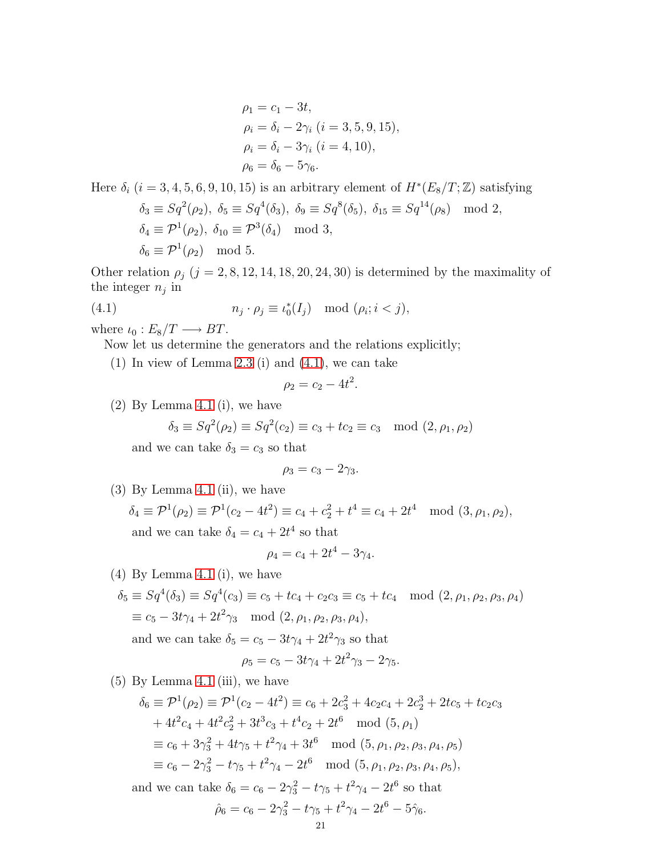$$
\rho_1 = c_1 - 3t,\n\rho_i = \delta_i - 2\gamma_i (i = 3, 5, 9, 15),\n\rho_i = \delta_i - 3\gamma_i (i = 4, 10),\n\rho_6 = \delta_6 - 5\gamma_6.
$$

Here  $\delta_i$  (i = 3, 4, 5, 6, 9, 10, 15) is an arbitrary element of  $H^*(E_8/T;\mathbb{Z})$  satisfying  $\delta_3 \equiv Sq^2(\rho_2), \ \delta_5 \equiv Sq^4(\delta_3), \ \delta_9 \equiv Sq^8(\delta_5), \ \delta_{15} \equiv Sq^{14}(\rho_8) \mod 2,$  $\delta_4 \equiv \mathcal{P}^1(\rho_2), \ \delta_{10} \equiv \mathcal{P}^3(\delta_4) \mod 3,$  $\delta_6 \equiv \mathcal{P}^1(\rho_2) \mod 5.$ 

Other relation  $\rho_j$  (j = 2, 8, 12, 14, 18, 20, 24, 30) is determined by the maximality of the integer  $n_j$  in

(4.1) 
$$
n_j \cdot \rho_j \equiv \iota_0^*(I_j) \mod (\rho_i; i < j),
$$

where  $\iota_0 : E_8/T \longrightarrow BT$ .

Now let us determine the generators and the relations explicitly;

(1) In view of Lemma [2.3](#page-8-1) (i) and [\(4.1\)](#page-20-0), we can take

<span id="page-20-0"></span>
$$
\rho_2=c_2-4t^2.
$$

(2) By Lemma [4.1](#page-17-1) (i), we have

$$
\delta_3 \equiv Sq^2(\rho_2) \equiv Sq^2(c_2) \equiv c_3 + tc_2 \equiv c_3 \mod (2, \rho_1, \rho_2)
$$

and we can take  $\delta_3 = c_3$  so that

$$
\rho_3=c_3-2\gamma_3.
$$

(3) By Lemma [4.1](#page-17-1) (ii), we have

$$
\delta_4 \equiv \mathcal{P}^1(\rho_2) \equiv \mathcal{P}^1(c_2 - 4t^2) \equiv c_4 + c_2^2 + t^4 \equiv c_4 + 2t^4 \mod (3, \rho_1, \rho_2),
$$
  
and we can take  $\delta_4 = c_4 + 2t^4$  so that

$$
\rho_4 = c_4 + 2t^4 - 3\gamma_4.
$$

(4) By Lemma [4.1](#page-17-1) (i), we have

 $\delta_5 \equiv Sq^4(\delta_3) \equiv Sq^4(c_3) \equiv c_5 + tc_4 + c_2c_3 \equiv c_5 + tc_4 \mod (2, \rho_1, \rho_2, \rho_3, \rho_4)$  $\equiv c_5 - 3t\gamma_4 + 2t^2\gamma_3 \mod (2,\rho_1,\rho_2,\rho_3,\rho_4),$ and we can take  $\delta_5 = c_5 - 3t\gamma_4 + 2t^2\gamma_3$  so that

$$
\rho_5 = c_5 - 3t\gamma_4 + 2t^2\gamma_3 - 2\gamma_5.
$$

 $(5)$  By Lemma [4.1](#page-17-1) (iii), we have

$$
\delta_6 \equiv \mathcal{P}^1(\rho_2) \equiv \mathcal{P}^1(c_2 - 4t^2) \equiv c_6 + 2c_3^2 + 4c_2c_4 + 2c_2^3 + 2tc_5 + tc_2c_3
$$
  
+  $4t^2c_4 + 4t^2c_2^2 + 3t^3c_3 + t^4c_2 + 2t^6 \mod (5, \rho_1)$   
\n $\equiv c_6 + 3\gamma_3^2 + 4t\gamma_5 + t^2\gamma_4 + 3t^6 \mod (5, \rho_1, \rho_2, \rho_3, \rho_4, \rho_5)$   
\n $\equiv c_6 - 2\gamma_3^2 - t\gamma_5 + t^2\gamma_4 - 2t^6 \mod (5, \rho_1, \rho_2, \rho_3, \rho_4, \rho_5),$   
\nand we can take  $\delta_6 = c_6 - 2\gamma_3^2 - t\gamma_5 + t^2\gamma_4 - 2t^6$  so that  
\n $\hat{\rho}_6 = c_6 - 2\gamma_3^2 - t\gamma_5 + t^2\gamma_4 - 2t^6 - 5\hat{\gamma}_6.$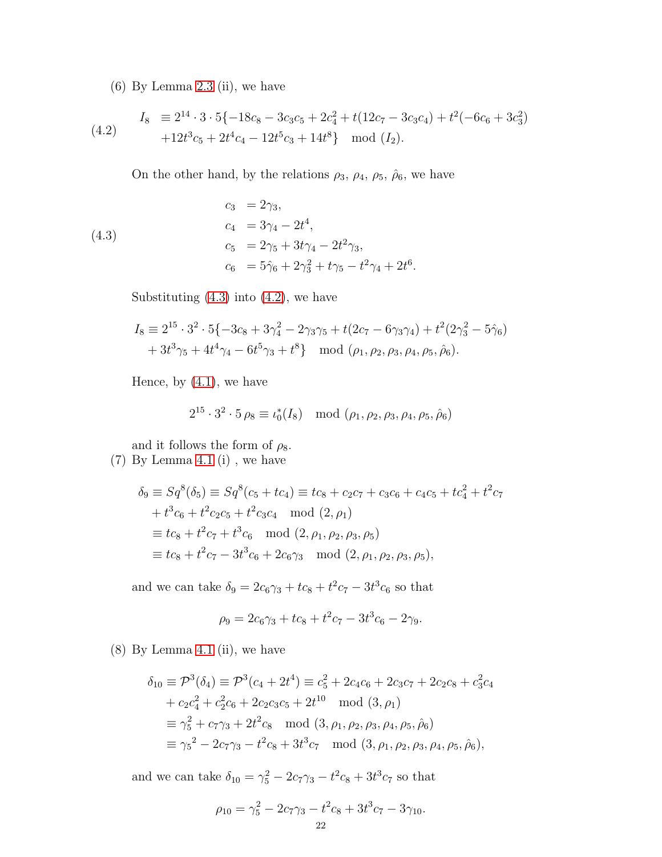(6) By Lemma [2.3](#page-8-1) (ii), we have

<span id="page-21-1"></span>(4.2) 
$$
I_8 \equiv 2^{14} \cdot 3 \cdot 5 \{-18c_8 - 3c_3c_5 + 2c_4^2 + t(12c_7 - 3c_3c_4) + t^2(-6c_6 + 3c_3^2) + 12t^3c_5 + 2t^4c_4 - 12t^5c_3 + 14t^8\} \mod (I_2).
$$

<span id="page-21-0"></span>On the other hand, by the relations  $\rho_3$ ,  $\rho_4$ ,  $\rho_5$ ,  $\rho_6$ , we have

(4.3)  
\n
$$
c_3 = 2\gamma_3,
$$
\n
$$
c_4 = 3\gamma_4 - 2t^4,
$$
\n
$$
c_5 = 2\gamma_5 + 3t\gamma_4 - 2t^2\gamma_3,
$$
\n
$$
c_6 = 5\hat{\gamma}_6 + 2\gamma_3^2 + t\gamma_5 - t^2\gamma_4 + 2t^6.
$$

Substituting  $(4.3)$  into  $(4.2)$ , we have

$$
I_8 \equiv 2^{15} \cdot 3^2 \cdot 5 \{-3c_8 + 3\gamma_4^2 - 2\gamma_3\gamma_5 + t(2c_7 - 6\gamma_3\gamma_4) + t^2(2\gamma_3^2 - 5\hat{\gamma}_6) + 3t^3\gamma_5 + 4t^4\gamma_4 - 6t^5\gamma_3 + t^8 \} \mod (\rho_1, \rho_2, \rho_3, \rho_4, \rho_5, \hat{\rho}_6).
$$

Hence, by  $(4.1)$ , we have

$$
2^{15} \cdot 3^2 \cdot 5 \, \rho_8 \equiv \iota_0^*(I_8) \mod (\rho_1, \rho_2, \rho_3, \rho_4, \rho_5, \hat{\rho}_6)
$$

and it follows the form of  $\rho_8$ .

(7) By Lemma [4.1](#page-17-1) (i) , we have

$$
\delta_9 \equiv Sq^8(\delta_5) \equiv Sq^8(c_5 + tc_4) \equiv tc_8 + c_2c_7 + c_3c_6 + c_4c_5 + tc_4^2 + t^2c_7 \n+ t^3c_6 + t^2c_2c_5 + t^2c_3c_4 \mod (2, \rho_1) \equiv tc_8 + t^2c_7 + t^3c_6 \mod (2, \rho_1, \rho_2, \rho_3, \rho_5) \equiv tc_8 + t^2c_7 - 3t^3c_6 + 2c_6\gamma_3 \mod (2, \rho_1, \rho_2, \rho_3, \rho_5),
$$

and we can take  $\delta_9 = 2c_6\gamma_3 + tc_8 + t^2c_7 - 3t^3c_6$  so that

$$
\rho_9 = 2c_6\gamma_3 + tc_8 + t^2c_7 - 3t^3c_6 - 2\gamma_9.
$$

(8) By Lemma [4.1](#page-17-1) (ii), we have

$$
\delta_{10} \equiv \mathcal{P}^3(\delta_4) \equiv \mathcal{P}^3(c_4 + 2t^4) \equiv c_5^2 + 2c_4c_6 + 2c_3c_7 + 2c_2c_8 + c_3^2c_4 \n+ c_2c_4^2 + c_2^2c_6 + 2c_2c_3c_5 + 2t^{10} \mod (3, \rho_1) \n\equiv \gamma_5^2 + c_7\gamma_3 + 2t^2c_8 \mod (3, \rho_1, \rho_2, \rho_3, \rho_4, \rho_5, \hat{\rho}_6) \n\equiv \gamma_5^2 - 2c_7\gamma_3 - t^2c_8 + 3t^3c_7 \mod (3, \rho_1, \rho_2, \rho_3, \rho_4, \rho_5, \hat{\rho}_6),
$$

and we can take  $\delta_{10} = \gamma_5^2 - 2c_7\gamma_3 - t^2c_8 + 3t^3c_7$  so that

$$
\rho_{10} = \gamma_5^2 - 2c_7\gamma_3 - t^2c_8 + 3t^3c_7 - 3\gamma_{10}.
$$
  
22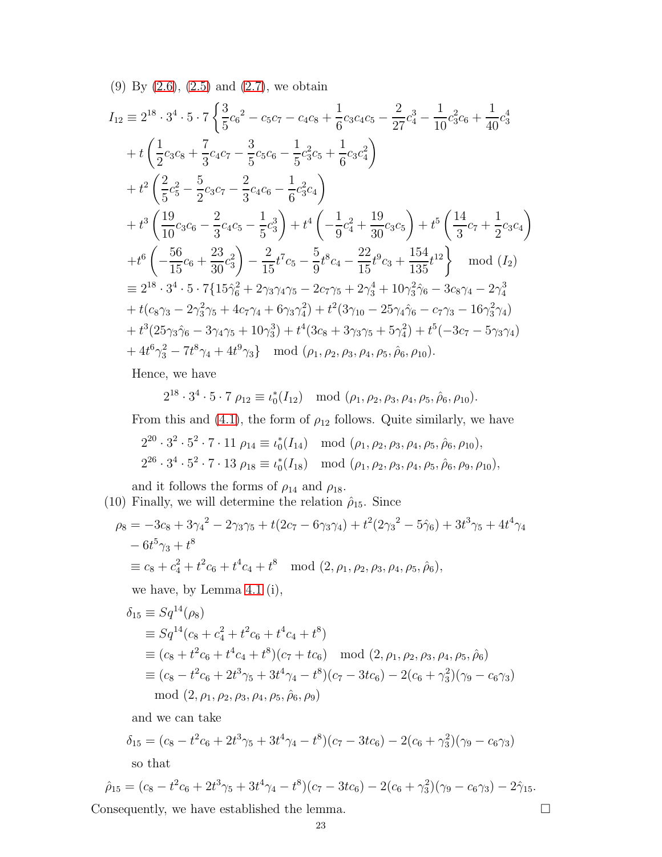(9) By [\(2.6\)](#page-7-0), [\(2.5\)](#page-7-1) and [\(2.7\)](#page-8-0), we obtain

$$
I_{12} = 2^{18} \cdot 3^4 \cdot 5 \cdot 7 \left\{ \frac{3}{5} c_6^2 - c_5 c_7 - c_4 c_8 + \frac{1}{6} c_3 c_4 c_5 - \frac{2}{27} c_4^3 - \frac{1}{10} c_3^2 c_6 + \frac{1}{40} c_3^4 + t \left( \frac{1}{2} c_3 c_8 + \frac{7}{3} c_4 c_7 - \frac{3}{5} c_5 c_6 - \frac{1}{5} c_3^2 c_5 + \frac{1}{6} c_3 c_4^2 \right) + t^2 \left( \frac{2}{5} c_5^2 - \frac{5}{2} c_3 c_7 - \frac{2}{3} c_4 c_6 - \frac{1}{6} c_3^2 c_4 \right) + t^3 \left( \frac{19}{10} c_3 c_6 - \frac{2}{3} c_4 c_5 - \frac{1}{5} c_3^3 \right) + t^4 \left( -\frac{1}{9} c_4^2 + \frac{19}{30} c_3 c_5 \right) + t^5 \left( \frac{14}{3} c_7 + \frac{1}{2} c_3 c_4 \right) + t^6 \left( -\frac{56}{15} c_6 + \frac{23}{30} c_3^2 \right) - \frac{2}{15} t^7 c_5 - \frac{5}{9} t^8 c_4 - \frac{22}{15} t^9 c_3 + \frac{154}{135} t^{12} \right\} \mod (I_2) = 2^{18} \cdot 3^4 \cdot 5 \cdot 7 \{ 15 \hat{\gamma}_6^2 + 2 \gamma_3 \gamma_4 \gamma_5 - 2 c_7 \gamma_5 + 2 \gamma_3^4 + 10 \gamma_3^2 \hat{\gamma}_6 - 3 c_8 \gamma_4 - 2 \gamma_4^3 + t (c_8 \gamma_3 - 2 \gamma_3^2 \gamma_5 + 4 c_7 \gamma_4 + 6 \gamma_3 \gamma_4^2) + t^2 (3 \gamma_{10} - 25 \gamma_4 \hat{\gamma}_6 - c_7 \gamma_3 - 16 \gamma_3^2 \gamma_4) + t^3 (25 \gamma_3 \hat{\gamma}_6 - 3 \gamma_4 \gamma_5 + 10 \gamma_3^3) + t^4 (
$$

Hence, we have

 $2^{18} \cdot 3^4 \cdot 5 \cdot 7$   $\rho_{12} \equiv \iota_0^*(I_{12})$  mod  $(\rho_1, \rho_2, \rho_3, \rho_4, \rho_5, \hat{\rho}_6, \rho_{10}).$ 

From this and [\(4.1\)](#page-20-0), the form of  $\rho_{12}$  follows. Quite similarly, we have

$$
2^{20} \cdot 3^2 \cdot 5^2 \cdot 7 \cdot 11 \rho_{14} \equiv \iota_0^*(I_{14}) \mod (\rho_1, \rho_2, \rho_3, \rho_4, \rho_5, \hat{\rho}_6, \rho_{10}),
$$
  

$$
2^{26} \cdot 3^4 \cdot 5^2 \cdot 7 \cdot 13 \rho_{18} \equiv \iota_0^*(I_{18}) \mod (\rho_1, \rho_2, \rho_3, \rho_4, \rho_5, \hat{\rho}_6, \rho_9, \rho_{10}),
$$

and it follows the forms of  $\rho_{14}$  and  $\rho_{18}.$ (10) Finally, we will determine the relation  $\hat{\rho}_{15}$ . Since

$$
\rho_8 = -3c_8 + 3\gamma_4^2 - 2\gamma_3\gamma_5 + t(2c_7 - 6\gamma_3\gamma_4) + t^2(2\gamma_3^2 - 5\hat{\gamma}_6) + 3t^3\gamma_5 + 4t^4\gamma_4
$$
  
- 6t<sup>5</sup> $\gamma_3$  + t<sup>8</sup>  

$$
\equiv c_8 + c_4^2 + t^2c_6 + t^4c_4 + t^8 \mod (2, \rho_1, \rho_2, \rho_3, \rho_4, \rho_5, \hat{\rho}_6),
$$

we have, by Lemma [4.1](#page-17-1) (i),

$$
\delta_{15} \equiv Sq^{14}(\rho_8)
$$
  
\n
$$
\equiv Sq^{14}(c_8 + c_4^2 + t^2c_6 + t^4c_4 + t^8)
$$
  
\n
$$
\equiv (c_8 + t^2c_6 + t^4c_4 + t^8)(c_7 + tc_6) \mod (2, \rho_1, \rho_2, \rho_3, \rho_4, \rho_5, \hat{\rho}_6)
$$
  
\n
$$
\equiv (c_8 - t^2c_6 + 2t^3\gamma_5 + 3t^4\gamma_4 - t^8)(c_7 - 3tc_6) - 2(c_6 + \gamma_3^2)(\gamma_9 - c_6\gamma_3)
$$
  
\nmod  $(2, \rho_1, \rho_2, \rho_3, \rho_4, \rho_5, \hat{\rho}_6, \rho_9)$ 

and we can take

$$
\delta_{15} = (c_8 - t^2 c_6 + 2t^3 \gamma_5 + 3t^4 \gamma_4 - t^8)(c_7 - 3tc_6) - 2(c_6 + \gamma_3^2)(\gamma_9 - c_6 \gamma_3)
$$
  
so that

$$
\hat{\rho}_{15} = (c_8 - t^2 c_6 + 2t^3 \gamma_5 + 3t^4 \gamma_4 - t^8)(c_7 - 3tc_6) - 2(c_6 + \gamma_3^2)(\gamma_9 - c_6 \gamma_3) - 2\hat{\gamma}_{15}.
$$
  
Consequently, we have established the lemma.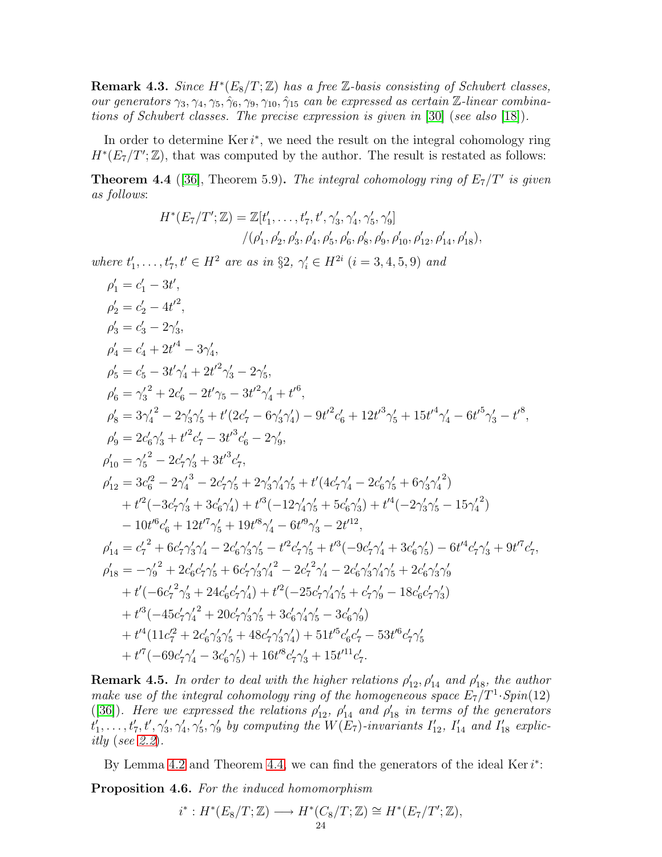**Remark 4.3.** Since  $H^*(E_8/T;\mathbb{Z})$  has a free  $\mathbb{Z}$ -basis consisting of Schubert classes, our generators  $\gamma_3, \gamma_4, \gamma_5, \hat{\gamma}_6, \gamma_9, \gamma_{10}, \hat{\gamma}_{15}$  can be expressed as certain Z-linear combinations of Schubert classes. The precise expression is given in [\[30\]](#page-34-24) (see also [\[18\]](#page-34-15)).

In order to determine  $\text{Ker } i^*$ , we need the result on the integral cohomology ring  $H^*(E_7/T';\mathbb{Z})$ , that was computed by the author. The result is restated as follows:

<span id="page-23-0"></span>**Theorem 4.4** ([\[36\]](#page-34-5), Theorem 5.9). The integral cohomology ring of  $E_7/T'$  is given as follows:

$$
H^*(E_7/T';\mathbb{Z}) = \mathbb{Z}[t'_1,\ldots,t'_7,t',\gamma'_3,\gamma'_4,\gamma'_5,\gamma'_9]
$$
  

$$
/(\rho'_1,\rho'_2,\rho'_3,\rho'_4,\rho'_5,\rho'_6,\rho'_8,\rho'_9,\rho'_{10},\rho'_{12},\rho'_{14},\rho'_{18}),
$$

where  $t'_1, \ldots, t'_7, t' \in H^2$  are as in §2,  $\gamma'_i \in H^{2i}$   $(i = 3, 4, 5, 9)$  and

$$
\begin{split} &\rho_1^\prime=c_1^\prime-3t^\prime,\\ &\rho_2^\prime=c_2^\prime-4t^{\prime 2},\\ &\rho_3^\prime=c_3^\prime-2\gamma_3^\prime,\\ &\rho_4^\prime=c_4^\prime+2t^{\prime 4}-3\gamma_4^\prime,\\ &\rho_5^\prime=c_5^\prime-3t^\prime\gamma_4^\prime+2t^{\prime 2}\gamma_3^\prime-2\gamma_5^\prime,\\ &\rho_6^\prime=3\gamma_4^{\prime 2}-2\gamma_3^\prime\gamma_5^\prime+t^\prime(2c_7^\prime-6\gamma_3^\prime\gamma_4^\prime)-9t^{\prime 2}c_6^\prime+12t^{\prime 3}\gamma_5^\prime+15t^{\prime 4}\gamma_4^\prime-6t^{\prime 5}\gamma_3^\prime-t^{\prime 8},\\ &\rho_9^\prime=2c_6^\prime\gamma_3^\prime+t^{\prime 2}c_7^\prime-3t^{\prime 3}c_6^\prime-2\gamma_9^\prime,\\ &\rho_{10}^\prime=\gamma_5^{\prime 2}-2c_7^\prime\gamma_3^\prime+3t^{\prime 3}c_6^\prime-2\gamma_9^\prime,\\ &\rho_{12}^\prime=3c_6^{\prime 2}-2\gamma_4^\prime 3-2c_7^\prime\gamma_5^\prime+2\gamma_3^\prime\gamma_4^\prime\gamma_5^\prime+t^\prime(4c_7^\prime\gamma_4^\prime-2c_6^\prime\gamma_5^\prime+6\gamma_3^\prime\gamma_4^{\prime 2})\\ &\rho_{12}^\prime=3c_6^{\prime 2}-2\gamma_4^{\prime 3}-2c_7^\prime\gamma_5^\prime+2\gamma_3^\prime\gamma_4^\prime\gamma_5^\prime+t^\prime(4c_7^\prime\gamma_4^\prime-2c_6^\prime\gamma_5^\prime+6\gamma_3^\prime\gamma_4^{\prime 2})\\ &\rho_{12}^\prime=3c_6^{\prime 2}-2\gamma_4^{\prime 3}-2c_7^\prime\gamma_5^\prime+2\gamma_3^\prime\gamma_4^\prime\gamma_5^\prime+t^\prime(4c_7^\prime\gamma_4^\prime-2c_6^\prime\gamma_5^\prime+6\gamma_3^\prime\gamma_4^{\prime 2})\\ &\rho_{12}^\prime=3c_6^{\prime 2}-2\gamma_4^\prime^3-2c_7^\prime\gamma_5^\prime+2\gamma_3^\prime
$$

**Remark 4.5.** In order to deal with the higher relations  $\rho'_{12}$ ,  $\rho'_{14}$  and  $\rho'_{18}$ , the author make use of the integral cohomology ring of the homogeneous space  $E_7/T^1 \cdot Spin(12)$ ([\[36\]](#page-34-5)). Here we expressed the relations  $\rho'_{12}$ ,  $\rho'_{14}$  and  $\rho'_{18}$  in terms of the generators  $t'_1, \ldots, t'_7, t', \gamma'_3, \gamma'_4, \gamma'_5, \gamma'_9$  by computing the  $W(E_7)$ -invariants  $I'_{12}, I'_{14}$  and  $I'_{18}$  explicitly (see [2.2](#page-5-1)).

<span id="page-23-1"></span>By Lemma [4.2](#page-18-0) and Theorem [4.4,](#page-23-0) we can find the generators of the ideal Ker $i^*$ : Proposition 4.6. For the induced homomorphism

$$
i^*: H^*(E_8/T; \mathbb{Z}) \longrightarrow H^*(C_8/T; \mathbb{Z}) \cong H^*(E_7/T'; \mathbb{Z}),
$$
  
<sub>24</sub>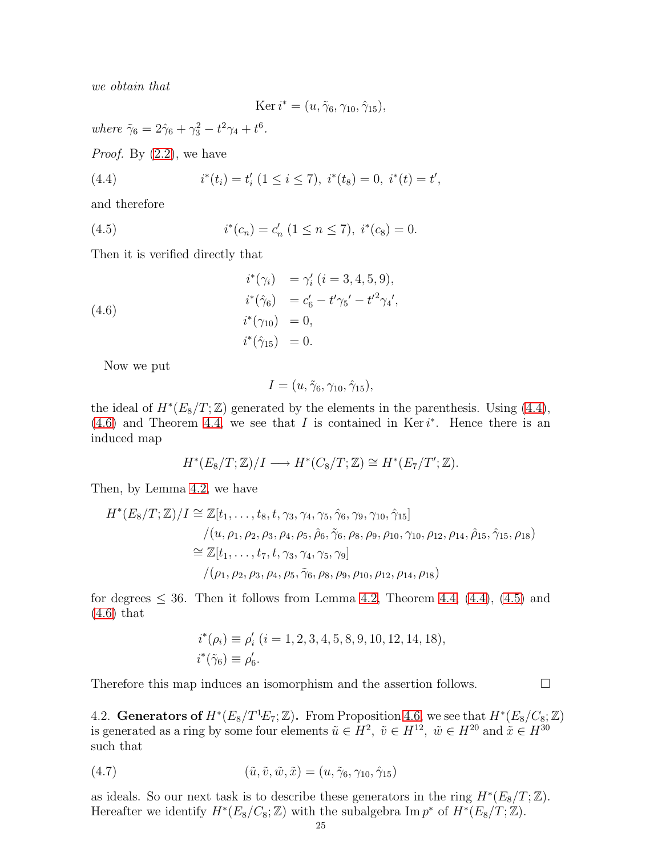we obtain that

<span id="page-24-3"></span><span id="page-24-1"></span>
$$
\operatorname{Ker} i^* = (u, \tilde{\gamma}_6, \gamma_{10}, \hat{\gamma}_{15}),
$$

where  $\tilde{\gamma}_6 = 2\hat{\gamma}_6 + \gamma_3^2 - t^2 \gamma_4 + t^6$ .

*Proof.* By  $(2.2)$ , we have

(4.4) 
$$
i^*(t_i) = t'_i \ (1 \leq i \leq 7), \ i^*(t_8) = 0, \ i^*(t) = t',
$$

and therefore

(4.5) 
$$
i^*(c_n) = c'_n \ (1 \le n \le 7), \ i^*(c_8) = 0.
$$

Then it is verified directly that

(4.6)  
\n
$$
i^*(\gamma_i) = \gamma'_i \ (i = 3, 4, 5, 9),
$$
\n
$$
i^*(\hat{\gamma}_6) = c'_6 - t'\gamma_5' - t'^2\gamma_4',
$$
\n
$$
i^*(\gamma_{10}) = 0,
$$
\n
$$
i^*(\hat{\gamma}_{15}) = 0.
$$

Now we put

<span id="page-24-2"></span>
$$
I = (u, \tilde{\gamma}_6, \gamma_{10}, \hat{\gamma}_{15}),
$$

the ideal of  $H^*(E_8/T;\mathbb{Z})$  generated by the elements in the parenthesis. Using [\(4.4\)](#page-24-1),  $(4.6)$  and Theorem [4.4,](#page-23-0) we see that I is contained in Ker  $i^*$ . Hence there is an induced map

$$
H^*(E_8/T; \mathbb{Z})/I \longrightarrow H^*(C_8/T; \mathbb{Z}) \cong H^*(E_7/T'; \mathbb{Z}).
$$

Then, by Lemma [4.2,](#page-18-0) we have

$$
H^*(E_8/T; \mathbb{Z})/I \cong \mathbb{Z}[t_1, \dots, t_8, t, \gamma_3, \gamma_4, \gamma_5, \hat{\gamma}_6, \gamma_9, \gamma_{10}, \hat{\gamma}_{15}]
$$
  
\n
$$
/(u, \rho_1, \rho_2, \rho_3, \rho_4, \rho_5, \hat{\rho}_6, \tilde{\gamma}_6, \rho_8, \rho_9, \rho_{10}, \gamma_{10}, \rho_{12}, \rho_{14}, \hat{\rho}_{15}, \hat{\gamma}_{15}, \rho_{18})
$$
  
\n
$$
\cong \mathbb{Z}[t_1, \dots, t_7, t, \gamma_3, \gamma_4, \gamma_5, \gamma_9]
$$
  
\n
$$
/(\rho_1, \rho_2, \rho_3, \rho_4, \rho_5, \tilde{\gamma}_6, \rho_8, \rho_9, \rho_{10}, \rho_{12}, \rho_{14}, \rho_{18})
$$

for degrees  $\leq$  36. Then it follows from Lemma [4.2,](#page-18-0) Theorem [4.4,](#page-23-0) [\(4.4\)](#page-24-1), [\(4.5\)](#page-24-3) and [\(4.6\)](#page-24-2) that

<span id="page-24-4"></span>
$$
i^*(\rho_i) \equiv \rho'_i \ (i = 1, 2, 3, 4, 5, 8, 9, 10, 12, 14, 18),
$$
  

$$
i^*(\tilde{\gamma}_6) \equiv \rho'_6.
$$

Therefore this map induces an isomorphism and the assertion follows.  $\Box$ 

<span id="page-24-0"></span>4.2. Generators of  $H^*(E_8/T^1E_7; \mathbb{Z})$ . From Proposition [4.6,](#page-23-1) we see that  $H^*(E_8/C_8; \mathbb{Z})$ is generated as a ring by some four elements  $\tilde{u} \in H^2$ ,  $\tilde{v} \in H^{12}$ ,  $\tilde{w} \in H^{20}$  and  $\tilde{x} \in H^{30}$ such that

$$
(4.7) \qquad (\tilde{u}, \tilde{v}, \tilde{w}, \tilde{x}) = (u, \tilde{\gamma}_6, \gamma_{10}, \hat{\gamma}_{15})
$$

as ideals. So our next task is to describe these generators in the ring  $H^*(E_8/T; \mathbb{Z})$ . Hereafter we identify  $H^*(E_8/C_8; \mathbb{Z})$  with the subalgebra  $\text{Im } p^*$  of  $H^*(E_8/T; \mathbb{Z})$ .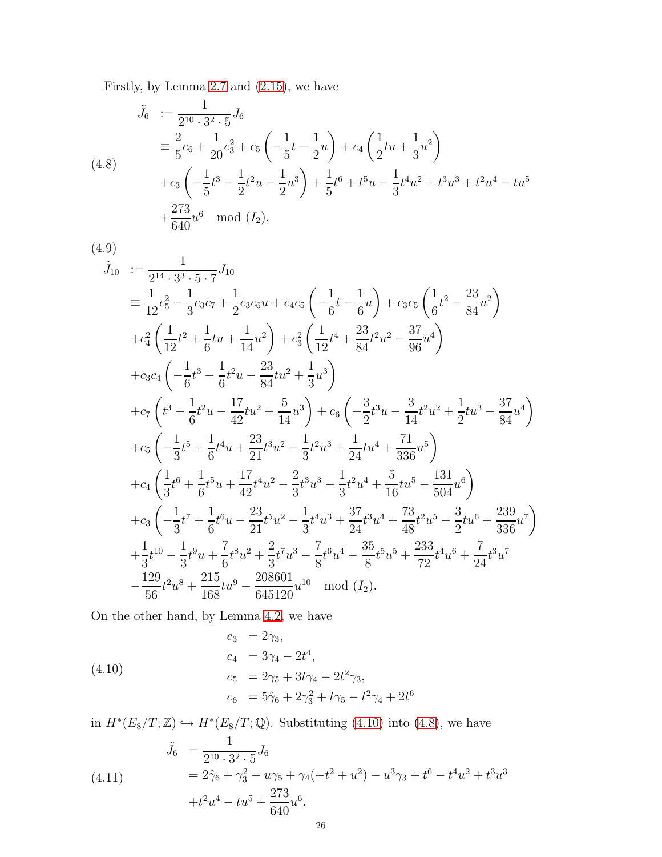Firstly, by Lemma [2.7](#page-12-0) and [\(2.15\)](#page-13-0), we have

<span id="page-25-1"></span>
$$
\tilde{J}_6 := \frac{1}{2^{10} \cdot 3^2 \cdot 5} J_6
$$
\n
$$
\equiv \frac{2}{5} c_6 + \frac{1}{20} c_3^2 + c_5 \left( -\frac{1}{5} t - \frac{1}{2} u \right) + c_4 \left( \frac{1}{2} t u + \frac{1}{3} u^2 \right)
$$
\n
$$
+ c_3 \left( -\frac{1}{5} t^3 - \frac{1}{2} t^2 u - \frac{1}{2} u^3 \right) + \frac{1}{5} t^6 + t^5 u - \frac{1}{3} t^4 u^2 + t^3 u^3 + t^2 u^4 - t u^5
$$
\n
$$
+ \frac{273}{640} u^6 \mod (I_2),
$$
\n(4.8)

$$
(4.9)
$$

<span id="page-25-2"></span>
$$
\tilde{J}_{10} := \frac{1}{2^{14} \cdot 3^3 \cdot 5 \cdot 7} J_{10}
$$
\n
$$
\equiv \frac{1}{12} c_5^2 - \frac{1}{3} c_3 c_7 + \frac{1}{2} c_3 c_6 u + c_4 c_5 \left( -\frac{1}{6} t - \frac{1}{6} u \right) + c_3 c_5 \left( \frac{1}{6} t^2 - \frac{23}{84} u^2 \right)
$$
\n
$$
+ c_4^2 \left( \frac{1}{12} t^2 + \frac{1}{6} t u + \frac{1}{14} u^2 \right) + c_3^2 \left( \frac{1}{12} t^4 + \frac{23}{84} t^2 u^2 - \frac{37}{96} u^4 \right)
$$
\n
$$
+ c_3 c_4 \left( -\frac{1}{6} t^3 - \frac{1}{6} t^2 u - \frac{23}{84} t u^2 + \frac{1}{3} u^3 \right)
$$
\n
$$
+ c_7 \left( t^3 + \frac{1}{6} t^2 u - \frac{17}{42} t u^2 + \frac{5}{14} u^3 \right) + c_6 \left( -\frac{3}{2} t^3 u - \frac{3}{14} t^2 u^2 + \frac{1}{2} t u^3 - \frac{37}{84} u^4 \right)
$$
\n
$$
+ c_5 \left( -\frac{1}{3} t^5 + \frac{1}{6} t^4 u + \frac{23}{21} t^3 u^2 - \frac{1}{3} t^2 u^3 + \frac{1}{24} t u^4 + \frac{71}{336} u^5 \right)
$$
\n
$$
+ c_4 \left( \frac{1}{3} t^6 + \frac{1}{6} t^5 u + \frac{17}{42} t^4 u^2 - \frac{2}{3} t^3 u^3 - \frac{1}{3} t^2 u^4 + \frac{5}{16} t u^5 - \frac{131}{504} u^6 \right)
$$
\n
$$
+ c_3 \left( -\frac{1}{3} t^7 + \frac{1}{6} t^6 u - \frac{23}{21} t^5 u^2 - \frac{1}{3} t^4 u^3 + \frac{37}{24} t^3 u^4 + \frac{73
$$

On the other hand, by Lemma [4.2,](#page-18-0) we have

<span id="page-25-0"></span>(4.10)  
\n
$$
c_3 = 2\gamma_3,
$$
\n
$$
c_4 = 3\gamma_4 - 2t^4,
$$
\n
$$
c_5 = 2\gamma_5 + 3t\gamma_4 - 2t^2\gamma_3,
$$
\n
$$
c_6 = 5\hat{\gamma}_6 + 2\gamma_3^2 + t\gamma_5 - t^2\gamma_4 + 2t^6
$$

in  $H^*(E_8/T; \mathbb{Z}) \hookrightarrow H^*(E_8/T; \mathbb{Q})$ . Substituting [\(4.10\)](#page-25-0) into [\(4.8\)](#page-25-1), we have

<span id="page-25-3"></span>(4.11) 
$$
\tilde{J}_6 = \frac{1}{2^{10} \cdot 3^2 \cdot 5} J_6
$$

$$
= 2\hat{\gamma}_6 + \gamma_3^2 - u\gamma_5 + \gamma_4(-t^2 + u^2) - u^3\gamma_3 + t^6 - t^4u^2 + t^3u^3
$$

$$
+ t^2u^4 - tu^5 + \frac{273}{640}u^6.
$$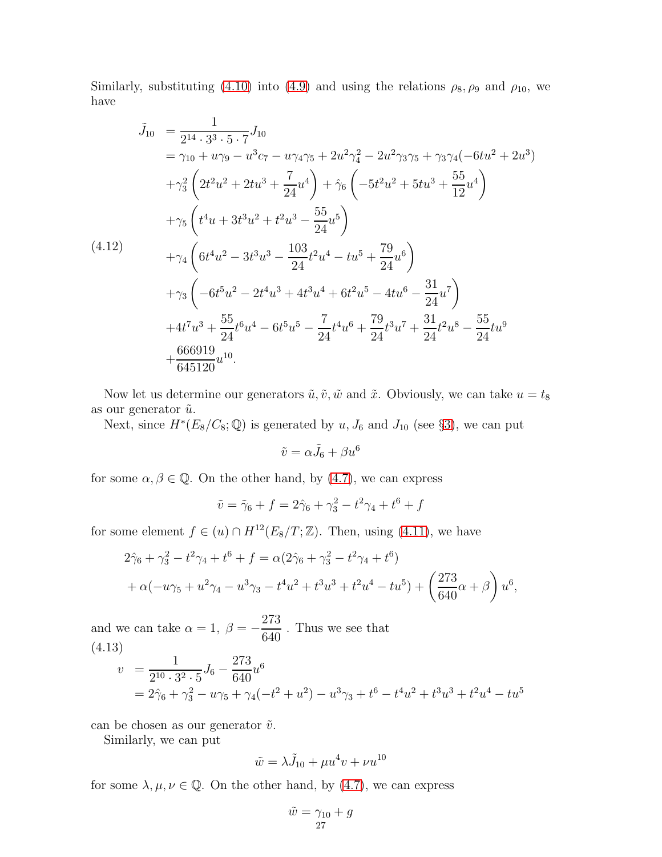Similarly, substituting [\(4.10\)](#page-25-0) into [\(4.9\)](#page-25-2) and using the relations  $\rho_8$ ,  $\rho_9$  and  $\rho_{10}$ , we have

<span id="page-26-0"></span>
$$
\tilde{J}_{10} = \frac{1}{2^{14} \cdot 3^3 \cdot 5 \cdot 7} J_{10}
$$
\n
$$
= \gamma_{10} + u\gamma_9 - u^3 c_7 - u\gamma_4 \gamma_5 + 2u^2 \gamma_4^2 - 2u^2 \gamma_3 \gamma_5 + \gamma_3 \gamma_4 (-6tu^2 + 2u^3)
$$
\n
$$
+ \gamma_3^2 \left( 2t^2 u^2 + 2tu^3 + \frac{7}{24} u^4 \right) + \hat{\gamma}_6 \left( -5t^2 u^2 + 5tu^3 + \frac{55}{12} u^4 \right)
$$
\n
$$
+ \gamma_5 \left( t^4 u + 3t^3 u^2 + t^2 u^3 - \frac{55}{24} u^5 \right)
$$
\n
$$
(4.12)
$$
\n
$$
+ \gamma_4 \left( 6t^4 u^2 - 3t^3 u^3 - \frac{103}{24} t^2 u^4 - tu^5 + \frac{79}{24} u^6 \right)
$$
\n
$$
+ \gamma_3 \left( -6t^5 u^2 - 2t^4 u^3 + 4t^3 u^4 + 6t^2 u^5 - 4tu^6 - \frac{31}{24} u^7 \right)
$$
\n
$$
+ 4t^7 u^3 + \frac{55}{24} t^6 u^4 - 6t^5 u^5 - \frac{7}{24} t^4 u^6 + \frac{79}{24} t^3 u^7 + \frac{31}{24} t^2 u^8 - \frac{55}{24} tu^9
$$
\n
$$
+ \frac{666919}{645120} u^{10}.
$$

Now let us determine our generators  $\tilde{u}, \tilde{v}, \tilde{w}$  and  $\tilde{x}$ . Obviously, we can take  $u = t_8$ as our generator  $\tilde{u}$ .

Next, since  $H^*(E_8/C_8; \mathbb{Q})$  is generated by  $u, J_6$  and  $J_{10}$  (see §[3\)](#page-16-0), we can put

$$
\tilde{v} = \alpha \tilde{J}_6 + \beta u^6
$$

for some  $\alpha, \beta \in \mathbb{Q}$ . On the other hand, by [\(4.7\)](#page-24-4), we can express

$$
\tilde{v} = \tilde{\gamma}_6 + f = 2\hat{\gamma}_6 + \gamma_3^2 - t^2\gamma_4 + t^6 + f
$$

for some element  $f \in (u) \cap H^{12}(E_8/T; \mathbb{Z})$ . Then, using [\(4.11\)](#page-25-3), we have

$$
2\hat{\gamma}_6 + \gamma_3^2 - t^2 \gamma_4 + t^6 + f = \alpha (2\hat{\gamma}_6 + \gamma_3^2 - t^2 \gamma_4 + t^6) + \alpha (-u\gamma_5 + u^2 \gamma_4 - u^3 \gamma_3 - t^4 u^2 + t^3 u^3 + t^2 u^4 - tu^5) + \left(\frac{273}{640}\alpha + \beta\right) u^6,
$$

and we can take  $\alpha = 1, \ \beta = -$  . Thus we see that (4.13)

<span id="page-26-1"></span>
$$
v = \frac{1}{2^{10} \cdot 3^2 \cdot 5} J_6 - \frac{273}{640} u^6
$$
  
=  $2\hat{\gamma}_6 + \gamma_3^2 - u\gamma_5 + \gamma_4(-t^2 + u^2) - u^3\gamma_3 + t^6 - t^4u^2 + t^3u^3 + t^2u^4 - tu^5$ 

can be chosen as our generator  $\tilde{v}$ .

Similarly, we can put

$$
\tilde{w} = \lambda \tilde{J}_{10} + \mu u^4 v + \nu u^{10}
$$

for some  $\lambda, \mu, \nu \in \mathbb{Q}$ . On the other hand, by [\(4.7\)](#page-24-4), we can express

$$
\tilde{w} = \gamma_{10} + g
$$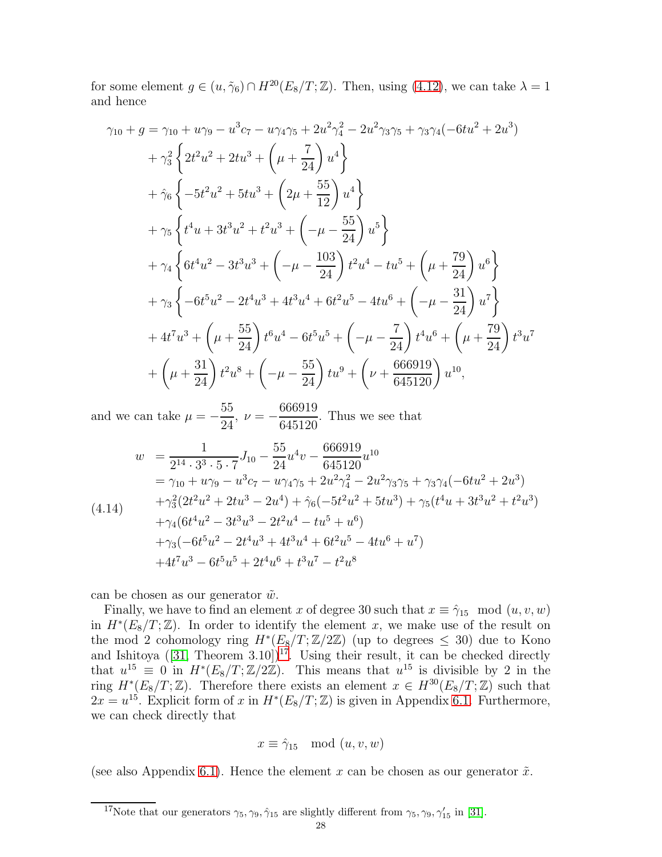for some element  $g \in (u, \tilde{\gamma}_6) \cap H^{20}(E_8/T; \mathbb{Z})$ . Then, using [\(4.12\)](#page-26-0), we can take  $\lambda = 1$ and hence

$$
\gamma_{10} + g = \gamma_{10} + u\gamma_{9} - u^{3}c_{7} - u\gamma_{4}\gamma_{5} + 2u^{2}\gamma_{4}^{2} - 2u^{2}\gamma_{3}\gamma_{5} + \gamma_{3}\gamma_{4}(-6tu^{2} + 2u^{3})
$$
  
\n
$$
+ \gamma_{3}^{2} \left\{ 2t^{2}u^{2} + 2tu^{3} + \left( \mu + \frac{7}{24} \right)u^{4} \right\}
$$
  
\n
$$
+ \hat{\gamma}_{6} \left\{ -5t^{2}u^{2} + 5tu^{3} + \left( 2\mu + \frac{55}{12} \right)u^{4} \right\}
$$
  
\n
$$
+ \gamma_{5} \left\{ t^{4}u + 3t^{3}u^{2} + t^{2}u^{3} + \left( -\mu - \frac{55}{24} \right)u^{5} \right\}
$$
  
\n
$$
+ \gamma_{4} \left\{ 6t^{4}u^{2} - 3t^{3}u^{3} + \left( -\mu - \frac{103}{24} \right) t^{2}u^{4} - tu^{5} + \left( \mu + \frac{79}{24} \right)u^{6} \right\}
$$
  
\n
$$
+ \gamma_{3} \left\{ -6t^{5}u^{2} - 2t^{4}u^{3} + 4t^{3}u^{4} + 6t^{2}u^{5} - 4tu^{6} + \left( -\mu - \frac{31}{24} \right)u^{7} \right\}
$$
  
\n
$$
+ 4t^{7}u^{3} + \left( \mu + \frac{55}{24} \right) t^{6}u^{4} - 6t^{5}u^{5} + \left( -\mu - \frac{7}{24} \right) t^{4}u^{6} + \left( \mu + \frac{79}{24} \right) t^{3}u^{7}
$$
  
\n
$$
+ \left( \mu + \frac{31}{24} \right) t^{2}u^{8} + \left( -\mu - \frac{55}{24} \right) tu^{9} + \left( \nu + \frac{666919}{645120} \right) u^{10},
$$

and we can take  $\mu = -$ 55  $\frac{38}{24}$ ,  $\nu = -$ 666919 645120 . Thus we see that

<span id="page-27-1"></span>
$$
w = \frac{1}{2^{14} \cdot 3^3 \cdot 5 \cdot 7} J_{10} - \frac{55}{24} u^4 v - \frac{666919}{645120} u^{10}
$$
  
\n
$$
= \gamma_{10} + u \gamma_9 - u^3 c_7 - u \gamma_4 \gamma_5 + 2u^2 \gamma_4^2 - 2u^2 \gamma_3 \gamma_5 + \gamma_3 \gamma_4 (-6tu^2 + 2u^3)
$$
  
\n
$$
+ \gamma_3^2 (2t^2 u^2 + 2tu^3 - 2u^4) + \hat{\gamma}_6 (-5t^2 u^2 + 5tu^3) + \gamma_5 (t^4 u + 3t^3 u^2 + t^2 u^3)
$$
  
\n
$$
+ \gamma_4 (6t^4 u^2 - 3t^3 u^3 - 2t^2 u^4 - tu^5 + u^6)
$$
  
\n
$$
+ \gamma_3 (-6t^5 u^2 - 2t^4 u^3 + 4t^3 u^4 + 6t^2 u^5 - 4tu^6 + u^7)
$$
  
\n
$$
+ 4t^7 u^3 - 6t^5 u^5 + 2t^4 u^6 + t^3 u^7 - t^2 u^8
$$

can be chosen as our generator  $\tilde{w}$ .

Finally, we have to find an element x of degree 30 such that  $x \equiv \hat{\gamma}_{15} \mod (u, v, w)$ in  $H^*(E_8/T;\mathbb{Z})$ . In order to identify the element x, we make use of the result on the mod 2 cohomology ring  $H^*(E_8/T;\mathbb{Z}/2\mathbb{Z})$  (up to degrees  $\leq 30$ ) due to Kono and Ishitoya  $([31,$  $([31,$  Theorem  $3.10]$ <sup>[17](#page-27-0)</sup>. Using their result, it can be checked directly that  $u^{15} \equiv 0$  in  $H^*(E_8/T; \mathbb{Z}/2\mathbb{Z})$ . This means that  $u^{15}$  is divisible by 2 in the ring  $H^*(E_8/T;\mathbb{Z})$ . Therefore there exists an element  $x \in H^{30}(E_8/T;\mathbb{Z})$  such that  $2x = u^{15}$ . Explicit form of x in  $H^*(E_8/T; \mathbb{Z})$  is given in Appendix [6.1.](#page-30-0) Furthermore, we can check directly that

$$
x \equiv \hat{\gamma}_{15} \mod (u, v, w)
$$

(see also Appendix [6.1\)](#page-30-0). Hence the element x can be chosen as our generator  $\tilde{x}$ .

<span id="page-27-0"></span><sup>&</sup>lt;sup>17</sup>Note that our generators  $\gamma_5, \gamma_9, \hat{\gamma}_{15}$  are slightly different from  $\gamma_5, \gamma_9, \gamma'_{15}$  in [\[31\]](#page-34-6).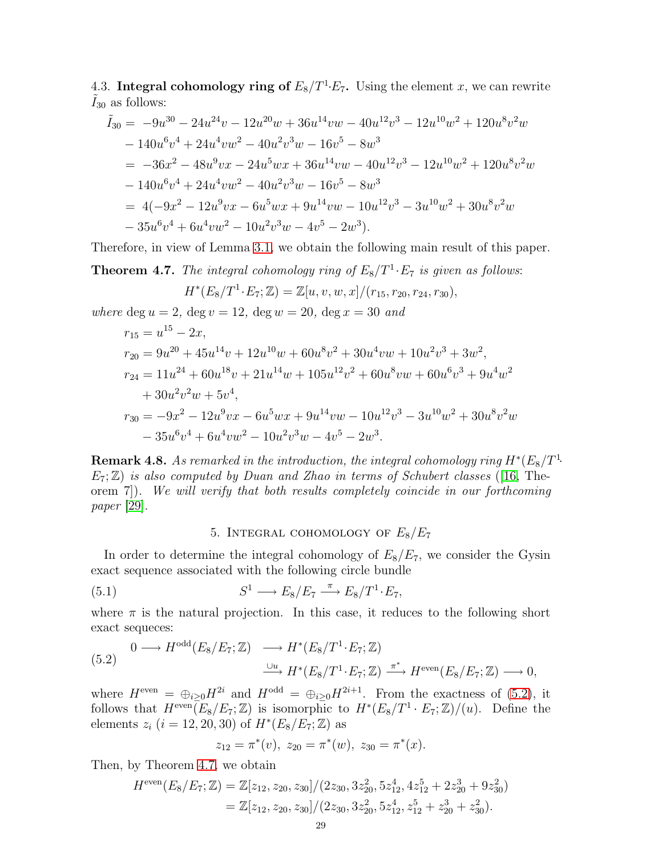4.3. Integral cohomology ring of  $E_8/T^1 \cdot E_7$ . Using the element x, we can rewrite  $I_{30}$  as follows:

$$
\tilde{I}_{30} = -9u^{30} - 24u^{24}v - 12u^{20}w + 36u^{14}vw - 40u^{12}v^3 - 12u^{10}w^2 + 120u^8v^2w \n- 140u^6v^4 + 24u^4vw^2 - 40u^2v^3w - 16v^5 - 8w^3 \n= -36x^2 - 48u^9vx - 24u^5wx + 36u^{14}vw - 40u^{12}v^3 - 12u^{10}w^2 + 120u^8v^2w \n- 140u^6v^4 + 24u^4vw^2 - 40u^2v^3w - 16v^5 - 8w^3 \n= 4(-9x^2 - 12u^9vx - 6u^5wx + 9u^{14}vw - 10u^{12}v^3 - 3u^{10}w^2 + 30u^8v^2w \n- 35u^6v^4 + 6u^4vw^2 - 10u^2v^3w - 4v^5 - 2w^3).
$$

Therefore, in view of Lemma [3.1,](#page-17-2) we obtain the following main result of this paper.

<span id="page-28-0"></span>**Theorem 4.7.** The integral cohomology ring of  $E_8/T^1 \tcdot E_7$  is given as follows:

$$
H^*(E_8/T^1 \cdot E_7; \mathbb{Z}) = \mathbb{Z}[u, v, w, x]/(r_{15}, r_{20}, r_{24}, r_{30}),
$$

where deg  $u = 2$ , deg  $v = 12$ , deg  $w = 20$ , deg  $x = 30$  and

$$
r_{15} = u^{15} - 2x,
$$
  
\n
$$
r_{20} = 9u^{20} + 45u^{14}v + 12u^{10}w + 60u^{8}v^{2} + 30u^{4}vw + 10u^{2}v^{3} + 3w^{2},
$$
  
\n
$$
r_{24} = 11u^{24} + 60u^{18}v + 21u^{14}w + 105u^{12}v^{2} + 60u^{8}vw + 60u^{6}v^{3} + 9u^{4}w^{2}
$$
  
\n
$$
+ 30u^{2}v^{2}w + 5v^{4},
$$
  
\n
$$
r_{30} = -9x^{2} - 12u^{9}vx - 6u^{5}wx + 9u^{14}vw - 10u^{12}v^{3} - 3u^{10}w^{2} + 30u^{8}v^{2}w
$$
  
\n
$$
- 35u^{6}v^{4} + 6u^{4}vw^{2} - 10u^{2}v^{3}w - 4v^{5} - 2w^{3}.
$$

**Remark 4.8.** As remarked in the introduction, the integral cohomology ring  $H^*(E_8/T^1)$ .  $E_7$ ;  $\mathbb{Z}$ ) is also computed by Duan and Zhao in terms of Schubert classes ([\[16,](#page-34-13) Theorem 7]). We will verify that both results completely coincide in our forthcoming paper [\[29\]](#page-34-16).

# 5. INTEGRAL COHOMOLOGY OF  $E_8/E_7$

In order to determine the integral cohomology of  $E_8/E_7$ , we consider the Gysin exact sequence associated with the following circle bundle

(5.1) 
$$
S^1 \longrightarrow E_8/E_7 \stackrel{\pi}{\longrightarrow} E_8/T^1 \cdot E_7,
$$

where  $\pi$  is the natural projection. In this case, it reduces to the following short exact sequeces:

<span id="page-28-1"></span>
$$
(5.2) \quad 0 \longrightarrow H^{\text{odd}}(E_8/E_7; \mathbb{Z}) \longrightarrow H^*(E_8/T^1 \cdot E_7; \mathbb{Z})
$$
\n
$$
\xrightarrow{\cup u} H^*(E_8/T^1 \cdot E_7; \mathbb{Z}) \xrightarrow{\pi^*} H^{\text{even}}(E_8/E_7; \mathbb{Z}) \longrightarrow 0,
$$

where  $H^{\text{even}} = \bigoplus_{i \geq 0} H^{2i}$  and  $H^{\text{odd}} = \bigoplus_{i \geq 0} H^{2i+1}$ . From the exactness of [\(5.2\)](#page-28-1), it follows that  $H^{\text{even}}(E_8/E_7; \mathbb{Z})$  is isomorphic to  $H^*(E_8/T^1 \cdot E_7; \mathbb{Z})/(u)$ . Define the elements  $z_i$   $(i = 12, 20, 30)$  of  $H^*(E_8/E_7; \mathbb{Z})$  as

$$
z_{12} = \pi^*(v), \ z_{20} = \pi^*(w), \ z_{30} = \pi^*(x).
$$

Then, by Theorem [4.7,](#page-28-0) we obtain

$$
H^{\text{even}}(E_8/E_7; \mathbb{Z}) = \mathbb{Z}[z_{12}, z_{20}, z_{30}]/(2z_{30}, 3z_{20}^2, 5z_{12}^4, 4z_{12}^5 + 2z_{20}^3 + 9z_{30}^2)
$$
  
=  $\mathbb{Z}[z_{12}, z_{20}, z_{30}]/(2z_{30}, 3z_{20}^2, 5z_{12}^4, z_{12}^5 + z_{20}^3 + z_{30}^2).$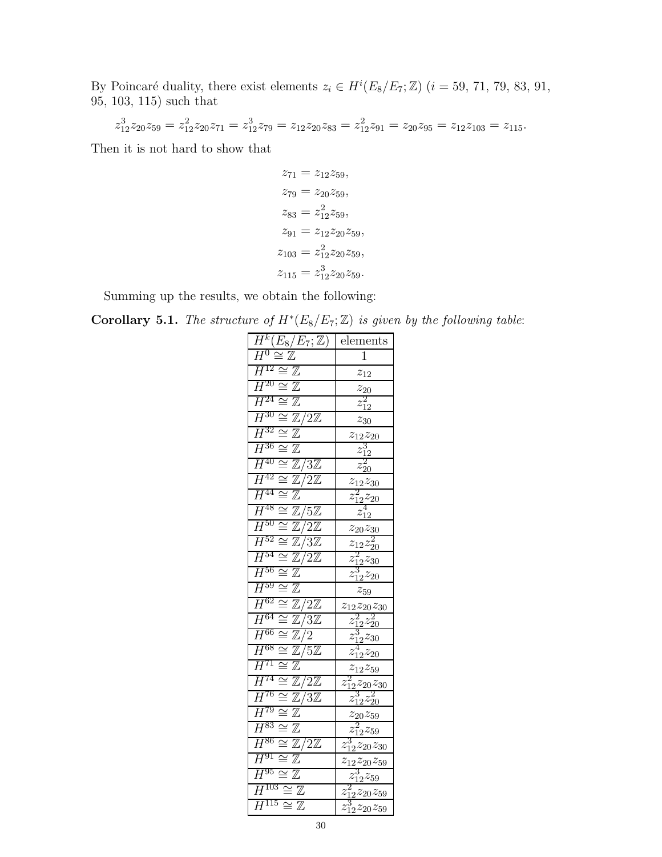By Poincaré duality, there exist elements  $z_i \in H^i(E_8/E_7; \mathbb{Z})$   $(i = 59, 71, 79, 83, 91,$ 95, 103, 115) such that

$$
z_{12}^3 z_{20} z_{59} = z_{12}^2 z_{20} z_{71} = z_{12}^3 z_{79} = z_{12} z_{20} z_{83} = z_{12}^2 z_{91} = z_{20} z_{95} = z_{12} z_{103} = z_{115}.
$$

Then it is not hard to show that

$$
z_{71} = z_{12}z_{59},
$$
  
\n
$$
z_{79} = z_{20}z_{59},
$$
  
\n
$$
z_{83} = z_{12}^2z_{59},
$$
  
\n
$$
z_{91} = z_{12}z_{20}z_{59},
$$
  
\n
$$
z_{103} = z_{12}^2z_{20}z_{59},
$$
  
\n
$$
z_{115} = z_{12}^3z_{20}z_{59}.
$$

Summing up the results, we obtain the following:

<span id="page-29-0"></span>**Corollary 5.1.** The structure of  $H^*(E_8/E_7; \mathbb{Z})$  is given by the following table:

| $\overline{H^{k}(E_8/E_7; \mathbb{Z})}$                                 | elements                                      |
|-------------------------------------------------------------------------|-----------------------------------------------|
| $H^0\cong \mathbb{Z}$                                                   | 1                                             |
| $\cong \mathbb{Z}$<br>$\bar{H}^{12}$                                    | $z_{12}$                                      |
| $\bar{H}^{20}$<br>$\mathbb Z$<br>$\cong$                                | $z_{20}$                                      |
| $\overline{H^{24}}$<br>$\overline{\mathbb{Z}}$<br>$\simeq$              | 2<br>$z_{12}$                                 |
| $\bar{H}^{30}$<br>$\overline{\cong}\,\mathbb{Z}/2\mathbb{Z}$            | $z_{30}$                                      |
| $\overline{H^{32}}$<br>$\overline{\cong}~ \mathbb{Z}$                   | $z_{12}z_{20}$                                |
| $\overline{H^{36}}$<br>$\mathbb Z$<br>$\bar{\simeq}$                    | $z^{\mathrm{o}}_{12}$                         |
| $H^{40}$<br>$\overline{\cong \mathbb{Z}}/3\mathbb{Z}$                   | $z_{\rm 20}$                                  |
| $H^{42}$<br>$\overline{\mathbb{Z}/2\mathbb{Z}}$<br>$\equiv$             | $z_{12}z_{30}$                                |
| $\bar{H}^{44}$<br>$\cong$<br>$\mathbb Z$                                | $z^{\texttt}_{12}z_{20}$                      |
| $\overline{H^{48}}$<br>$\cong \mathbb{Z}/5\mathbb{Z}$                   | 4<br>$z_{\bar{1}2}$                           |
| $\overline{H^{50}}$<br>IIZ.<br>$\overline{\mathbb{Z}}/2\mathbb{Z}$      | $z_{20}z_{30}$                                |
| $H^{52}$<br>$\mathbb{Z}/3\mathbb{Z}$<br>$\cong$                         | $z_{12}z_{\overline{20}}$                     |
| $H^{54}$<br>$\overline{\mathbb{Z}/2\mathbb{Z}}$<br>$\geq$               | $\overline{z_{12}^2z_{30}}$                   |
| $\overline{H}^{56}$<br>$\cong$<br>$\mathbb Z$                           | $z_{12}^{\mathrm{o}} z_{20}$                  |
| $\overline{H^{59}}$<br>$\cong \mathbb{Z}$                               | $z_{59}$                                      |
| $\overline{H^{62}}$<br>$\mathbb{Z}/2\mathbb{Z}$<br>$\cong$              | $z_{12}z_{20}z_{30}$                          |
| $H^{64}$<br>$\cong \mathbb{Z}/3\mathbb{Z}$                              | $\frac{z_{12}^2 z_{20}^2}{z_{12}^2 z_{20}^2}$ |
| $\overline{H^{66}}$<br>$\mathbb{Z}/2$<br>$\equiv$                       | 3<br>$z_{12}^{\circ}z_{30}$                   |
| $\overline{H}^{68}$<br>$\approx$<br>$\overline{\mathbb{Z}}/5\mathbb{Z}$ | $z_{12}^{\alpha}z_{20}$                       |
| $\bar{H}^{71}$<br>$\cong$<br>$\mathbb Z$                                | $z_{12}z_{59}$                                |
| $\overline{H^{74}}$<br>$\mathbb{Z}/2\mathbb{Z}$<br>$\cong$              | $\frac{z_{12}^2 z_{20} z_{30}}{z_{12}^2}$     |
| $H^{76}$<br>$\overline{\cong}\,\mathbb{Z}/3\mathbb{Z}$                  | $z_{\v 12} z_{20}$                            |
| $\bar{H}^{79}$<br>$\overline{\mathbb{Z}}$<br>$\cong$                    | $z_{20}z_{59}$                                |
| $H^{83}$<br>$\cong$<br>$\mathbb Z$                                      | $z_{12}^2 z_{59}$                             |
| $\overline{H}^{86}$<br>$\cong \overline{\mathbb{Z}/2\mathbb{Z}}$        | $z_{12}^{\prime}z_{20}z_{30}$                 |
| $H^{91}$<br>$\overline{\cong}~ \mathbb{Z}$                              | $z_{12}z_{20}z_{59}$                          |
| $H^{95}$<br>$\overline{\cong}\, \mathbb{Z}$                             | $z_{12}^3 z_{59}$                             |
| $H^{103}$<br>$\cong \mathbb{Z}$                                         | $z_{12}^2 z_{20} z_{59}$                      |
| $H^{115}\cong \mathbb{Z}$                                               | $z_{12}^{\prime}z_{20}z_{59}$                 |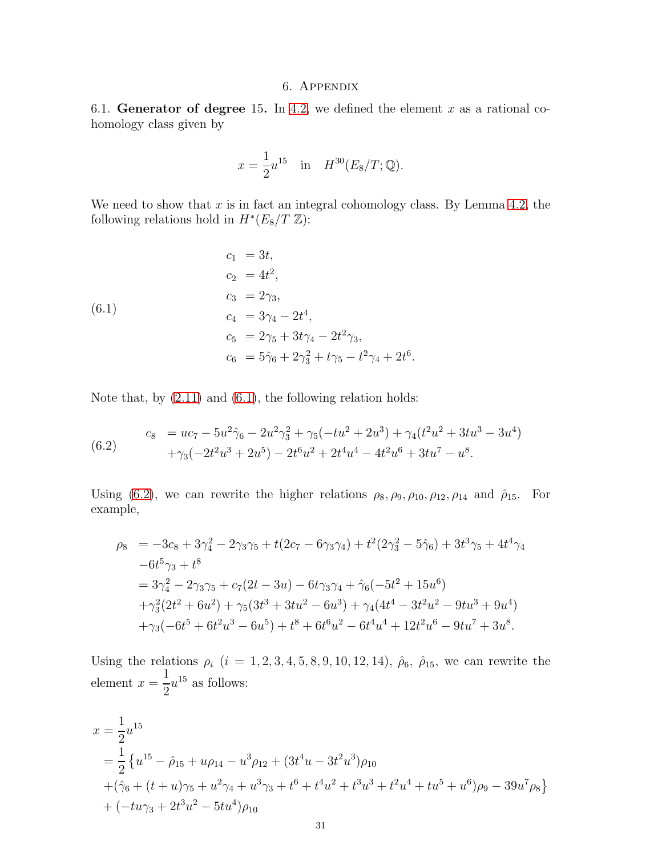### 6. Appendix

<span id="page-30-0"></span>6.1. Generator of degree 15. In [4.2,](#page-24-0) we defined the element x as a rational cohomology class given by

$$
x = \frac{1}{2}u^{15}
$$
 in  $H^{30}(E_8/T; \mathbb{Q})$ .

We need to show that  $x$  is in fact an integral cohomology class. By Lemma [4.2,](#page-18-0) the following relations hold in  $H^*(E_8/T \mathbb{Z})$ :

<span id="page-30-1"></span>(6.1)  
\n
$$
c_1 = 3t,
$$
\n
$$
c_2 = 4t^2,
$$
\n
$$
c_3 = 2\gamma_3,
$$
\n
$$
c_4 = 3\gamma_4 - 2t^4,
$$
\n
$$
c_5 = 2\gamma_5 + 3t\gamma_4 - 2t^2\gamma_3,
$$
\n
$$
c_6 = 5\hat{\gamma}_6 + 2\gamma_3^2 + t\gamma_5 - t^2\gamma_4 + 2t^6.
$$

Note that, by [\(2.11\)](#page-9-2) and [\(6.1\)](#page-30-1), the following relation holds:

<span id="page-30-2"></span>(6.2) 
$$
c_8 = uc_7 - 5u^2\hat{\gamma}_6 - 2u^2\hat{\gamma}_3^2 + \gamma_5(-tu^2 + 2u^3) + \gamma_4(t^2u^2 + 3tu^3 - 3u^4) + \gamma_3(-2t^2u^3 + 2u^5) - 2t^6u^2 + 2t^4u^4 - 4t^2u^6 + 3tu^7 - u^8.
$$

Using [\(6.2\)](#page-30-2), we can rewrite the higher relations  $\rho_8$ ,  $\rho_9$ ,  $\rho_{10}$ ,  $\rho_{12}$ ,  $\rho_{14}$  and  $\rho_{15}$ . For example,

$$
\rho_8 = -3c_8 + 3\gamma_4^2 - 2\gamma_3\gamma_5 + t(2c_7 - 6\gamma_3\gamma_4) + t^2(2\gamma_3^2 - 5\hat{\gamma}_6) + 3t^3\gamma_5 + 4t^4\gamma_4 \n-6t^5\gamma_3 + t^8 \n= 3\gamma_4^2 - 2\gamma_3\gamma_5 + c_7(2t - 3u) - 6t\gamma_3\gamma_4 + \hat{\gamma}_6(-5t^2 + 15u^6) \n+ \gamma_3^2(2t^2 + 6u^2) + \gamma_5(3t^3 + 3tu^2 - 6u^3) + \gamma_4(4t^4 - 3t^2u^2 - 9tu^3 + 9u^4) \n+ \gamma_3(-6t^5 + 6t^2u^3 - 6u^5) + t^8 + 6t^6u^2 - 6t^4u^4 + 12t^2u^6 - 9tu^7 + 3u^8.
$$

Using the relations  $\rho_i$   $(i = 1, 2, 3, 4, 5, 8, 9, 10, 12, 14), \hat{\rho}_6$ ,  $\hat{\rho}_{15}$ , we can rewrite the element  $x =$   $u^{15}$  as follows:

$$
x = \frac{1}{2}u^{15}
$$
  
=  $\frac{1}{2}$  { $u^{15} - \hat{\rho}_{15} + u\rho_{14} - u^3\rho_{12} + (3t^4u - 3t^2u^3)\rho_{10}$   
+  $(\hat{\gamma}_6 + (t + u)\gamma_5 + u^2\gamma_4 + u^3\gamma_3 + t^6 + t^4u^2 + t^3u^3 + t^2u^4 + tu^5 + u^6)\rho_9 - 39u^7\rho_8$ }  
+  $(-tu\gamma_3 + 2t^3u^2 - 5tu^4)\rho_{10}$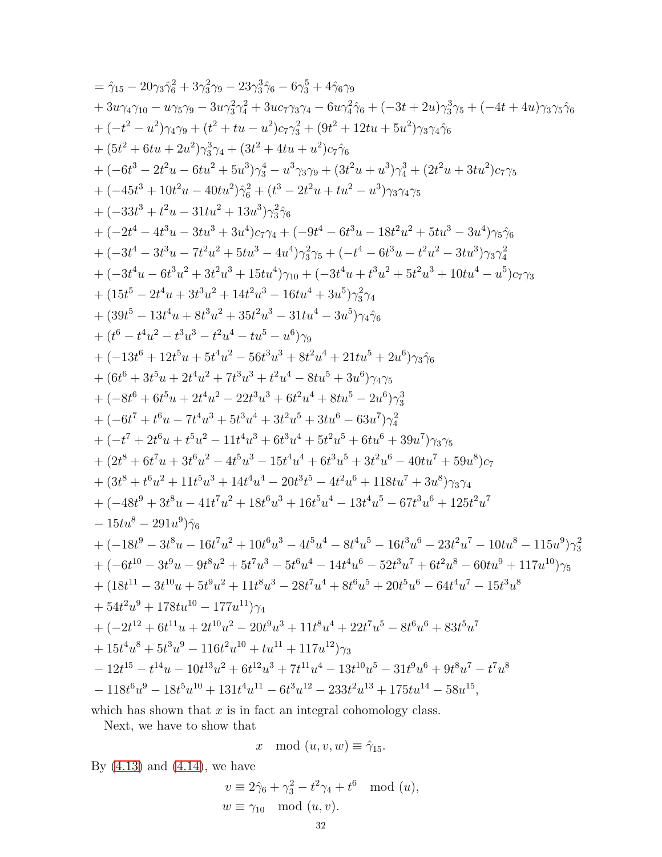$$
=\hat{\gamma}_{15}-20\gamma_{3}\hat{\gamma}_{6}^{2}+3\gamma_{3}^{2}\gamma_{9}-23\gamma_{3}^{3}\hat{\gamma}_{9}-6\gamma_{3}^{5}+4\hat{\gamma}_{6}\gamma_{9}\\ +3w_{4}\gamma_{10}-w_{75}\gamma_{9}-3w_{3}^{2}\gamma_{4}^{2}+3uc_{7}\gamma_{3}\gamma_{4}-6u\gamma_{4}^{2}\hat{\gamma}_{6}+(-3t+2u)\gamma_{3}^{3}\gamma_{5}+(-4t+4u)\gamma_{3}\gamma_{5}\hat{\gamma}_{6}\\ +(-t^{2}-u^{2})\gamma_{4}\gamma_{9}+(t^{2}+tu-u^{2})c\gamma_{3}^{2}+(9t^{2}+12tu+5u^{2})\gamma_{3}\gamma_{4}\hat{\gamma}_{6}\\ +(5t^{2}+6tu+2u^{2})\gamma_{3}^{3}\gamma_{4}+(3t^{2}+4tu+u^{2})c\hat{\gamma}_{6}\\ +(-6t^{3}-2t^{2}u-6tu^{2}+5u^{3})\gamma_{3}^{4}-u^{3}\gamma_{3}\gamma_{9}+(3t^{2}u+u^{3})\gamma_{4}^{3}+(2t^{2}u+3tu^{2})c\gamma_{5}\\ +(-45t^{3}+10t^{2}u-40tu^{2})\hat{\gamma}_{6}^{2}+(t^{3}-2t^{2}u+tu^{2}-u^{3})\gamma_{3}\gamma_{4}\gamma_{5}\\ +(-33t^{3}+t^{2}u-31tu^{2}+13u^{3})\gamma_{3}^{2}\hat{\gamma}_{6}\\ +(-33t^{3}+t^{2}u-31tu^{2}+13u^{3})\gamma_{3}^{2}\hat{\gamma}_{6}\\ +(-2t^{4}-4t^{3}u-3tu^{3}+3u^{4})c\gamma_{4}+(-9t^{4}-6t^{3}u-18t^{2}u^{2}+5tu^{3}-3u^{4})\gamma_{5}\hat{\gamma}_{6}\\ +(-3t^{4}-3t^{3}u-7t^{2}u^{2}+5tu^{3}-4u^{4})\gamma_{3}^{2}\gamma_{5}+(-t^{4}-6t^{3}u-t^{2}u^{2}-3tu^{3})\gamma_{3}\gamma_{4}^{2}\\ +(-3t^{4}u-6t^{3}u^{2}+3t^{2}u^{3}+15tu^{4})\gamma_{10}+(-3t^{4}u+t^{3}u^{2}+5t^{2}
$$

which has shown that  $x$  is in fact an integral cohomology class.

Next, we have to show that

x mod  $(u, v, w) \equiv \hat{\gamma}_{15}$ .

By  $(4.13)$  and  $(4.14)$ , we have

$$
v \equiv 2\hat{\gamma}_6 + \gamma_3^2 - t^2 \gamma_4 + t^6 \mod(u),
$$
  

$$
w \equiv \gamma_{10} \mod(u, v).
$$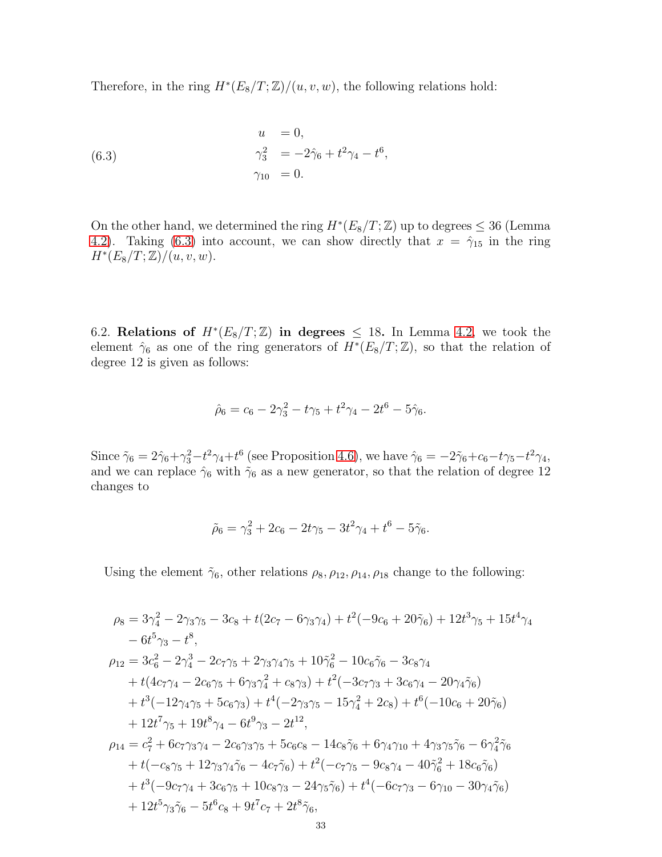Therefore, in the ring  $H^*(E_8/T;\mathbb{Z})/(u,v,w)$ , the following relations hold:

<span id="page-32-0"></span>(6.3) 
$$
u = 0,
$$
  
\n
$$
\gamma_3^2 = -2\hat{\gamma}_6 + t^2 \gamma_4 - t^6,
$$
  
\n
$$
\gamma_{10} = 0.
$$

On the other hand, we determined the ring  $H^*(E_8/T; \mathbb{Z})$  up to degrees  $\leq 36$  (Lemma [4.2\)](#page-18-0). Taking [\(6.3\)](#page-32-0) into account, we can show directly that  $x = \hat{\gamma}_{15}$  in the ring  $H^*(E_8/T; \mathbb{Z})/(u, v, w).$ 

6.2. Relations of  $H^*(E_8/T;\mathbb{Z})$  in degrees  $\leq 18$ . In Lemma [4.2,](#page-18-0) we took the element  $\hat{\gamma}_6$  as one of the ring generators of  $H^*(E_8/T;\mathbb{Z})$ , so that the relation of degree 12 is given as follows:

$$
\hat{\rho}_6 = c_6 - 2\gamma_3^2 - t\gamma_5 + t^2\gamma_4 - 2t^6 - 5\hat{\gamma}_6.
$$

Since  $\tilde{\gamma}_6 = 2\hat{\gamma}_6 + \gamma_3^2 - t^2\gamma_4 + t^6$  (see Proposition [4.6\)](#page-23-1), we have  $\hat{\gamma}_6 = -2\tilde{\gamma}_6 + c_6 - t\gamma_5 - t^2\gamma_4$ , and we can replace  $\hat{\gamma}_6$  with  $\tilde{\gamma}_6$  as a new generator, so that the relation of degree 12 changes to

$$
\tilde{\rho}_6 = \gamma_3^2 + 2c_6 - 2t\gamma_5 - 3t^2\gamma_4 + t^6 - 5\tilde{\gamma}_6.
$$

Using the element  $\tilde{\gamma}_6$ , other relations  $\rho_8$ ,  $\rho_{12}$ ,  $\rho_{14}$ ,  $\rho_{18}$  change to the following:

$$
\rho_8 = 3\gamma_4^2 - 2\gamma_3\gamma_5 - 3c_8 + t(2c_7 - 6\gamma_3\gamma_4) + t^2(-9c_6 + 20\tilde{\gamma}_6) + 12t^3\gamma_5 + 15t^4\gamma_4 \n- 6t^5\gamma_3 - t^8,
$$
\n
$$
\rho_{12} = 3c_6^2 - 2\gamma_4^3 - 2c_7\gamma_5 + 2\gamma_3\gamma_4\gamma_5 + 10\tilde{\gamma}_6^2 - 10c_6\tilde{\gamma}_6 - 3c_8\gamma_4 \n+ t(4c_7\gamma_4 - 2c_6\gamma_5 + 6\gamma_3\gamma_4^2 + c_8\gamma_3) + t^2(-3c_7\gamma_3 + 3c_6\gamma_4 - 20\gamma_4\tilde{\gamma}_6) \n+ t^3(-12\gamma_4\gamma_5 + 5c_6\gamma_3) + t^4(-2\gamma_3\gamma_5 - 15\gamma_4^2 + 2c_8) + t^6(-10c_6 + 20\tilde{\gamma}_6) \n+ 12t^7\gamma_5 + 19t^8\gamma_4 - 6t^9\gamma_3 - 2t^{12},
$$
\n
$$
\rho_{14} = c_7^2 + 6c_7\gamma_3\gamma_4 - 2c_6\gamma_3\gamma_5 + 5c_6c_8 - 14c_8\tilde{\gamma}_6 + 6\gamma_4\gamma_{10} + 4\gamma_3\gamma_5\tilde{\gamma}_6 - 6\gamma_4^2\tilde{\gamma}_6 \n+ t(-c_8\gamma_5 + 12\gamma_3\gamma_4\tilde{\gamma}_6 - 4c_7\tilde{\gamma}_6) + t^2(-c_7\gamma_5 - 9c_8\gamma_4 - 40\tilde{\gamma}_6^2 + 18c_6\tilde{\gamma}_6) \n+ t^3(-9c_7\gamma_4 + 3c_6\gamma_5 + 10c_8\gamma_3 - 24\gamma_5\tilde{\gamma}_6) + t^4(-6c_7\gamma_3 - 6\gamma_{10} - 30\gamma_4\tilde{\gamma}_6) \n+ 12t^5\gamma_3\tilde{\gamma}_6 - 5t^6c_8 + 9t
$$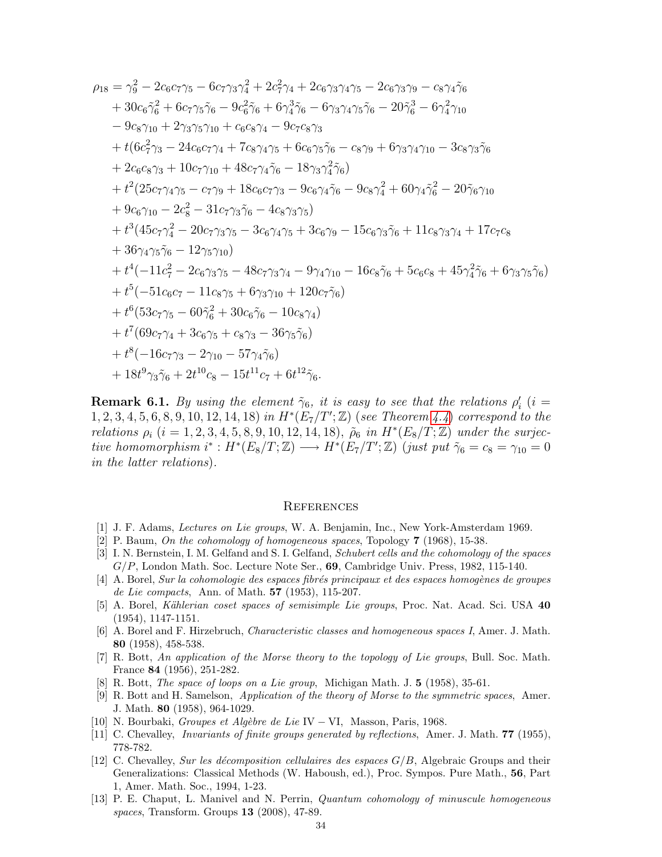$$
\rho_{18} = \gamma_9^2 - 2c_6c_7\gamma_5 - 6c_7\gamma_3\gamma_4^2 + 2c_7^2\gamma_4 + 2c_6\gamma_3\gamma_4\gamma_5 - 2c_6\gamma_3\gamma_9 - c_8\gamma_4\gamma_6 + 30c_6\gamma_6^2 + 6c_7\gamma_5\gamma_6 - 9c_6^2\gamma_6 + 6\gamma_4^3\gamma_6 - 6\gamma_3\gamma_4\gamma_5\gamma_6 - 20\gamma_6^3 - 6\gamma_4^2\gamma_{10} - 9c_8\gamma_{10} + 2\gamma_3\gamma_5\gamma_{10} + c_6c_8\gamma_4 - 9c_7c_8\gamma_3 + t(6c_7^2\gamma_3 - 24c_6c_7\gamma_4 + 7c_8\gamma_4\gamma_5 + 6c_6\gamma_5\gamma_6 - c_8\gamma_9 + 6\gamma_3\gamma_4\gamma_{10} - 3c_8\gamma_3\gamma_6 + 2c_6c_8\gamma_3 + 10c_7\gamma_{10} + 48c_7\gamma_4\gamma_6 - 18\gamma_3\gamma_4^2\gamma_6) + t^2(25c_7\gamma_4\gamma_5 - c_7\gamma_9 + 18c_6c_7\gamma_3 - 9c_6\gamma_4\gamma_6 - 9c_8\gamma_4^2 + 60\gamma_4\gamma_6^2 - 20\gamma_6\gamma_{10} + 9c_6\gamma_{10} - 2c_8^2 - 31c_7\gamma_3\gamma_6 - 4c_8\gamma_3\gamma_5) + t^3(45c_7\gamma_4^2 - 20c_7\gamma_3\gamma_5 - 3c_6\gamma_4\gamma_5 + 3c_6\gamma_9 - 15c_6\gamma_3\gamma_6 + 11c_8\gamma_3\gamma_4 + 17c_7c_8 + 36\gamma_4\gamma_5\gamma_6 - 12\gamma_5\gamma_{10}) + t^4(-11c_7^2 - 2c_6\gamma_3\gamma_5 - 48c_7\gamma_3\gamma_4 - 9\gamma_4\gamma_{10} - 16c_8\gamma_6 + 5c_6c
$$

**Remark 6.1.** By using the element  $\tilde{\gamma}_6$ , it is easy to see that the relations  $\rho'_i$  (i =  $1, 2, 3, 4, 5, 6, 8, 9, 10, 12, 14, 18$  in  $H^*(E_7/T';\mathbb{Z})$  (see Theorem [4.4](#page-23-0)) correspond to the relations  $\rho_i$   $(i = 1, 2, 3, 4, 5, 8, 9, 10, 12, 14, 18), \tilde{\rho}_6$  in  $H^*(E_8/T; \mathbb{Z})$  under the surjective homomorphism  $i^*: H^*(E_8/T; \mathbb{Z}) \longrightarrow H^*(E_7/T'; \mathbb{Z})$  (just put  $\tilde{\gamma}_6 = c_8 = \gamma_{10} = 0$ in the latter relations).

#### **REFERENCES**

- <span id="page-33-11"></span><span id="page-33-3"></span>[1] J. F. Adams, Lectures on Lie groups, W. A. Benjamin, Inc., New York-Amsterdam 1969.
- <span id="page-33-7"></span>[2] P. Baum, On the cohomology of homogeneous spaces, Topology 7 (1968), 15-38.
- [3] I. N. Bernstein, I. M. Gelfand and S. I. Gelfand, Schubert cells and the cohomology of the spaces  $G/P$ , London Math. Soc. Lecture Note Ser.,  $69$ , Cambridge Univ. Press, 1982, 115-140.
- <span id="page-33-0"></span> $[4]$  A. Borel, Sur la cohomologie des espaces fibrés principaux et des espaces homogènes de groupes de Lie compacts, Ann. of Math. 57 (1953), 115-207.
- <span id="page-33-4"></span>[5] A. Borel, *Kählerian coset spaces of semisimple Lie groups*, Proc. Nat. Acad. Sci. USA 40 (1954), 1147-1151.
- <span id="page-33-5"></span>[6] A. Borel and F. Hirzebruch, Characteristic classes and homogeneous spaces I, Amer. J. Math. 80 (1958), 458-538.
- <span id="page-33-1"></span>[7] R. Bott, An application of the Morse theory to the topology of Lie groups, Bull. Soc. Math. France 84 (1956), 251-282.
- <span id="page-33-9"></span><span id="page-33-2"></span>[8] R. Bott, The space of loops on a Lie group, Michigan Math. J. 5 (1958), 35-61.
- [9] R. Bott and H. Samelson, Application of the theory of Morse to the symmetric spaces, Amer. J. Math. 80 (1958), 964-1029.
- <span id="page-33-12"></span><span id="page-33-10"></span>[10] N. Bourbaki, Groupes et Alg`ebre de Lie IV − VI, Masson, Paris, 1968.
- <span id="page-33-6"></span>[11] C. Chevalley, *Invariants of finite groups generated by reflections*, Amer. J. Math. **77** (1955), 778-782.
- [12] C. Chevalley, Sur les décomposition cellulaires des espaces  $G/B$ , Algebraic Groups and their Generalizations: Classical Methods (W. Haboush, ed.), Proc. Sympos. Pure Math., 56, Part 1, Amer. Math. Soc., 1994, 1-23.
- <span id="page-33-8"></span>[13] P. E. Chaput, L. Manivel and N. Perrin, Quantum cohomology of minuscule homogeneous spaces, Transform. Groups 13 (2008), 47-89.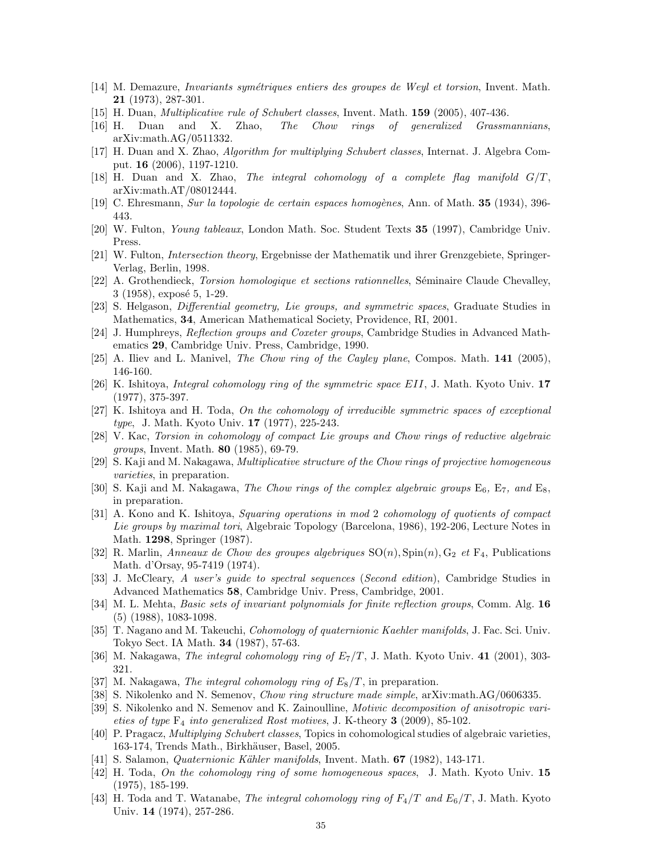- <span id="page-34-20"></span><span id="page-34-12"></span>[14] M. Demazure, *Invariants symétriques entiers des groupes de Weyl et torsion*, Invent. Math. 21 (1973), 287-301.
- <span id="page-34-13"></span>[15] H. Duan, Multiplicative rule of Schubert classes, Invent. Math. 159 (2005), 407-436.
- <span id="page-34-14"></span>[16] H. Duan and X. Zhao, The Chow rings of generalized Grassmannians, arXiv:math.AG/0511332.
- <span id="page-34-15"></span>[17] H. Duan and X. Zhao, Algorithm for multiplying Schubert classes, Internat. J. Algebra Comput. 16 (2006), 1197-1210.
- <span id="page-34-7"></span>[18] H. Duan and X. Zhao, The integral cohomology of a complete flag manifold  $G/T$ , arXiv:math.AT/08012444.
- <span id="page-34-18"></span>[19] C. Ehresmann, Sur la topologie de certain espaces homogènes, Ann. of Math. 35 (1934), 396-443.
- <span id="page-34-19"></span>[20] W. Fulton, Young tableaux, London Math. Soc. Student Texts 35 (1997), Cambridge Univ. Press.
- [21] W. Fulton, Intersection theory, Ergebnisse der Mathematik und ihrer Grenzgebiete, Springer-Verlag, Berlin, 1998.
- <span id="page-34-17"></span>[22] A. Grothendieck, *Torsion homologique et sections rationnelles*, Séminaire Claude Chevalley,  $3(1958)$ , exposé 5, 1-29.
- <span id="page-34-29"></span><span id="page-34-21"></span>[23] S. Helgason, Differential geometry, Lie groups, and symmetric spaces, Graduate Studies in Mathematics, 34, American Mathematical Society, Providence, RI, 2001.
- <span id="page-34-9"></span>[24] J. Humphreys, Reflection groups and Coxeter groups, Cambridge Studies in Advanced Mathematics 29, Cambridge Univ. Press, Cambridge, 1990.
- <span id="page-34-4"></span>[25] A. Iliev and L. Manivel, The Chow ring of the Cayley plane, Compos. Math. 141 (2005), 146-160.
- [26] K. Ishitoya, Integral cohomology ring of the symmetric space EII, J. Math. Kyoto Univ. 17 (1977), 375-397.
- <span id="page-34-3"></span>[27] K. Ishitoya and H. Toda, On the cohomology of irreducible symmetric spaces of exceptional type, J. Math. Kyoto Univ. 17 (1977), 225-243.
- <span id="page-34-25"></span>[28] V. Kac, Torsion in cohomology of compact Lie groups and Chow rings of reductive algebraic groups, Invent. Math. 80 (1985), 69-79.
- <span id="page-34-16"></span>[29] S. Kaji and M. Nakagawa, Multiplicative structure of the Chow rings of projective homogeneous varieties, in preparation.
- <span id="page-34-24"></span>[30] S. Kaji and M. Nakagawa, The Chow rings of the complex algebraic groups  $E_6$ ,  $E_7$ , and  $E_8$ , in preparation.
- <span id="page-34-6"></span>[31] A. Kono and K. Ishitoya, Squaring operations in mod 2 cohomology of quotients of compact Lie groups by maximal tori, Algebraic Topology (Barcelona, 1986), 192-206, Lecture Notes in Math. 1298, Springer (1987).
- <span id="page-34-26"></span>[32] R. Marlin, Anneaux de Chow des groupes algebriques  $SO(n)$ ,  $Spin(n)$ ,  $G_2$  et  $F_4$ , Publications Math. d'Orsay, 95-7419 (1974).
- <span id="page-34-0"></span>[33] J. McCleary, A user's guide to spectral sequences (Second edition), Cambridge Studies in Advanced Mathematics 58, Cambridge Univ. Press, Cambridge, 2001.
- <span id="page-34-28"></span>[34] M. L. Mehta, *Basic sets of invariant polynomials for finite reflection groups*, Comm. Alg. 16 (5) (1988), 1083-1098.
- <span id="page-34-27"></span>[35] T. Nagano and M. Takeuchi, Cohomology of quaternionic Kaehler manifolds, J. Fac. Sci. Univ. Tokyo Sect. IA Math. 34 (1987), 57-63.
- <span id="page-34-23"></span><span id="page-34-5"></span>[36] M. Nakagawa, The integral cohomology ring of  $E_7/T$ , J. Math. Kyoto Univ. 41 (2001), 303-321.
- <span id="page-34-10"></span>[37] M. Nakagawa, The integral cohomology ring of  $E_8/T$ , in preparation.
- <span id="page-34-11"></span>[38] S. Nikolenko and N. Semenov, *Chow ring structure made simple*, arXiv:math.AG/0606335.
- [39] S. Nikolenko and N. Semenov and K. Zainoulline, Motivic decomposition of anisotropic varieties of type  $F_4$  into generalized Rost motives, J. K-theory 3 (2009), 85-102.
- <span id="page-34-8"></span>[40] P. Pragacz, Multiplying Schubert classes, Topics in cohomological studies of algebraic varieties, 163-174, Trends Math., Birkhäuser, Basel, 2005.
- <span id="page-34-22"></span><span id="page-34-1"></span>[41] S. Salamon, *Quaternionic Kähler manifolds*, Invent. Math. **67** (1982), 143-171.
- [42] H. Toda, On the cohomology ring of some homogeneous spaces, J. Math. Kyoto Univ. 15 (1975), 185-199.
- <span id="page-34-2"></span>[43] H. Toda and T. Watanabe, *The integral cohomology ring of*  $F_4/T$  and  $E_6/T$ , J. Math. Kyoto Univ. 14 (1974), 257-286.